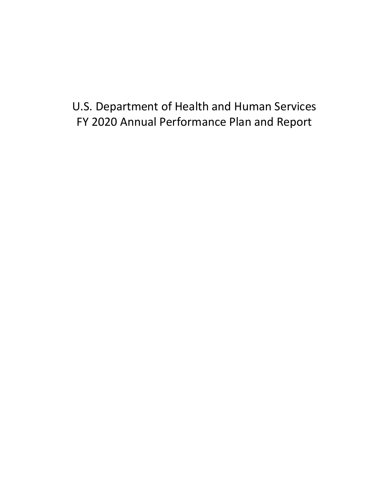# U.S. Department of Health and Human Services FY 2020 Annual Performance Plan and Report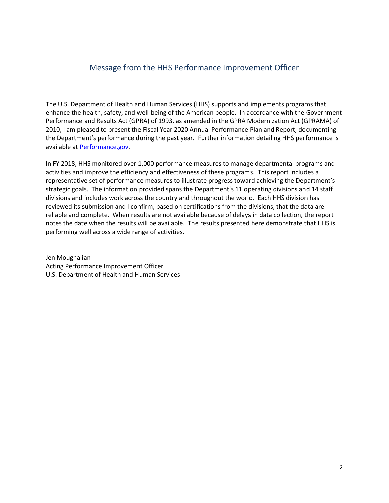# Message from the HHS Performance Improvement Officer

The U.S. Department of Health and Human Services (HHS) supports and implements programs that enhance the health, safety, and well-being of the American people. In accordance with the Government Performance and Results Act (GPRA) of 1993, as amended in the GPRA Modernization Act (GPRAMA) of 2010, I am pleased to present the Fiscal Year 2020 Annual Performance Plan and Report, documenting the Department's performance during the past year. Further information detailing HHS performance is available a[t Performance.gov.](http://www.performance.gov/agency/department-health-and-human-services?view=public#overview)

In FY 2018, HHS monitored over 1,000 performance measures to manage departmental programs and activities and improve the efficiency and effectiveness of these programs. This report includes a representative set of performance measures to illustrate progress toward achieving the Department's strategic goals. The information provided spans the Department's 11 operating divisions and 14 staff divisions and includes work across the country and throughout the world. Each HHS division has reviewed its submission and I confirm, based on certifications from the divisions, that the data are reliable and complete. When results are not available because of delays in data collection, the report notes the date when the results will be available. The results presented here demonstrate that HHS is performing well across a wide range of activities.

Jen Moughalian Acting Performance Improvement Officer U.S. Department of Health and Human Services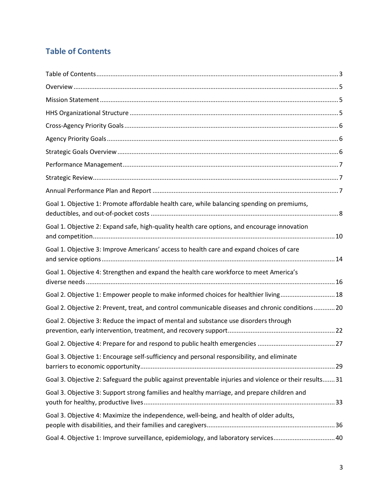# <span id="page-2-0"></span>**Table of Contents**

| Goal 1. Objective 1: Promote affordable health care, while balancing spending on premiums,              |
|---------------------------------------------------------------------------------------------------------|
| Goal 1. Objective 2: Expand safe, high-quality health care options, and encourage innovation            |
| Goal 1. Objective 3: Improve Americans' access to health care and expand choices of care                |
| Goal 1. Objective 4: Strengthen and expand the health care workforce to meet America's                  |
| Goal 2. Objective 1: Empower people to make informed choices for healthier living 18                    |
| Goal 2. Objective 2: Prevent, treat, and control communicable diseases and chronic conditions  20       |
| Goal 2. Objective 3: Reduce the impact of mental and substance use disorders through                    |
|                                                                                                         |
| Goal 3. Objective 1: Encourage self-sufficiency and personal responsibility, and eliminate              |
| Goal 3. Objective 2: Safeguard the public against preventable injuries and violence or their results 31 |
| Goal 3. Objective 3: Support strong families and healthy marriage, and prepare children and             |
| Goal 3. Objective 4: Maximize the independence, well-being, and health of older adults,                 |
| Goal 4. Objective 1: Improve surveillance, epidemiology, and laboratory services40                      |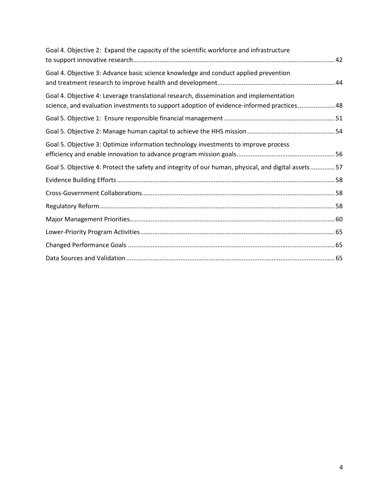| Goal 4. Objective 2: Expand the capacity of the scientific workforce and infrastructure                                                                                             |
|-------------------------------------------------------------------------------------------------------------------------------------------------------------------------------------|
| Goal 4. Objective 3: Advance basic science knowledge and conduct applied prevention                                                                                                 |
| Goal 4. Objective 4: Leverage translational research, dissemination and implementation<br>science, and evaluation investments to support adoption of evidence-informed practices 48 |
|                                                                                                                                                                                     |
|                                                                                                                                                                                     |
| Goal 5. Objective 3: Optimize information technology investments to improve process                                                                                                 |
| Goal 5. Objective 4: Protect the safety and integrity of our human, physical, and digital assets57                                                                                  |
|                                                                                                                                                                                     |
|                                                                                                                                                                                     |
|                                                                                                                                                                                     |
|                                                                                                                                                                                     |
|                                                                                                                                                                                     |
|                                                                                                                                                                                     |
|                                                                                                                                                                                     |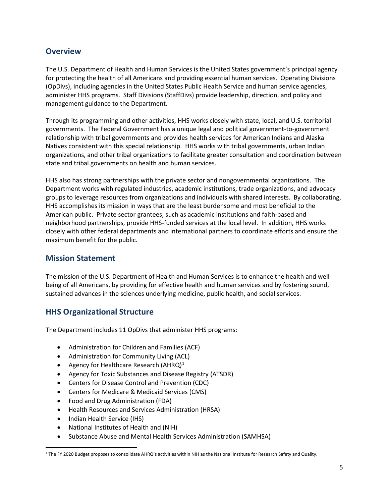### <span id="page-4-0"></span>**Overview**

The U.S. Department of Health and Human Services is the United States government's principal agency for protecting the health of all Americans and providing essential human services. Operating Divisions (OpDivs), including agencies in the United States Public Health Service and human service agencies, administer HHS programs. Staff Divisions (StaffDivs) provide leadership, direction, and policy and management guidance to the Department.

Through its programming and other activities, HHS works closely with state, local, and U.S. territorial governments. The Federal Government has a unique legal and political government-to-government relationship with tribal governments and provides health services for American Indians and Alaska Natives consistent with this special relationship. HHS works with tribal governments, urban Indian organizations, and other tribal organizations to facilitate greater consultation and coordination between state and tribal governments on health and human services.

HHS also has strong partnerships with the private sector and nongovernmental organizations. The Department works with regulated industries, academic institutions, trade organizations, and advocacy groups to leverage resources from organizations and individuals with shared interests. By collaborating, HHS accomplishes its mission in ways that are the least burdensome and most beneficial to the American public. Private sector grantees, such as academic institutions and faith-based and neighborhood partnerships, provide HHS-funded services at the local level. In addition, HHS works closely with other federal departments and international partners to coordinate efforts and ensure the maximum benefit for the public.

### <span id="page-4-1"></span>**Mission Statement**

The mission of the U.S. Department of Health and Human Services is to enhance the health and wellbeing of all Americans, by providing for effective health and human services and by fostering sound, sustained advances in the sciences underlying medicine, public health, and social services.

### <span id="page-4-2"></span>**HHS Organizational Structure**

The Department includes 11 OpDivs that administer HHS programs:

- Administration for Children and Families (ACF)
- Administration for Community Living (ACL)
- Agency for Healthcare Research (AHRQ) $<sup>1</sup>$  $<sup>1</sup>$  $<sup>1</sup>$ </sup>
- Agency for Toxic Substances and Disease Registry (ATSDR)
- Centers for Disease Control and Prevention (CDC)
- Centers for Medicare & Medicaid Services (CMS)
- Food and Drug Administration (FDA)
- Health Resources and Services Administration (HRSA)
- Indian Health Service (IHS)
- National Institutes of Health and (NIH)
- Substance Abuse and Mental Health Services Administration (SAMHSA)

<span id="page-4-3"></span> <sup>1</sup> The FY 2020 Budget proposes to consolidate AHRQ's activities within NIH as the National Institute for Research Safety and Quality.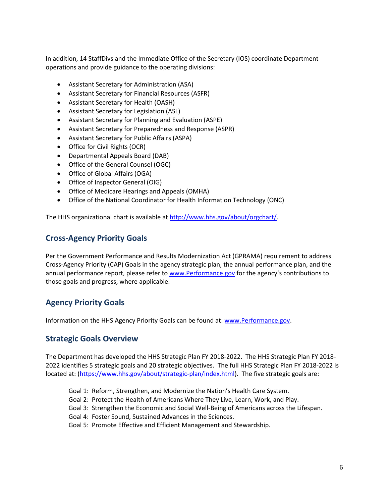In addition, 14 StaffDivs and the Immediate Office of the Secretary (IOS) coordinate Department operations and provide guidance to the operating divisions:

- Assistant Secretary for Administration (ASA)
- Assistant Secretary for Financial Resources (ASFR)
- Assistant Secretary for Health (OASH)
- Assistant Secretary for Legislation (ASL)
- Assistant Secretary for Planning and Evaluation (ASPE)
- Assistant Secretary for Preparedness and Response (ASPR)
- Assistant Secretary for Public Affairs (ASPA)
- Office for Civil Rights (OCR)
- Departmental Appeals Board (DAB)
- Office of the General Counsel (OGC)
- Office of Global Affairs (OGA)
- Office of Inspector General (OIG)
- Office of Medicare Hearings and Appeals (OMHA)
- Office of the National Coordinator for Health Information Technology (ONC)

The HHS organizational chart is available at [http://www.hhs.gov/about/orgchart/.](http://www.hhs.gov/about/orgchart/)

### <span id="page-5-0"></span>**Cross-Agency Priority Goals**

Per the Government Performance and Results Modernization Act (GPRAMA) requirement to address Cross-Agency Priority (CAP) Goals in the agency strategic plan, the annual performance plan, and the annual performance report, please refer to [www.Performance.gov](http://www.performance.gov/) for the agency's contributions to those goals and progress, where applicable.

### <span id="page-5-1"></span>**Agency Priority Goals**

Information on the HHS Agency Priority Goals can be found at[: www.Performance.gov.](http://www.performance.gov/)

### <span id="page-5-2"></span>**Strategic Goals Overview**

The Department has developed the HHS Strategic Plan FY 2018-2022. The HHS Strategic Plan FY 2018- 2022 identifies 5 strategic goals and 20 strategic objectives. The full HHS Strategic Plan FY 2018-2022 is located at: [\(https://www.hhs.gov/about/strategic-plan/index.html\)](https://www.hhs.gov/about/strategic-plan/index.html). The five strategic goals are:

- Goal 1: Reform, Strengthen, and Modernize the Nation's Health Care System.
- Goal 2: Protect the Health of Americans Where They Live, Learn, Work, and Play.
- Goal 3: Strengthen the Economic and Social Well-Being of Americans across the Lifespan.
- Goal 4: Foster Sound, Sustained Advances in the Sciences.
- Goal 5: Promote Effective and Efficient Management and Stewardship.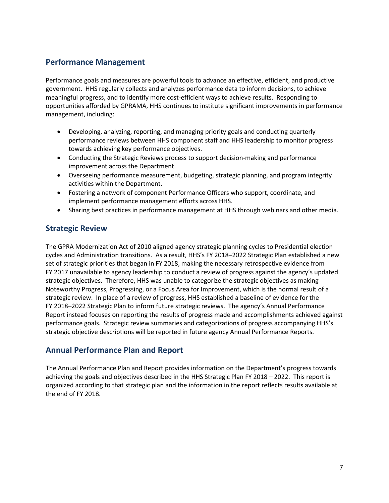### <span id="page-6-0"></span>**Performance Management**

Performance goals and measures are powerful tools to advance an effective, efficient, and productive government. HHS regularly collects and analyzes performance data to inform decisions, to achieve meaningful progress, and to identify more cost-efficient ways to achieve results. Responding to opportunities afforded by GPRAMA, HHS continues to institute significant improvements in performance management, including:

- Developing, analyzing, reporting, and managing priority goals and conducting quarterly performance reviews between HHS component staff and HHS leadership to monitor progress towards achieving key performance objectives.
- Conducting the Strategic Reviews process to support decision-making and performance improvement across the Department.
- Overseeing performance measurement, budgeting, strategic planning, and program integrity activities within the Department.
- Fostering a network of component Performance Officers who support, coordinate, and implement performance management efforts across HHS.
- Sharing best practices in performance management at HHS through webinars and other media.

### <span id="page-6-1"></span>**Strategic Review**

The GPRA Modernization Act of 2010 aligned agency strategic planning cycles to Presidential election cycles and Administration transitions. As a result, HHS's FY 2018–2022 Strategic Plan established a new set of strategic priorities that began in FY 2018, making the necessary retrospective evidence from FY 2017 unavailable to agency leadership to conduct a review of progress against the agency's updated strategic objectives. Therefore, HHS was unable to categorize the strategic objectives as making Noteworthy Progress, Progressing, or a Focus Area for Improvement, which is the normal result of a strategic review. In place of a review of progress, HHS established a baseline of evidence for the FY 2018–2022 Strategic Plan to inform future strategic reviews. The agency's Annual Performance Report instead focuses on reporting the results of progress made and accomplishments achieved against performance goals. Strategic review summaries and categorizations of progress accompanying HHS's strategic objective descriptions will be reported in future agency Annual Performance Reports.

### <span id="page-6-2"></span>**Annual Performance Plan and Report**

The Annual Performance Plan and Report provides information on the Department's progress towards achieving the goals and objectives described in the HHS Strategic Plan FY 2018 – 2022. This report is organized according to that strategic plan and the information in the report reflects results available at the end of FY 2018.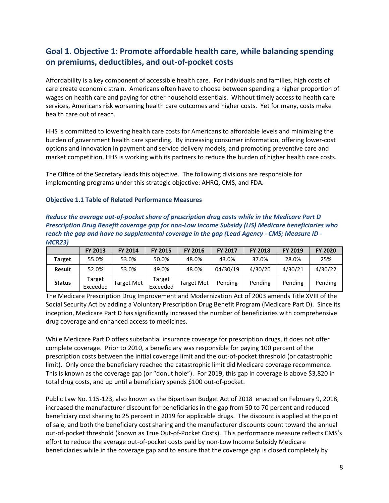# <span id="page-7-0"></span>**Goal 1. Objective 1: Promote affordable health care, while balancing spending on premiums, deductibles, and out-of-pocket costs**

Affordability is a key component of accessible health care. For individuals and families, high costs of care create economic strain. Americans often have to choose between spending a higher proportion of wages on health care and paying for other household essentials. Without timely access to health care services, Americans risk worsening health care outcomes and higher costs. Yet for many, costs make health care out of reach.

HHS is committed to lowering health care costs for Americans to affordable levels and minimizing the burden of government health care spending. By increasing consumer information, offering lower-cost options and innovation in payment and service delivery models, and promoting preventive care and market competition, HHS is working with its partners to reduce the burden of higher health care costs.

The Office of the Secretary leads this objective. The following divisions are responsible for implementing programs under this strategic objective: AHRQ, CMS, and FDA.

#### **Objective 1.1 Table of Related Performance Measures**

| Reduce the average out-of-pocket share of prescription drug costs while in the Medicare Part D     |
|----------------------------------------------------------------------------------------------------|
| Prescription Drug Benefit coverage gap for non-Low Income Subsidy (LIS) Medicare beneficiaries who |
| reach the gap and have no supplemental coverage in the gap (Lead Agency - CMS; Measure ID -        |
| <b>MCR23)</b>                                                                                      |

|               | <b>FY 2013</b>     | <b>FY 2014</b>    | <b>FY 2015</b>     | <b>FY 2016</b>    | <b>FY 2017</b> | <b>FY 2018</b> | <b>FY 2019</b> | <b>FY 2020</b> |
|---------------|--------------------|-------------------|--------------------|-------------------|----------------|----------------|----------------|----------------|
| <b>Target</b> | 55.0%              | 53.0%             | 50.0%              | 48.0%             | 43.0%          | 37.0%          | 28.0%          | 25%            |
| <b>Result</b> | 52.0%              | 53.0%             | 49.0%              | 48.0%             | 04/30/19       | 4/30/20        | 4/30/21        | 4/30/22        |
| <b>Status</b> | Target<br>Exceeded | <b>Target Met</b> | Target<br>Exceeded | <b>Target Met</b> | Pending        | Pending        | Pending        | Pending        |

The Medicare Prescription Drug Improvement and Modernization Act of 2003 amends Title XVIII of the Social Security Act by adding a Voluntary Prescription Drug Benefit Program (Medicare Part D). Since its inception, Medicare Part D has significantly increased the number of beneficiaries with comprehensive drug coverage and enhanced access to medicines.

While Medicare Part D offers substantial insurance coverage for prescription drugs, it does not offer complete coverage. Prior to 2010, a beneficiary was responsible for paying 100 percent of the prescription costs between the initial coverage limit and the out-of-pocket threshold (or catastrophic limit). Only once the beneficiary reached the catastrophic limit did Medicare coverage recommence. This is known as the coverage gap (or "donut hole"). For 2019, this gap in coverage is above \$3,820 in total drug costs, and up until a beneficiary spends \$100 out-of-pocket.

Public Law No. 115-123, also known as the Bipartisan Budget Act of 2018 enacted on February 9, 2018, increased the manufacturer discount for beneficiaries in the gap from 50 to 70 percent and reduced beneficiary cost sharing to 25 percent in 2019 for applicable drugs. The discount is applied at the point of sale, and both the beneficiary cost sharing and the manufacturer discounts count toward the annual out-of-pocket threshold (known as True Out-of-Pocket Costs). This performance measure reflects CMS's effort to reduce the average out-of-pocket costs paid by non-Low Income Subsidy Medicare beneficiaries while in the coverage gap and to ensure that the coverage gap is closed completely by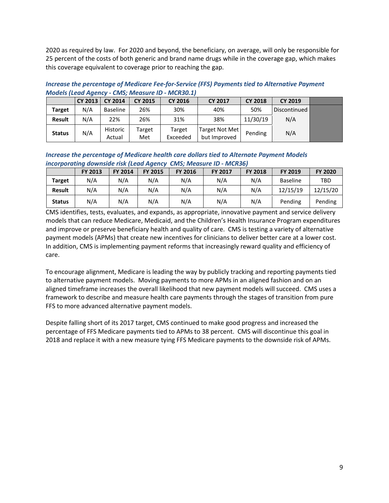2020 as required by law. For 2020 and beyond, the beneficiary, on average, will only be responsible for 25 percent of the costs of both generic and brand name drugs while in the coverage gap, which makes this coverage equivalent to coverage prior to reaching the gap.

#### *Increase the percentage of Medicare Fee-for-Service (FFS) Payments tied to Alternative Payment Models (Lead Agency - CMS; Measure ID - MCR30.1)*

|               | CY 2013 | <b>CY 2014</b>     | <b>CY 2015</b> | <b>CY 2016</b>     | <b>CY 2017</b>                 | <b>CY 2018</b> | <b>CY 2019</b> |  |
|---------------|---------|--------------------|----------------|--------------------|--------------------------------|----------------|----------------|--|
| <b>Target</b> | N/A     | Baseline           | 26%            | 30%                | 40%                            | 50%            | Discontinued   |  |
| <b>Result</b> | N/A     | 22%                | 26%            | 31%                | 38%                            | 11/30/19       | N/A            |  |
| <b>Status</b> | N/A     | Historic<br>Actual | Target<br>Met  | Target<br>Exceeded | Target Not Met<br>but Improved | Pending        | N/A            |  |

*Increase the percentage of Medicare health care dollars tied to Alternate Payment Models incorporating downside risk (Lead Agency CMS; Measure ID - MCR36)*

|               | <b>FY 2013</b> | <b>FY 2014</b> | <b>FY 2015</b> | <b>FY 2016</b> | <b>FY 2017</b> | <b>FY 2018</b> | <b>FY 2019</b>  | <b>FY 2020</b> |  |  |
|---------------|----------------|----------------|----------------|----------------|----------------|----------------|-----------------|----------------|--|--|
| <b>Target</b> | N/A            | N/A            | N/A            | N/A            | N/A            | N/A            | <b>Baseline</b> | <b>TBD</b>     |  |  |
| <b>Result</b> | N/A            | N/A            | N/A            | N/A            | N/A            | N/A            | 12/15/19        | 12/15/20       |  |  |
| <b>Status</b> | N/A            | N/A            | N/A            | N/A            | N/A            | N/A            | Pending         | Pending        |  |  |

CMS identifies, tests, evaluates, and expands, as appropriate, innovative payment and service delivery models that can reduce Medicare, Medicaid, and the Children's Health Insurance Program expenditures and improve or preserve beneficiary health and quality of care. CMS is testing a variety of alternative payment models (APMs) that create new incentives for clinicians to deliver better care at a lower cost. In addition, CMS is implementing payment reforms that increasingly reward quality and efficiency of care.

To encourage alignment, Medicare is leading the way by publicly tracking and reporting payments tied to alternative payment models. Moving payments to more APMs in an aligned fashion and on an aligned timeframe increases the overall likelihood that new payment models will succeed. CMS uses a framework to describe and measure health care payments through the stages of transition from pure FFS to more advanced alternative payment models.

Despite falling short of its 2017 target, CMS continued to make good progress and increased the percentage of FFS Medicare payments tied to APMs to 38 percent. CMS will discontinue this goal in 2018 and replace it with a new measure tying FFS Medicare payments to the downside risk of APMs.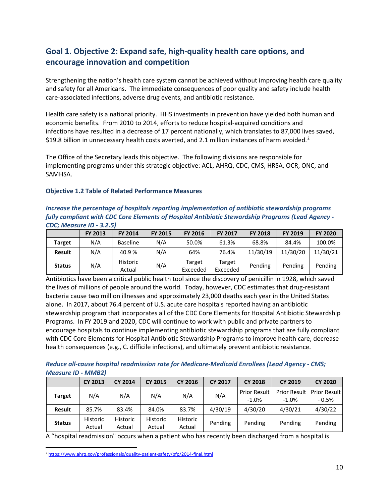# <span id="page-9-0"></span>**Goal 1. Objective 2: Expand safe, high-quality health care options, and encourage innovation and competition**

Strengthening the nation's health care system cannot be achieved without improving health care quality and safety for all Americans. The immediate consequences of poor quality and safety include health care-associated infections, adverse drug events, and antibiotic resistance.

Health care safety is a national priority. HHS investments in prevention have yielded both human and economic benefits. From 2010 to 2014, efforts to reduce hospital-acquired conditions and infections have resulted in a decrease of 17 percent nationally, which translates to 87,000 lives saved, \$19.8 billion in unnecessary health costs averted, and [2](#page-9-1).1 million instances of harm avoided.<sup>2</sup>

The Office of the Secretary leads this objective. The following divisions are responsible for implementing programs under this strategic objective: ACL, AHRQ, CDC, CMS, HRSA, OCR, ONC, and SAMHSA.

#### **Objective 1.2 Table of Related Performance Measures**

#### *Increase the percentage of hospitals reporting implementation of antibiotic stewardship programs fully compliant with CDC Core Elements of Hospital Antibiotic Stewardship Programs (Lead Agency - CDC; Measure ID - 3.2.5)*

|               | <b>FY 2013</b> | <b>FY 2014</b>            | <b>FY 2015</b> | <b>FY 2016</b>     | <b>FY 2017</b>     | <b>FY 2018</b> | <b>FY 2019</b> | <b>FY 2020</b> |
|---------------|----------------|---------------------------|----------------|--------------------|--------------------|----------------|----------------|----------------|
| Target        | N/A            | <b>Baseline</b>           | N/A            | 50.0%              | 61.3%              | 68.8%          | 84.4%          | 100.0%         |
| <b>Result</b> | N/A            | 40.9%                     | N/A            | 64%                | 76.4%              | 11/30/19       | 11/30/20       | 11/30/21       |
| <b>Status</b> | N/A            | <b>Historic</b><br>Actual | N/A            | Target<br>Exceeded | Target<br>Exceeded | Pending        | Pending        | Pending        |

Antibiotics have been a critical public health tool since the discovery of penicillin in 1928, which saved the lives of millions of people around the world. Today, however, CDC estimates that drug-resistant bacteria cause two million illnesses and approximately 23,000 deaths each year in the United States alone. In 2017, about 76.4 percent of U.S. acute care hospitals reported having an antibiotic stewardship program that incorporates all of the CDC Core Elements for Hospital Antibiotic Stewardship Programs. In FY 2019 and 2020, CDC will continue to work with public and private partners to encourage hospitals to continue implementing antibiotic stewardship programs that are fully compliant with CDC Core Elements for Hospital Antibiotic Stewardship Programs to improve health care, decrease health consequences (e.g., C. difficile infections), and ultimately prevent antibiotic resistance.

#### *Reduce all-cause hospital readmission rate for Medicare-Medicaid Enrollees (Lead Agency - CMS; Measure ID - MMB2)*

|               | <b>CY 2013</b>     | <b>CY 2014</b>     | <b>CY 2015</b>     | <b>CY 2016</b>            | <b>CY 2017</b> | <b>CY 2018</b>                 | <b>CY 2019</b>                  | <b>CY 2020</b>             |
|---------------|--------------------|--------------------|--------------------|---------------------------|----------------|--------------------------------|---------------------------------|----------------------------|
| <b>Target</b> | N/A                | N/A                | N/A                | N/A                       | N/A            | <b>Prior Result</b><br>$-1.0%$ | <b>Prior Result</b><br>$-1.0\%$ | ⊩Prior Result∣<br>$-0.5\%$ |
| <b>Result</b> | 85.7%              | 83.4%              | 84.0%              | 83.7%                     | 4/30/19        | 4/30/20                        | 4/30/21                         | 4/30/22                    |
| <b>Status</b> | Historic<br>Actual | Historic<br>Actual | Historic<br>Actual | <b>Historic</b><br>Actual | Pending        | Pending                        | Pending                         | Pending                    |

A "hospital readmission" occurs when a patient who has recently been discharged from a hospital is

<span id="page-9-1"></span><sup>&</sup>lt;sup>2</sup> <https://www.ahrq.gov/professionals/quality-patient-safety/pfp/2014-final.html>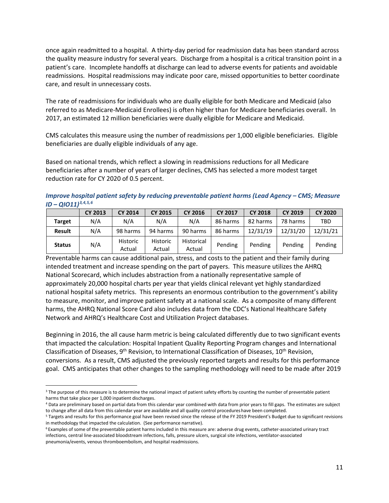once again readmitted to a hospital. A thirty-day period for readmission data has been standard across the quality measure industry for several years. Discharge from a hospital is a critical transition point in a patient's care. Incomplete handoffs at discharge can lead to adverse events for patients and avoidable readmissions. Hospital readmissions may indicate poor care, missed opportunities to better coordinate care, and result in unnecessary costs.

The rate of readmissions for individuals who are dually eligible for both Medicare and Medicaid (also referred to as Medicare-Medicaid Enrollees) is often higher than for Medicare beneficiaries overall. In 2017, an estimated 12 million beneficiaries were dually eligible for Medicare and Medicaid.

CMS calculates this measure using the number of readmissions per 1,000 eligible beneficiaries. Eligible beneficiaries are dually eligible individuals of any age.

Based on national trends, which reflect a slowing in readmissions reductions for all Medicare beneficiaries after a number of years of larger declines, CMS has selected a more modest target reduction rate for CY 2020 of 0.5 percent.

*Improve hospital patient safety by reducing preventable patient harms (Lead Agency – CMS; Measure ID – QIO11)[3,](#page-10-0)[4](#page-10-1),[5](#page-10-2),[6](#page-10-3)*

|               | <b>CY 2013</b> | <b>CY 2014</b>     | <b>CY 2015</b>     | <b>CY 2016</b>       | <b>CY 2017</b> | <b>CY 2018</b> | <b>CY 2019</b> | <b>CY 2020</b> |
|---------------|----------------|--------------------|--------------------|----------------------|----------------|----------------|----------------|----------------|
| <b>Target</b> | N/A            | N/A                | N/A                | N/A                  | 86 harms       | 82 harms       | 78 harms       | TBD            |
| <b>Result</b> | N/A            | 98 harms           | 94 harms           | 90 harms             | 86 harms       | 12/31/19       | 12/31/20       | 12/31/21       |
| <b>Status</b> | N/A            | Historic<br>Actual | Historic<br>Actual | Historical<br>Actual | Pending        | Pending        | Pending        | Pending        |

Preventable harms can cause additional pain, stress, and costs to the patient and their family during intended treatment and increase spending on the part of payers. This measure utilizes the AHRQ National Scorecard, which includes abstraction from a nationally representative sample of approximately 20,000 hospital charts per year that yields clinical relevant yet highly standardized national hospital safety metrics. This represents an enormous contribution to the government's ability to measure, monitor, and improve patient safety at a national scale. As a composite of many different harms, the AHRQ National Score Card also includes data from the CDC's National Healthcare Safety Network and AHRQ's Healthcare Cost and Utilization Project databases.

Beginning in 2016, the all cause harm metric is being calculated differently due to two significant events that impacted the calculation: Hospital Inpatient Quality Reporting Program changes and International Classification of Diseases, 9<sup>th</sup> Revision, to International Classification of Diseases, 10<sup>th</sup> Revision, conversions. As a result, CMS adjusted the previously reported targets and results for this performance goal. CMS anticipates that other changes to the sampling methodology will need to be made after 2019

<span id="page-10-0"></span><sup>&</sup>lt;sup>3</sup> The purpose of this measure is to determine the national impact of patient safety efforts by counting the number of preventable patient harms that take place per 1,000 inpatient discharges.<br><sup>4</sup> Data are preliminary based on partial data from this calendar year combined with data from prior years to fill gaps. The estimates are subject

<span id="page-10-1"></span>to change after all data from this calendar year are available and all quality control procedureshave been completed.

<span id="page-10-2"></span><sup>5</sup> Targets and results for this performance goal have been revised since the release of the FY 2019 President's Budget due to significant revisions in methodology that impacted the calculation. (See performance narrative).

<span id="page-10-3"></span><sup>&</sup>lt;sup>6</sup> Examples of some of the preventable patient harms included in this measure are: adverse drug events, catheter-associated urinary tract infections, central line-associated bloodstream infections, falls, pressure ulcers, surgical site infections, ventilator-associated pneumonia/events, venous thromboembolism, and hospital readmissions.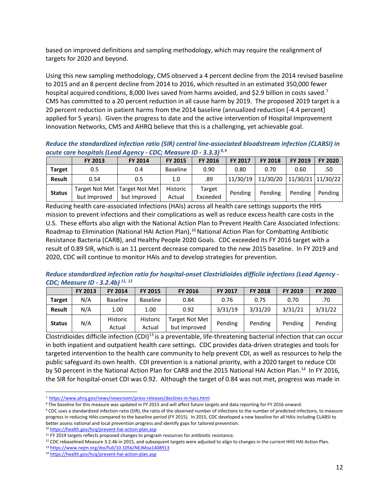based on improved definitions and sampling methodology, which may require the realignment of targets for 2020 and beyond.

Using this new sampling methodology, CMS observed a 4 percent decline from the 2014 revised baseline to 2015 and an 8 percent decline from 2014 to 2016, which resulted in an estimated 350,000 fewer hospital acquired conditions, 8,000 lives saved from harms avoided, and \$2.9 billion in costs saved.<sup>[7](#page-11-0)</sup> CMS has committed to a 20 percent reduction in all cause harm by 2019. The proposed 2019 target is a 20 percent reduction in patient harms from the 2014 baseline (annualized reduction [-4.4 percent] applied for 5 years). Given the progress to date and the active intervention of Hospital Improvement Innovation Networks, CMS and AHRQ believe that this is a challenging, yet achievable goal.

*Reduce the standardized infection ratio (SIR) central line-associated bloodstream infection (CLABSI) in acute care hospitals (Lead Agency - CDC; Measure ID - 3.3.3) [8](#page-11-1),[9](#page-11-2)*

|               | <b>FY 2013</b> | FY 2014                                           | <b>FY 2015</b>     | <b>FY 2016</b>     | FY 2017  | <b>FY 2018</b> | FY 2019           | FY 2020 |
|---------------|----------------|---------------------------------------------------|--------------------|--------------------|----------|----------------|-------------------|---------|
| <b>Target</b> | 0.5            | 0.4                                               | <b>Baseline</b>    | 0.90               | 0.80     | 0.70           | 0.60              | .50     |
| <b>Result</b> | 0.54           | 0.5                                               | 1.0                | .89                | 11/30/19 | 11/30/20       | 11/30/21 11/30/22 |         |
| <b>Status</b> | but Improved   | Target Not Met   Target Not Met  <br>but Improved | Historic<br>Actual | Target<br>Exceeded | Pending  | Pending        | Pending           | Pending |

Reducing health care-associated Infections (HAIs) across all health care settings supports the HHS mission to prevent infections and their complications as well as reduce excess health care costs in the U.S. These efforts also align with the [National Action Plan to Prevent Health Care Associated Infections:](http://www.cdc.gov/niosh/hhe/pdfs/HHE_2014_Annual_Report.pdf)  [Roadmap to Elimination \(National HAI Action Plan\),](http://www.cdc.gov/niosh/hhe/pdfs/HHE_2014_Annual_Report.pdf)<sup>[10](#page-11-3)</sup> National Action Plan for Combatting Antibiotic Resistance Bacteria (CARB), an[d Healthy People 2020 Goals.](http://www.cdc.gov/drugresistance/solutions-initiative/) CDC exceeded its FY 2016 target with a result of 0.89 SIR, which is an 11 percent decrease compared to the new 2015 baseline. In FY 2019 and 2020, CDC will continue to monitor HAIs and to develop strategies for prevention.

#### *Reduce standardized infection ratio for hospital-onset Clostridioides difficile infections (Lead Agency - CDC; Measure ID - 3.2.4b) [11,](#page-11-4) [12](#page-11-5)*

|               | <b>FY 2013</b> | <b>FY 2014</b>            | <b>FY 2015</b>     | <b>FY 2016</b>                 | <b>FY 2017</b> | <b>FY 2018</b> | FY 2019 | <b>FY 2020</b> |
|---------------|----------------|---------------------------|--------------------|--------------------------------|----------------|----------------|---------|----------------|
| <b>Target</b> | N/A            | <b>Baseline</b>           | <b>Baseline</b>    | 0.84                           | 0.76           | 0.75           | 0.70    | .70            |
| <b>Result</b> | N/A            | 1.00                      | 1.00               | 0.92                           | 3/31/19        | 3/31/20        | 3/31/21 | 3/31/22        |
| <b>Status</b> | N/A            | <b>Historic</b><br>Actual | Historic<br>Actual | Target Not Met<br>but Improved | Pending        | Pending        | Pending | Pending        |

[Clostridioides difficile](https://www.cdc.gov/motorvehiclesafety/pdf/native/tmvip_best-practices_guide_2016-a.pdf) infection (CDI)<sup>[13](#page-11-6)</sup> is a preventable, life-threatening bacterial infection that can occur in both inpatient and outpatient health care settings. CDC provides data-driven strategies and tools for targeted intervention to the health care community to help prevent CDI, as well as resources to help the public safeguard its own health. CDI prevention is a national priority, with a 2020 target to reduce CDI by 50 percent in the National Action Plan for CARB and the 2015 National HAI Action Plan.<sup>[14](#page-11-7)</sup> In FY 2016, the SIR for hospital-onset CDI was 0.92. Although the target of 0.84 was not met, progress was made in

<sup>10</sup> <https://health.gov/hcq/prevent-hai-action-plan.asp>

<span id="page-11-5"></span><sup>12</sup> CDC rebaselined Measure 3.2.4b in 2015, and subsequent targets were adjusted to align to changes in the current HHS HAI Action Plan.  $13 \frac{\text{https://www.nejm.org/doi/full/10.1056/NEJMoa1408913}}{2}$  $13 \frac{\text{https://www.nejm.org/doi/full/10.1056/NEJMoa1408913}}{2}$  $13 \frac{\text{https://www.nejm.org/doi/full/10.1056/NEJMoa1408913}}{2}$ 

 <sup>7</sup> <https://www.ahrq.gov/news/newsroom/press-releases/declines-in-hacs.html>

<span id="page-11-1"></span><span id="page-11-0"></span><sup>8</sup> The baseline for this measure was updated in FY 2015 and will affect future targets and data reporting for FY 2016 onward.

<span id="page-11-2"></span><sup>&</sup>lt;sup>9</sup> CDC uses a standardized infection ratio (SIR), the ratio of the observed number of infections to the number of predicted infections, to measure progress in reducing HAIs compared to the baseline period (FY 2015). In 2015, CDC developed a new baseline for all HAIs including CLABSI to better assess national and local prevention progress and identify gaps for tailored prevention.

<span id="page-11-4"></span><span id="page-11-3"></span><sup>&</sup>lt;sup>11</sup> FY 2019 targets reflects proposed changes to program resources for antibiotic resistance.

<span id="page-11-7"></span><span id="page-11-6"></span><sup>14</sup> <https://health.gov/hcq/prevent-hai-action-plan.asp>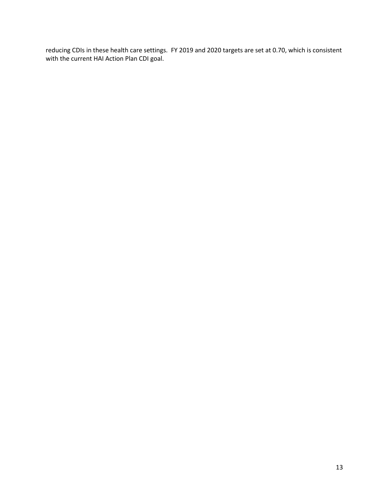reducing CDIs in these health care settings. FY 2019 and 2020 targets are set at 0.70, which is consistent with the current HAI Action Plan CDI goal.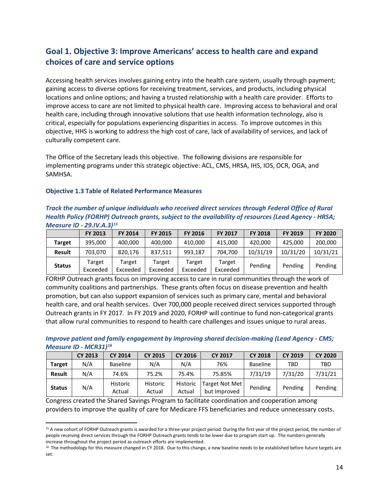# <span id="page-13-0"></span>**Goal 1. Objective 3: Improve Americans' access to health care and expand choices of care and service options**

Accessing health services involves gaining entry into the health care system, usually through payment; gaining access to diverse options for receiving treatment, services, and products, including physical locations and online options; and having a trusted relationship with a health care provider. Efforts to improve access to care are not limited to physical health care. Improving access to behavioral and oral health care, including through innovative solutions that use health information technology, also is critical, especially for populations experiencing disparities in access. To improve outcomes in this objective, HHS is working to address the high cost of care, lack of availability of services, and lack of culturally competent care.

The Office of the Secretary leads this objective. The following divisions are responsible for implementing programs under this strategic objective: ACL, CMS, HRSA, IHS, IOS, OCR, OGA, and SAMHSA.

#### **Objective 1.3 Table of Related Performance Measures**

#### *Track the number of unique individuals who received direct services through Federal Office of Rural Health Policy (FORHP) Outreach grants, subject to the availability of resources (Lead Agency - HRSA; Measure ID - 29.IV.A.3)[15](#page-13-1)*

|               | <b>FY 2013</b>     | FY 2014            | <b>FY 2015</b>     | <b>FY 2016</b>     | <b>FY 2017</b>     | <b>FY 2018</b> | FY 2019  | <b>FY 2020</b> |
|---------------|--------------------|--------------------|--------------------|--------------------|--------------------|----------------|----------|----------------|
| Target        | 395.000            | 400,000            | 400.000            | 410,000            | 415.000            | 420,000        | 425.000  | 200,000        |
| <b>Result</b> | 703.070            | 820.176            | 837.511            | 993.187            | 704.700            | 10/31/19       | 10/31/20 | 10/31/21       |
| <b>Status</b> | Target<br>Exceeded | Target<br>Exceeded | Target<br>Exceeded | Target<br>Exceeded | Target<br>Exceeded | Pending        | Pending  | Pending        |

FORHP Outreach grants focus on improving access to care in rural communities through the work of community coalitions and partnerships. These grants often focus on disease prevention and health promotion, but can also support expansion of services such as primary care, mental and behavioral health care, and oral health services. Over 700,000 people received direct services supported through Outreach grants in FY 2017. In FY 2019 and 2020, FORHP will continue to fund non-categorical grants that allow rural communities to respond to health care challenges and issues unique to rural areas.

#### *Improve patient and family engagement by improving shared decision-making (Lead Agency - CMS; Measure ID - MCR31)[16](#page-13-2)*

|               | <b>CY 2013</b> | <b>CY 2014</b>            | <b>CY 2015</b>     | <b>CY 2016</b>     | <b>CY 2017</b>                 | <b>CY 2018</b>  | <b>CY 2019</b> | <b>CY 2020</b> |
|---------------|----------------|---------------------------|--------------------|--------------------|--------------------------------|-----------------|----------------|----------------|
| <b>Target</b> | N/A            | <b>Baseline</b>           | N/A                | N/A                | 76%                            | <b>Baseline</b> | TBD            | TBD            |
| <b>Result</b> | N/A            | 74.6%                     | 75.2%              | 75.4%              | 75.85%                         | 7/31/19         | 7/31/20        | 7/31/21        |
| <b>Status</b> | N/A            | <b>Historic</b><br>Actual | Historic<br>Actual | Historic<br>Actual | Target Not Met<br>but Improved | Pending         | Pending        | Pending        |

Congress created the Shared Savings Program to facilitate coordination and cooperation among providers to improve the quality of care for Medicare FFS beneficiaries and reduce unnecessary costs.

<span id="page-13-1"></span><sup>&</sup>lt;sup>15</sup> A new cohort of FORHP Outreach grants is awarded for a three-year project period. During the first year of the project period, the number of people receiving direct services through the FORHP Outreach grants tends to be lower due to program start up. The numbers generally increase throughout the project period as outreach efforts are implemented.

<span id="page-13-2"></span><sup>&</sup>lt;sup>16</sup> The methodology for this measure changed in CY 2018. Due to this change, a new baseline needs to be established before future targets are set.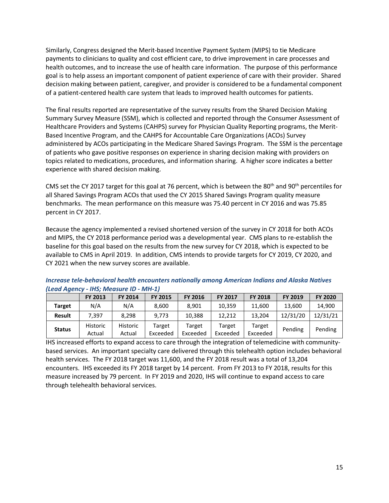Similarly, Congress designed the Merit-based Incentive Payment System (MIPS) to tie Medicare payments to clinicians to quality and cost efficient care, to drive improvement in care processes and health outcomes, and to increase the use of health care information. The purpose of this performance goal is to help assess an important component of patient experience of care with their provider. Shared decision making between patient, caregiver, and provider is considered to be a fundamental component of a patient-centered health care system that leads to improved health outcomes for patients.

The final results reported are representative of the survey results from the Shared Decision Making Summary Survey Measure (SSM), which is collected and reported through the Consumer Assessment of Healthcare Providers and Systems (CAHPS) survey for Physician Quality Reporting programs, the Merit-Based Incentive Program, and the CAHPS for Accountable Care Organizations (ACOs) Survey administered by ACOs participating in the Medicare Shared Savings Program. The SSM is the percentage of patients who gave positive responses on experience in sharing decision making with providers on topics related to medications, procedures, and information sharing. A higher score indicates a better experience with shared decision making.

CMS set the CY 2017 target for this goal at 76 percent, which is between the 80<sup>th</sup> and 90<sup>th</sup> percentiles for all Shared Savings Program ACOs that used the CY 2015 Shared Savings Program quality measure benchmarks. The mean performance on this measure was 75.40 percent in CY 2016 and was 75.85 percent in CY 2017.

Because the agency implemented a revised shortened version of the survey in CY 2018 for both ACOs and MIPS, the CY 2018 performance period was a developmental year. CMS plans to re-establish the baseline for this goal based on the results from the new survey for CY 2018, which is expected to be available to CMS in April 2019. In addition, CMS intends to provide targets for CY 2019, CY 2020, and CY 2021 when the new survey scores are available.

| -----------   |                           |                           |                    |                    |                    |                    |                |                |
|---------------|---------------------------|---------------------------|--------------------|--------------------|--------------------|--------------------|----------------|----------------|
|               | FY 2013                   | FY 2014                   | <b>FY 2015</b>     | <b>FY 2016</b>     | <b>FY 2017</b>     | <b>FY 2018</b>     | <b>FY 2019</b> | <b>FY 2020</b> |
| <b>Target</b> | N/A                       | N/A                       | 8.600              | 8.901              | 10.359             | 11.600             | 13.600         | 14,900         |
| <b>Result</b> | 7.397                     | 8.298                     | 9.773              | 10.388             | 12.212             | 13.204             | 12/31/20       | 12/31/21       |
| <b>Status</b> | <b>Historic</b><br>Actual | <b>Historic</b><br>Actual | Target<br>Exceeded | Target<br>Exceeded | Target<br>Exceeded | Target<br>Exceeded | Pending        | Pending        |

#### *Increase tele-behavioral health encounters nationally among American Indians and Alaska Natives (Lead Agency - IHS; Measure ID - MH-1)*

IHS increased efforts to expand access to care through the integration of telemedicine with communitybased services. An important specialty care delivered through this telehealth option includes behavioral health services. The FY 2018 target was 11,600, and the FY 2018 result was a total of 13,204 encounters. IHS exceeded its FY 2018 target by 14 percent. From FY 2013 to FY 2018, results for this measure increased by 79 percent. In FY 2019 and 2020, IHS will continue to expand access to care through telehealth behavioral services.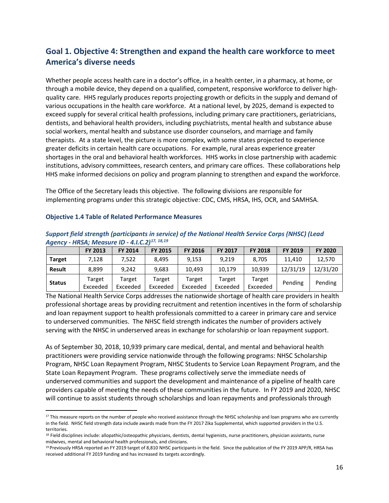### <span id="page-15-0"></span>**Goal 1. Objective 4: Strengthen and expand the health care workforce to meet America's diverse needs**

Whether people access health care in a doctor's office, in a health center, in a pharmacy, at home, or through a mobile device, they depend on a qualified, competent, responsive workforce to deliver highquality care. HHS regularly produces reports projecting growth or deficits in the supply and demand of various occupations in the health care workforce. At a national level, by 2025, demand is expected to exceed supply for several critical health professions, including primary care practitioners, geriatricians, dentists, and behavioral health providers, including psychiatrists, mental health and substance abuse social workers, mental health and substance use disorder counselors, and marriage and family therapists. At a state level, the picture is more complex, with some states projected to experience greater deficits in certain health care occupations. For example, rural areas experience greater shortages in the oral and behavioral health workforces. HHS works in close partnership with academic institutions, advisory committees, research centers, and primary care offices. These collaborations help HHS make informed decisions on policy and program planning to strengthen and expand the workforce.

The Office of the Secretary leads this objective. The following divisions are responsible for implementing programs under this strategic objective: CDC, CMS, HRSA, IHS, OCR, and SAMHSA.

|               | Agency - HRSA; Measure ID - 4.I.C.2) <sup>17, 18,19</sup> |                    |                    |                    |                    |                    |          |                |  |  |  |  |  |
|---------------|-----------------------------------------------------------|--------------------|--------------------|--------------------|--------------------|--------------------|----------|----------------|--|--|--|--|--|
|               | FY 2013                                                   | <b>FY 2014</b>     | <b>FY 2015</b>     | <b>FY 2016</b>     | <b>FY 2017</b>     | <b>FY 2018</b>     | FY 2019  | <b>FY 2020</b> |  |  |  |  |  |
| <b>Target</b> | 7,128                                                     | 7.522              | 8.495              | 9,153              | 9,219              | 8,705              | 11.410   | 12,570         |  |  |  |  |  |
| <b>Result</b> | 8.899                                                     | 9.242              | 9,683              | 10.493             | 10,179             | 10.939             | 12/31/19 | 12/31/20       |  |  |  |  |  |
| <b>Status</b> | Target<br>Exceeded                                        | Target<br>Exceeded | Target<br>Exceeded | Target<br>Exceeded | Target<br>Exceeded | Target<br>Exceeded | Pending  | Pending        |  |  |  |  |  |

#### **Objective 1.4 Table of Related Performance Measures**

*Support field strength (participants in service) of the National Health Service Corps (NHSC) (Lead Agency - HRSA; Measure ID - 4.I.C.2)[17,](#page-15-1) [18](#page-15-2),[19](#page-15-3)*

The National Health Service Corps addresses the nationwide shortage of health care providers in health professional shortage areas by providing recruitment and retention incentives in the form of scholarship and loan repayment support to health professionals committed to a career in primary care and service to underserved communities. The NHSC field strength indicates the number of providers actively serving with the NHSC in underserved areas in exchange for scholarship or loan repayment support.

As of September 30, 2018, 10,939 primary care medical, dental, and mental and behavioral health practitioners were providing service nationwide through the following programs: NHSC Scholarship Program, NHSC Loan Repayment Program, NHSC Students to Service Loan Repayment Program, and the State Loan Repayment Program. These programs collectively serve the immediate needs of underserved communities and support the development and maintenance of a pipeline of health care providers capable of meeting the needs of these communities in the future. In FY 2019 and 2020, NHSC will continue to assist students through scholarships and loan repayments and professionals through

<span id="page-15-1"></span> $17$  This measure reports on the number of people who received assistance through the NHSC scholarship and loan programs who are currently in the field. NHSC field strength data include awards made from the FY 2017 Zika Supplemental, which supported providers in the U.S. territories.

<span id="page-15-2"></span><sup>&</sup>lt;sup>18</sup> Field disciplines include: allopathic/osteopathic physicians, dentists, dental hygienists, nurse practitioners, physician assistants, nurse midwives, mental and behavioral health professionals, and clinicians.

<span id="page-15-3"></span><sup>&</sup>lt;sup>19</sup> Previously HRSA reported an FY 2019 target of 8,810 NHSC participants in the field. Since the publication of the FY 2019 APP/R, HRSA has received additional FY 2019 funding and has increased its targets accordingly.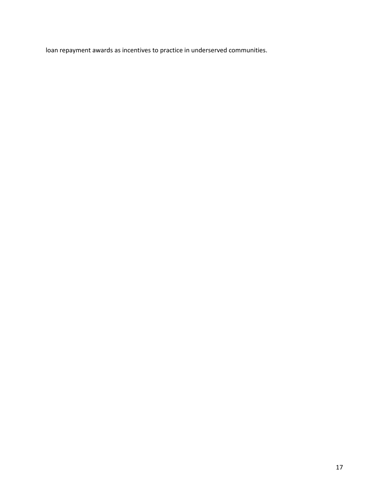<span id="page-16-0"></span>loan repayment awards as incentives to practice in underserved communities.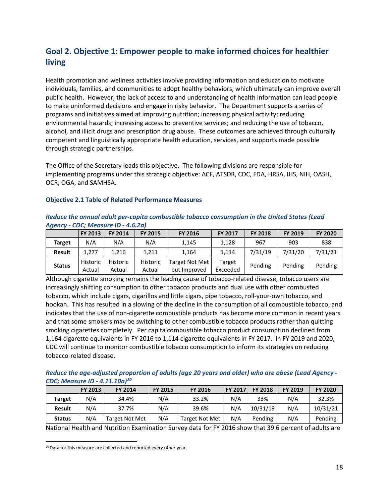# **Goal 2. Objective 1: Empower people to make informed choices for healthier living**

Health promotion and wellness activities involve providing information and education to motivate individuals, families, and communities to adopt healthy behaviors, which ultimately can improve overall public health. However, the lack of access to and understanding of health information can lead people to make uninformed decisions and engage in risky behavior. The Department supports a series of programs and initiatives aimed at improving nutrition; increasing physical activity; reducing environmental hazards; increasing access to preventive services; and reducing the use of tobacco, alcohol, and illicit drugs and prescription drug abuse. These outcomes are achieved through culturally competent and linguistically appropriate health education, services, and supports made possible through strategic partnerships.

The Office of the Secretary leads this objective. The following divisions are responsible for implementing programs under this strategic objective: ACF, ATSDR, CDC, FDA, HRSA, IHS, NIH, OASH, OCR, OGA, and SAMHSA.

#### **Objective 2.1 Table of Related Performance Measures**

|               | Agency - CDC; Measure ID - 4.0.201 |                    |                    |                                       |                    |                |         |                |  |  |  |  |
|---------------|------------------------------------|--------------------|--------------------|---------------------------------------|--------------------|----------------|---------|----------------|--|--|--|--|
|               | FY 2013                            | <b>FY 2014</b>     | FY 2015            | <b>FY 2016</b>                        | <b>FY 2017</b>     | <b>FY 2018</b> | FY 2019 | <b>FY 2020</b> |  |  |  |  |
| <b>Target</b> | N/A                                | N/A                | N/A                | 1,145                                 | 1.128              | 967            | 903     | 838            |  |  |  |  |
| <b>Result</b> | 1.277                              | 1.216              | 1,211              | 1,164                                 | 1.114              | 7/31/19        | 7/31/20 | 7/31/21        |  |  |  |  |
| <b>Status</b> | Historic<br>Actual                 | Historic<br>Actual | Historic<br>Actual | <b>Target Not Met</b><br>but Improved | Target<br>Exceeded | Pending        | Pending | Pending        |  |  |  |  |

#### *Reduce the annual adult per-capita combustible tobacco consumption in the United States (Lead Agency - CDC; Measure ID - 4.6.2a)*

Although cigarette smoking remains the leading cause of tobacco-related disease, tobacco users are increasingly shifting consumption to other tobacco products and dual use with other combusted tobacco, which include cigars, cigarillos and little cigars, pipe tobacco, roll-your-own tobacco, and hookah. This has resulted in a slowing of the decline in the consumption of all combustible tobacco, and indicates that the use of non-cigarette combustible products has become more common in recent years and that some smokers may be switching to other combustible tobacco products rather than quitting smoking cigarettes completely. Per capita combustible tobacco product consumption declined from 1,164 cigarette equivalents in FY 2016 to 1,114 cigarette equivalents in FY 2017. In FY 2019 and 2020, CDC will continue to monitor combustible tobacco consumption to inform its strategies on reducing tobacco-related disease.

| Reduce the age-adjusted proportion of adults (age 20 years and older) who are obese (Lead Agency - |  |
|----------------------------------------------------------------------------------------------------|--|
| <b>CDC; Measure ID - 4.11.10a)</b> <sup>20</sup>                                                   |  |

|               | FY 2013 | <b>FY 2014</b> | <b>FY 2015</b> | <b>FY 2016</b> | <b>FY 2017</b> | <b>FY 2018</b> | <b>FY 2019</b> | <b>FY 2020</b> |
|---------------|---------|----------------|----------------|----------------|----------------|----------------|----------------|----------------|
| <b>Target</b> | N/A     | 34.4%          | N/A            | 33.2%          | N/A            | 33%            | N/A            | 32.3%          |
| <b>Result</b> | N/A     | 37.7%          | N/A            | 39.6%          | N/A            | 10/31/19       | N/A            | 10/31/21       |
| <b>Status</b> | N/A     | Target Not Met | N/A            | Target Not Met | N/A            | Pending        | N/A            | Pending        |

National Health and Nutrition Examination Survey data for FY 2016 show that 39.6 percent of adults are

<span id="page-17-0"></span><sup>&</sup>lt;sup>20</sup> Data for this measure are collected and reported every other year.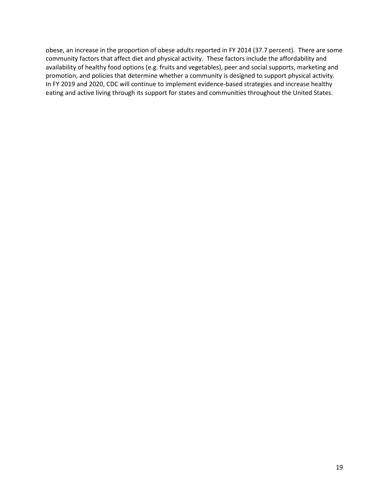obese, an increase in the proportion of obese adults reported in FY 2014 (37.7 percent). There are some community factors that affect diet and physical activity. These factors include the affordability and availability of healthy food options (e.g. fruits and vegetables), peer and social supports, marketing and promotion, and policies that determine whether a community is designed to support physical activity. In FY 2019 and 2020, CDC will continue to implement evidence-based strategies and increase healthy eating and active living through its support for states and communities throughout the United States.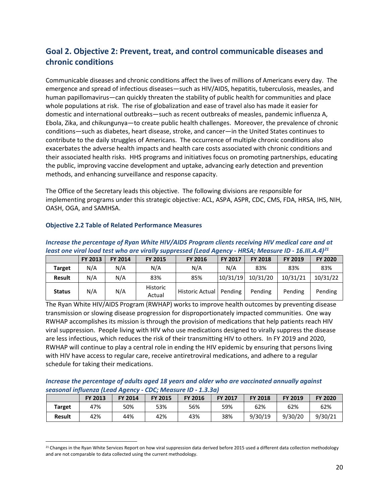# <span id="page-19-0"></span>**Goal 2. Objective 2: Prevent, treat, and control communicable diseases and chronic conditions**

Communicable diseases and chronic conditions affect the lives of millions of Americans every day. The emergence and spread of infectious diseases—such as HIV/AIDS, hepatitis, tuberculosis, measles, and human papillomavirus—can quickly threaten the stability of public health for communities and place whole populations at risk. The rise of globalization and ease of travel also has made it easier for domestic and international outbreaks—such as recent outbreaks of measles, pandemic influenza A, Ebola, Zika, and chikungunya—to create public health challenges. Moreover, the prevalence of chronic conditions—such as diabetes, heart disease, stroke, and cancer—in the United States continues to contribute to the daily struggles of Americans. The occurrence of multiple chronic conditions also exacerbates the adverse health impacts and health care costs associated with chronic conditions and their associated health risks. HHS programs and initiatives focus on promoting partnerships, educating the public, improving vaccine development and uptake, advancing early detection and prevention methods, and enhancing surveillance and response capacity.

The Office of the Secretary leads this objective. The following divisions are responsible for implementing programs under this strategic objective: ACL, ASPA, ASPR, CDC, CMS, FDA, HRSA, IHS, NIH, OASH, OGA, and SAMHSA.

|               | <u>ICUJE UIIC VIIUI IUUU ECJE WIIU UIC VIIUII JUNNICJJCU ILCUU AUCIICY</u><br>$\blacksquare$ |         |                    |                           |                |                |                |                |  |  |  |
|---------------|----------------------------------------------------------------------------------------------|---------|--------------------|---------------------------|----------------|----------------|----------------|----------------|--|--|--|
|               | FY 2013                                                                                      | FY 2014 | <b>FY 2015</b>     | <b>FY 2016</b>            | <b>FY 2017</b> | <b>FY 2018</b> | <b>FY 2019</b> | <b>FY 2020</b> |  |  |  |
| <b>Target</b> | N/A                                                                                          | N/A     | N/A                | N/A                       | N/A            | 83%            | 83%            | 83%            |  |  |  |
| <b>Result</b> | N/A                                                                                          | N/A     | 83%                | 85%                       | 10/31/19       | 10/31/20       | 10/31/21       | 10/31/22       |  |  |  |
| <b>Status</b> | N/A                                                                                          | N/A     | Historic<br>Actual | Historic Actual   Pending |                | Pending        | Pending        | Pending        |  |  |  |

#### **Objective 2.2 Table of Related Performance Measures**

#### *Increase the percentage of Ryan White HIV/AIDS Program clients receiving HIV medical care and at least one viral load test who are virally suppressed (Lead Agency - HRSA; Measure ID - 16.III.A.4)[21](#page-19-1)*

The Ryan White HIV/AIDS Program (RWHAP) works to improve health outcomes by preventing disease transmission or slowing disease progression for disproportionately impacted communities. One way RWHAP accomplishes its mission is through the provision of medications that help patients reach HIV viral suppression. People living with HIV who use medications designed to virally suppress the disease are less infectious, which reduces the risk of their transmitting HIV to others. In FY 2019 and 2020, RWHAP will continue to play a central role in ending the HIV epidemic by ensuring that persons living with HIV have access to regular care, receive antiretroviral medications, and adhere to a regular schedule for taking their medications.

#### *Increase the percentage of adults aged 18 years and older who are vaccinated annually against seasonal influenza (Lead Agency - CDC; Measure ID - 1.3.3a)*

|               | <b>FY 2013</b> | <b>FY 2014</b> | <b>FY 2015</b> | <b>FY 2016</b> | <b>FY 2017</b> | <b>FY 2018</b> | <b>FY 2019</b> | <b>FY 2020</b> |
|---------------|----------------|----------------|----------------|----------------|----------------|----------------|----------------|----------------|
| <b>Target</b> | 47%            | 50%            | 53%            | 56%            | 59%            | 62%            | 62%            | 62%            |
| <b>Result</b> | 42%            | 44%            | 42%            | 43%            | 38%            | 9/30/19        | 9/30/20        | 9/30/21        |

<span id="page-19-1"></span> $^{21}$  Changes in the Ryan White Services Report on how viral suppression data derived before 2015 used a different data collection methodology and are not comparable to data collected using the current methodology.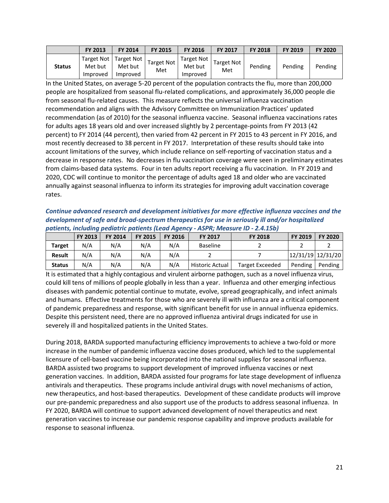|               | FY 2013                           | FY 2014                           | <b>FY 2015</b>           | <b>FY 2016</b>                                 | <b>FY 2017</b>           | <b>FY 2018</b> | <b>FY 2019</b> | <b>FY 2020</b> |
|---------------|-----------------------------------|-----------------------------------|--------------------------|------------------------------------------------|--------------------------|----------------|----------------|----------------|
| <b>Status</b> | Target Not<br>Met but<br>Improved | Target Not<br>Met but<br>Improved | <b>Target Not</b><br>Met | <sup>1</sup> Target Not<br>Met but<br>Improved | <b>Target Not</b><br>Met | Pending        | Pending        | Pending        |

In the United States, on average 5-20 percent of the population contracts the flu, more than 200,000 people are hospitalized from seasonal flu-related complications, and approximately 36,000 people die from seasonal flu-related causes. This measure reflects the universal influenza vaccination recommendation and aligns with the Advisory Committee on Immunization Practices' updated recommendation (as of 2010) for the seasonal influenza vaccine. Seasonal influenza vaccinations rates for adults ages 18 years old and over increased slightly by 2 percentage-points from FY 2013 (42 percent) to FY 2014 (44 percent), then varied from 42 percent in FY 2015 to 43 percent in FY 2016, and most recently decreased to 38 percent in FY 2017. Interpretation of these results should take into account limitations of the survey, which include reliance on self-reporting of vaccination status and a decrease in response rates. No decreases in flu vaccination coverage were seen in preliminary estimates from claims-based data systems. Four in ten adults report receiving a flu vaccination. In FY 2019 and 2020, CDC will continue to monitor the percentage of adults aged 18 and older who are vaccinated annually against seasonal influenza to inform its strategies for improving adult vaccination coverage rates.

*Continue advanced research and development initiatives for more effective influenza vaccines and the development of safe and broad-spectrum therapeutics for use in seriously ill and/or hospitalized patients, including pediatric patients (Lead Agency - ASPR; Measure ID - 2.4.15b)* 

|               | <b>FY 2013</b> | <b>FY 2014</b> | FY 2015 | <b>FY 2016</b> | <b>FY 2017</b>  | <b>FY 2018</b>  | FY 2019 | <b>FY 2020</b>    |
|---------------|----------------|----------------|---------|----------------|-----------------|-----------------|---------|-------------------|
| Target        | N/A            | N/A            | N/A     | N/A            | <b>Baseline</b> |                 |         |                   |
| <b>Result</b> | N/A            | N/A            | N/A     | N/A            |                 |                 |         | 12/31/19 12/31/20 |
| <b>Status</b> | N/A            | N/A            | N/A     | N/A            | Historic Actual | Target Exceeded | Pending | Pending           |

It is estimated that a highly contagious and virulent airborne pathogen, such as a novel influenza virus, could kill tens of millions of people globally in less than a year. Influenza and other emerging infectious diseases with pandemic potential continue to mutate, evolve, spread geographically, and infect animals and humans. Effective treatments for those who are severely ill with influenza are a critical component of pandemic preparedness and response, with significant benefit for use in annual influenza epidemics. Despite this persistent need, there are no approved influenza antiviral drugs indicated for use in severely ill and hospitalized patients in the United States.

During 2018, BARDA supported manufacturing efficiency improvements to achieve a two-fold or more increase in the number of pandemic influenza vaccine doses produced, which led to the supplemental licensure of cell-based vaccine being incorporated into the national supplies for seasonal influenza. BARDA assisted two programs to support development of improved influenza vaccines or next generation vaccines. In addition, BARDA assisted four programs for late stage development of influenza antivirals and therapeutics. These programs include antiviral drugs with novel mechanisms of action, new therapeutics, and host-based therapeutics. Development of these candidate products will improve our pre-pandemic preparedness and also support use of the products to address seasonal influenza. In FY 2020, BARDA will continue to support advanced development of novel therapeutics and next generation vaccines to increase our pandemic response capability and improve products available for response to seasonal influenza.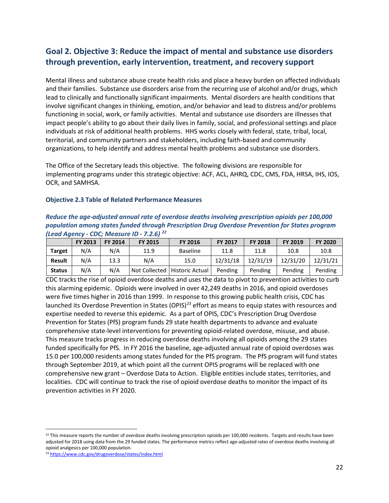# <span id="page-21-0"></span>**Goal 2. Objective 3: Reduce the impact of mental and substance use disorders through prevention, early intervention, treatment, and recovery support**

Mental illness and substance abuse create health risks and place a heavy burden on affected individuals and their families. Substance use disorders arise from the recurring use of alcohol and/or drugs, which lead to clinically and functionally significant impairments. Mental disorders are health conditions that involve significant changes in thinking, emotion, and/or behavior and lead to distress and/or problems functioning in social, work, or family activities. Mental and substance use disorders are illnesses that impact people's ability to go about their daily lives in family, social, and professional settings and place individuals at risk of additional health problems. HHS works closely with federal, state, tribal, local, territorial, and community partners and stakeholders, including faith-based and community organizations, to help identify and address mental health problems and substance use disorders.

The Office of the Secretary leads this objective. The following divisions are responsible for implementing programs under this strategic objective: ACF, ACL, AHRQ, CDC, CMS, FDA, HRSA, IHS, IOS, OCR, and SAMHSA.

#### **Objective 2.3 Table of Related Performance Measures**

| Reduce the age-adjusted annual rate of overdose deaths involving prescription opioids per 100,000 |
|---------------------------------------------------------------------------------------------------|
| population among states funded through Prescription Drug Overdose Prevention for States program   |
| (Lead Agency - CDC; Measure ID - 7.2.6) <sup>22</sup>                                             |

|               | FY 2013 | <b>FY 2014</b> | <b>FY 2015</b> | <b>FY 2016</b>  | <b>FY 2017</b> | <b>FY 2018</b> | FY 2019  | <b>FY 2020</b> |
|---------------|---------|----------------|----------------|-----------------|----------------|----------------|----------|----------------|
| <b>Target</b> | N/A     | N/A            | 11.9           | <b>Baseline</b> | 11.8           | 11.8           | 10.8     | 10.8           |
| <b>Result</b> | N/A     | 13.3           | N/A            | 15.0            | 12/31/18       | 12/31/19       | 12/31/20 | 12/31/21       |
| <b>Status</b> | N/A     | N/A            | Not Collected  | Historic Actual | Pending        | Pending        | Pending  | Pending        |

CDC tracks the rise of opioid overdose deaths and uses the data to pivot to prevention activities to curb this alarming epidemic. Opioids were involved in over 42,249 deaths in 2016, and opioid overdoses were five times higher in 2016 than 1999. In response to this growing public health crisis, CDC has launched its Overdose Prevention in States (OPIS)<sup>[23](#page-21-2)</sup> effort as means to equip states with resources and expertise needed to reverse this epidemic. As a part of OPIS, CDC's Prescription Drug Overdose Prevention for States (PfS) program funds 29 state health departments to advance and evaluate comprehensive state-level interventions for preventing opioid-related overdose, misuse, and abuse. This measure tracks progress in reducing overdose deaths involving all opioids among the 29 states funded specifically for PfS. In FY 2016 the baseline, age-adjusted annual rate of opioid overdoses was 15.0 per 100,000 residents among states funded for the PfS program. The PfS program will fund states through September 2019, at which point all the current OPIS programs will be replaced with one comprehensive new grant – Overdose Data to Action. Eligible entities include states, territories, and localities. CDC will continue to track the rise of opioid overdose deaths to monitor the impact of its prevention activities in FY 2020.

<span id="page-21-1"></span> $^{22}$  This measure reports the number of overdose deaths involving prescription opioids per 100,000 residents. Targets and results have been adjusted for 2018 using data from the 29 funded states. The performance metrics reflect age-adjusted rates of overdose deaths involving all opioid analgesics per 100,000 population.

<span id="page-21-2"></span><sup>23</sup> <https://www.cdc.gov/drugoverdose/states/index.html>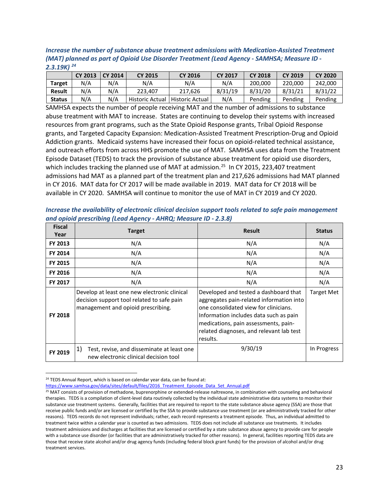*Increase the number of substance abuse treatment admissions with Medication-Assisted Treatment (MAT) planned as part of Opioid Use Disorder Treatment (Lead Agency - SAMHSA; Measure ID - 2.3.19K) [24](#page-22-0)*

|               | <b>CY 2013</b> | <b>CY 2014</b> | <b>CY 2015</b>         | <b>CY 2016</b>         | <b>CY 2017</b> | <b>CY 2018</b> | <b>CY 2019</b> | <b>CY 2020</b> |
|---------------|----------------|----------------|------------------------|------------------------|----------------|----------------|----------------|----------------|
| <b>Target</b> | N/A            | N/A            | N/A                    | N/A                    | N/A            | 200,000        | 220,000        | 242,000        |
| <b>Result</b> | N/A            | N/A            | 223.407                | 217.626                | 8/31/19        | 8/31/20        | 8/31/21        | 8/31/22        |
| <b>Status</b> | N/A            | N/A            | <b>Historic Actual</b> | <b>Historic Actual</b> | N/A            | Pending        | Pending        | Pending        |

SAMHSA expects the number of people receiving MAT and the number of admissions to substance abuse treatment with MAT to increase. States are continuing to develop their systems with increased resources from grant programs, such as the State Opioid Response grants, Tribal Opioid Response grants, and Targeted Capacity Expansion: Medication-Assisted Treatment Prescription-Drug and Opioid Addiction grants. Medicaid systems have increased their focus on opioid-related technical assistance, and outreach efforts from across HHS promote the use of MAT. SAMHSA uses data from the Treatment Episode Dataset (TEDS) to track the provision of substance abuse treatment for opioid use disorders, which includes tracking the planned use of MAT at admission.<sup>[25](#page-22-1)</sup> In CY 2015, 223,407 treatment admissions had MAT as a planned part of the treatment plan and 217,626 admissions had MAT planned in CY 2016. MAT data for CY 2017 will be made available in 2019. MAT data for CY 2018 will be available in CY 2020. SAMHSA will continue to monitor the use of MAT in CY 2019 and CY 2020.

| Increase the availability of electronic clinical decision support tools related to safe pain management |
|---------------------------------------------------------------------------------------------------------|
| and opioid prescribing (Lead Agency - AHRQ; Measure ID - 2.3.8)                                         |

| <b>Fiscal</b>  | <b>Target</b>                                                                                                                    | <b>Result</b>                                                                                                                                                                                                                                                        | <b>Status</b>     |
|----------------|----------------------------------------------------------------------------------------------------------------------------------|----------------------------------------------------------------------------------------------------------------------------------------------------------------------------------------------------------------------------------------------------------------------|-------------------|
| Year           |                                                                                                                                  |                                                                                                                                                                                                                                                                      |                   |
| FY 2013        | N/A                                                                                                                              | N/A                                                                                                                                                                                                                                                                  | N/A               |
| FY 2014        | N/A                                                                                                                              | N/A                                                                                                                                                                                                                                                                  | N/A               |
| <b>FY 2015</b> | N/A                                                                                                                              | N/A                                                                                                                                                                                                                                                                  | N/A               |
| <b>FY 2016</b> | N/A                                                                                                                              | N/A                                                                                                                                                                                                                                                                  | N/A               |
| FY 2017        | N/A                                                                                                                              | N/A                                                                                                                                                                                                                                                                  | N/A               |
| <b>FY 2018</b> | Develop at least one new electronic clinical<br>decision support tool related to safe pain<br>management and opioid prescribing. | Developed and tested a dashboard that<br>aggregates pain-related information into<br>one consolidated view for clinicians.<br>Information includes data such as pain<br>medications, pain assessments, pain-<br>related diagnoses, and relevant lab test<br>results. | <b>Target Met</b> |
| FY 2019        | 1)<br>Test, revise, and disseminate at least one<br>new electronic clinical decision tool                                        | 9/30/19                                                                                                                                                                                                                                                              | In Progress       |

<span id="page-22-0"></span> $24$  TEDS Annual Report, which is based on calendar year data, can be found at:

[https://www.samhsa.gov/data/sites/default/files/2016\\_Treatment\\_Episode\\_Data\\_Set\\_Annual.pdf](https://www.samhsa.gov/data/sites/default/files/2016_Treatment_Episode_Data_Set_Annual.pdf)

<span id="page-22-1"></span><sup>&</sup>lt;sup>25</sup> MAT consists of provision of methadone, buprenorphine or extended-release naltrexone, in combination with counseling and behavioral therapies. TEDS is a compilation of client-level data routinely collected by the individual state administrative data systems to monitor their substance use treatment systems. Generally, facilities that are required to report to the state substance abuse agency (SSA) are those that receive public funds and/or are licensed or certified by the SSA to provide substance use treatment (or are administratively tracked for other reasons). TEDS records do not represent individuals; rather, each record represents a treatment episode. Thus, an individual admitted to treatment twice within a calendar year is counted as two admissions. TEDS does not include all substance use treatments. It includes treatment admissions and discharges at facilities that are licensed or certified by a state substance abuse agency to provide care for people with a substance use disorder (or facilities that are administratively tracked for other reasons). In general, facilities reporting TEDS data are those that receive state alcohol and/or drug agency funds (including federal block grant funds) for the provision of alcohol and/or drug treatment services.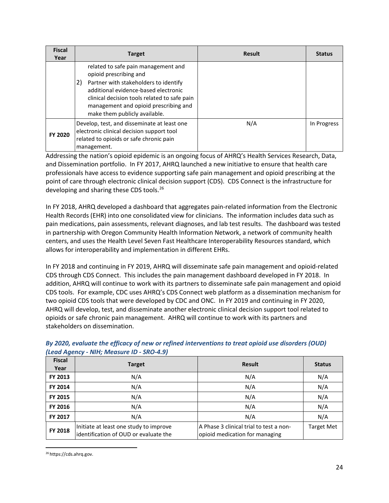| <b>Fiscal</b><br>Year | <b>Target</b>                                                                                                                                                                                                                                                                  | <b>Result</b> | <b>Status</b> |
|-----------------------|--------------------------------------------------------------------------------------------------------------------------------------------------------------------------------------------------------------------------------------------------------------------------------|---------------|---------------|
|                       | related to safe pain management and<br>opioid prescribing and<br>Partner with stakeholders to identify<br>2)<br>additional evidence-based electronic<br>clinical decision tools related to safe pain<br>management and opioid prescribing and<br>make them publicly available. |               |               |
| FY 2020               | Develop, test, and disseminate at least one<br>electronic clinical decision support tool<br>related to opioids or safe chronic pain<br>management.                                                                                                                             | N/A           | In Progress   |

Addressing the nation's opioid epidemic is an ongoing focus of AHRQ's Health Services Research, Data, and Dissemination portfolio. In FY 2017, AHRQ launched a new initiative to ensure that health care professionals have access to evidence supporting safe pain management and opioid prescribing at the point of care through electronic clinical decision support (CDS). CDS Connect is the infrastructure for developing and sharing these CDS tools.<sup>[26](#page-23-0)</sup>

In FY 2018, AHRQ developed a dashboard that aggregates pain-related information from the Electronic Health Records (EHR) into one consolidated view for clinicians. The information includes data such as pain medications, pain assessments, relevant diagnoses, and lab test results. The dashboard was tested in partnership with Oregon Community Health Information Network, a network of community health centers, and uses the Health Level Seven Fast Healthcare Interoperability Resources standard, which allows for interoperability and implementation in different EHRs.

In FY 2018 and continuing in FY 2019, AHRQ will disseminate safe pain management and opioid-related CDS through CDS Connect. This includes the pain management dashboard developed in FY 2018. In addition, AHRQ will continue to work with its partners to disseminate safe pain management and opioid CDS tools. For example, CDC uses AHRQ's CDS Connect web platform as a dissemination mechanism for two opioid CDS tools that were developed by CDC and ONC. In FY 2019 and continuing in FY 2020, AHRQ will develop, test, and disseminate another electronic clinical decision support tool related to opioids or safe chronic pain management. AHRQ will continue to work with its partners and stakeholders on dissemination.

|                       | $\frac{1}{2}$ Leud Agency - Nill, ivieusule ID - SNO-4.31                       |                                                                           |                   |  |  |  |  |  |
|-----------------------|---------------------------------------------------------------------------------|---------------------------------------------------------------------------|-------------------|--|--|--|--|--|
| <b>Fiscal</b><br>Year | <b>Target</b>                                                                   | <b>Result</b>                                                             | <b>Status</b>     |  |  |  |  |  |
| FY 2013               | N/A                                                                             | N/A                                                                       | N/A               |  |  |  |  |  |
| FY 2014               | N/A                                                                             | N/A                                                                       | N/A               |  |  |  |  |  |
| FY 2015               | N/A                                                                             | N/A                                                                       | N/A               |  |  |  |  |  |
| FY 2016               | N/A                                                                             | N/A                                                                       | N/A               |  |  |  |  |  |
| FY 2017               | N/A                                                                             | N/A                                                                       | N/A               |  |  |  |  |  |
| FY 2018               | Initiate at least one study to improve<br>identification of OUD or evaluate the | A Phase 3 clinical trial to test a non-<br>opioid medication for managing | <b>Target Met</b> |  |  |  |  |  |

#### *By 2020, evaluate the efficacy of new or refined interventions to treat opioid use disorders (OUD) (Lead Agency - NIH; Measure ID - SRO-4.9)*

<span id="page-23-0"></span> <sup>26</sup> https://cds.ahrq.gov.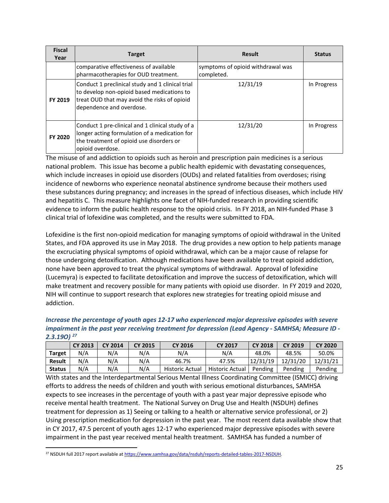| <b>Fiscal</b><br>Year | <b>Target</b>                                                                                                                                                              | <b>Result</b>                                   | <b>Status</b> |
|-----------------------|----------------------------------------------------------------------------------------------------------------------------------------------------------------------------|-------------------------------------------------|---------------|
|                       | comparative effectiveness of available<br>pharmacotherapies for OUD treatment.                                                                                             | symptoms of opioid withdrawal was<br>completed. |               |
| <b>FY 2019</b>        | Conduct 1 preclinical study and 1 clinical trial<br>to develop non-opioid based medications to<br>treat OUD that may avoid the risks of opioid<br>dependence and overdose. | 12/31/19                                        | In Progress   |
| FY 2020               | Conduct 1 pre-clinical and 1 clinical study of a<br>longer acting formulation of a medication for<br>the treatment of opioid use disorders or<br>opioid overdose.          | 12/31/20                                        | In Progress   |

The misuse of and addiction to opioids such as heroin and prescription pain medicines is a serious national problem. This issue has become a public health epidemic with devastating consequences, which include increases in opioid use disorders (OUDs) and related fatalities from overdoses; rising incidence of newborns who experience neonatal abstinence syndrome because their mothers used these substances during pregnancy; and increases in the spread of infectious diseases, which include HIV and hepatitis C. This measure highlights one facet of NIH-funded research in providing scientific evidence to inform the public health response to the opioid crisis. In FY 2018, an NIH-funded Phase 3 clinical trial of lofexidine was completed, and the results were submitted to FDA.

Lofexidine is the first non-opioid medication for managing symptoms of opioid withdrawal in the United States, and FDA approved its use in May 2018. The drug provides a new option to help patients manage the excruciating physical symptoms of opioid withdrawal, which can be a major cause of relapse for those undergoing detoxification. Although medications have been available to treat opioid addiction, none have been approved to treat the physical symptoms of withdrawal. Approval of lofexidine (Lucemyra) is expected to facilitate detoxification and improve the success of detoxification, which will make treatment and recovery possible for many patients with opioid use disorder. In FY 2019 and 2020, NIH will continue to support research that explores new strategies for treating opioid misuse and addiction.

| Increase the percentage of youth ages 12-17 who experienced major depressive episodes with severe  |
|----------------------------------------------------------------------------------------------------|
| impairment in the past year receiving treatment for depression (Lead Agency - SAMHSA; Measure ID - |
| $2.3.190$ <sup>27</sup>                                                                            |

|               | <b>CY 2013</b> | <b>CY 2014</b> | <b>CY 2015</b> | <b>CY 2016</b>               | <b>CY 2017</b>  | <b>CY 2018</b> | <b>CY 2019</b> | <b>CY 2020</b> |
|---------------|----------------|----------------|----------------|------------------------------|-----------------|----------------|----------------|----------------|
| <b>Target</b> | N/A            | N/A            | N/A            | N/A<br>N/A<br>48.0%<br>48.5% |                 |                | 50.0%          |                |
| <b>Result</b> | N/A            | N/A            | N/A            | 46.7%                        | 47.5%           | 12/31/19       | 12/31/20       | 12/31/21       |
| <b>Status</b> | N/A            | N/A            | N/A            | <b>Historic Actual</b>       | Historic Actual | Pending        | Pending        | Pending        |

With states and the Interdepartmental Serious Mental Illness Coordinating Committee (ISMICC) driving efforts to address the needs of children and youth with serious emotional disturbances, SAMHSA expects to see increases in the percentage of youth with a past year major depressive episode who receive mental health treatment. The National Survey on Drug Use and Health (NSDUH) defines treatment for depression as 1) Seeing or talking to a health or alternative service professional, or 2) Using prescription medication for depression in the past year. The most recent data available show that in CY 2017, 47.5 percent of youth ages 12-17 who experienced major depressive episodes with severe impairment in the past year received mental health treatment. SAMHSA has funded a number of

<span id="page-24-0"></span><sup>&</sup>lt;sup>27</sup> NSDUH full 2017 report available a[t https://www.samhsa.gov/data/nsduh/reports-detailed-tables-2017-NSDUH.](https://www.samhsa.gov/data/nsduh/reports-detailed-tables-2017-NSDUH)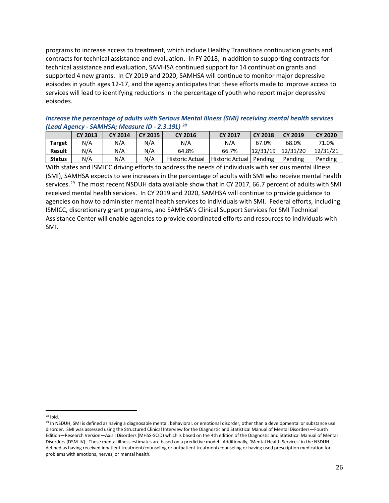programs to increase access to treatment, which include Healthy Transitions continuation grants and contracts for technical assistance and evaluation. In FY 2018, in addition to supporting contracts for technical assistance and evaluation, SAMHSA continued support for 14 continuation grants and supported 4 new grants. In CY 2019 and 2020, SAMHSA will continue to monitor major depressive episodes in youth ages 12-17, and the agency anticipates that these efforts made to improve access to services will lead to identifying reductions in the percentage of youth who report major depressive episodes.

*Increase the percentage of adults with Serious Mental Illness (SMI) receiving mental health services (Lead Agency - SAMHSA; Measure ID - 2.3.19L) [28](#page-25-0)*

|               | <b>CY 2013</b> | <b>CY 2014</b> | <b>CY 2015</b> | <b>CY 2016</b>         | <b>CY 2017</b>  | <b>CY 2018</b> | <b>CY 2019</b> | <b>CY 2020</b> |
|---------------|----------------|----------------|----------------|------------------------|-----------------|----------------|----------------|----------------|
| <b>Target</b> | N/A            | N/A            | N/A            | N/A                    | N/A             | 67.0%          | 68.0%          | 71.0%          |
| <b>Result</b> | N/A            | N/A            | N/A            | 64.8%                  | 66.7%           | 12/31/19       | 12/31/20       | 12/31/21       |
| <b>Status</b> | N/A            | N/A            | N/A            | <b>Historic Actual</b> | Historic Actual | Pending        | Pending        | Pending        |

With states and ISMICC driving efforts to address the needs of individuals with serious mental illness (SMI), SAMHSA expects to see increases in the percentage of adults with SMI who receive mental health services.<sup>29</sup> The most recent NSDUH data available show that in CY 2017, 66.7 percent of adults with SMI received mental health services. In CY 2019 and 2020, SAMHSA will continue to provide guidance to agencies on how to administer mental health services to individuals with SMI. Federal efforts, including ISMICC, discretionary grant programs, and SAMHSA's Clinical Support Services for SMI Technical Assistance Center will enable agencies to provide coordinated efforts and resources to individuals with SMI.

<span id="page-25-0"></span> $28$  Ibid.

<span id="page-25-1"></span><sup>&</sup>lt;sup>29</sup> In NSDUH, SMI is defined as having a diagnosable mental, behavioral, or emotional disorder, other than a developmental or substance use disorder. SMI was assessed using the Structured Clinical Interview for the Diagnostic and Statistical Manual of Mental Disorders—Fourth Edition—Research Version—Axis I Disorders (MHSS-SCID) which is based on the 4th edition of the Diagnostic and Statistical Manual of Mental Disorders (DSM-IV). These mental illness estimates are based on a predictive model. Additionally, 'Mental Health Services' in the NSDUH is defined as having received inpatient treatment/counseling or outpatient treatment/counseling or having used prescription medication for problems with emotions, nerves, or mental health.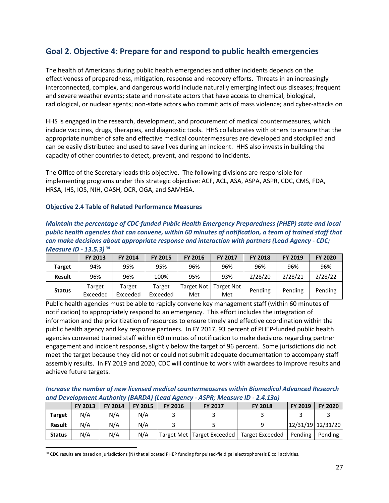### <span id="page-26-0"></span>**Goal 2. Objective 4: Prepare for and respond to public health emergencies**

The health of Americans during public health emergencies and other incidents depends on the effectiveness of preparedness, mitigation, response and recovery efforts. Threats in an increasingly interconnected, complex, and dangerous world include naturally emerging infectious diseases; frequent and severe weather events; state and non-state actors that have access to chemical, biological, radiological, or nuclear agents; non-state actors who commit acts of mass violence; and cyber-attacks on

HHS is engaged in the research, development, and procurement of medical countermeasures, which include vaccines, drugs, therapies, and diagnostic tools. HHS collaborates with others to ensure that the appropriate number of safe and effective medical countermeasures are developed and stockpiled and can be easily distributed and used to save lives during an incident. HHS also invests in building the capacity of other countries to detect, prevent, and respond to incidents.

The Office of the Secretary leads this objective. The following divisions are responsible for implementing programs under this strategic objective: ACF, ACL, ASA, ASPA, ASPR, CDC, CMS, FDA, HRSA, IHS, IOS, NIH, OASH, OCR, OGA, and SAMHSA.

#### **Objective 2.4 Table of Related Performance Measures**

| Maintain the percentage of CDC-funded Public Health Emergency Preparedness (PHEP) state and local        |
|----------------------------------------------------------------------------------------------------------|
| public health agencies that can convene, within 60 minutes of notification, a team of trained staff that |
| can make decisions about appropriate response and interaction with partners (Lead Agency - CDC;          |
| Measure ID - 13.5.3) <sup>30</sup>                                                                       |

|               | <b>FY 2013</b>     | <b>FY 2014</b>     | <b>FY 2015</b>     | <b>FY 2016</b>    | <b>FY 2017</b>           | <b>FY 2018</b> | <b>FY 2019</b> | <b>FY 2020</b> |
|---------------|--------------------|--------------------|--------------------|-------------------|--------------------------|----------------|----------------|----------------|
| Target        | 94%                | 95%                | 95%                | 96%               | 96%                      | 96%            | 96%            | 96%            |
| <b>Result</b> | 96%                | 96%                | 100%               | 95%               | 93%                      | 2/28/20        | 2/28/21        | 2/28/22        |
| <b>Status</b> | Target<br>Exceeded | Target<br>Exceeded | Target<br>Exceeded | Target Not<br>Met | <b>Target Not</b><br>Met | Pending        | Pending        | Pending        |

Public health agencies must be able to rapidly convene key management staff (within 60 minutes of notification) to appropriately respond to an emergency. This effort includes the integration of information and the prioritization of resources to ensure timely and effective coordination within the public health agency and key response partners. In FY 2017, 93 percent of PHEP-funded public health agencies convened trained staff within 60 minutes of notification to make decisions regarding partner engagement and incident response, slightly below the target of 96 percent. Some jurisdictions did not meet the target because they did not or could not submit adequate documentation to accompany staff assembly results. In FY 2019 and 2020, CDC will continue to work with awardees to improve results and achieve future targets.

*Increase the number of new licensed medical countermeasures within Biomedical Advanced Research and Development Authority (BARDA) (Lead Agency - ASPR; Measure ID - 2.4.13a)* 

|               | FY 2013 | <b>FY 2014</b> | FY 2015 | <b>FY 2016</b> | <b>FY 2017</b> | <b>FY 2018</b>                                 | FY 2019 | <b>FY 2020</b>    |
|---------------|---------|----------------|---------|----------------|----------------|------------------------------------------------|---------|-------------------|
| <b>Target</b> | N/A     | N/A            | N/A     |                |                |                                                |         |                   |
| <b>Result</b> | N/A     | N/A            | N/A     |                |                |                                                |         | 12/31/19 12/31/20 |
| <b>Status</b> | N/A     | N/A            | N/A     |                |                | Target Met   Target Exceeded   Target Exceeded | Pending | Pending           |

<span id="page-26-1"></span>30 CDC results are based on jurisdictions (N) that allocated PHEP funding for pulsed-field gel electrophoresis E.coli activities.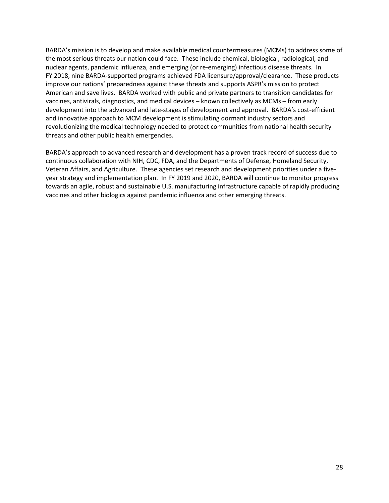BARDA's mission is to develop and make available medical countermeasures (MCMs) to address some of the most serious threats our nation could face. These include chemical, biological, radiological, and nuclear agents, pandemic influenza, and emerging (or re-emerging) infectious disease threats. In FY 2018, nine BARDA-supported programs achieved FDA licensure/approval/clearance. These products improve our nations' preparedness against these threats and supports ASPR's mission to protect American and save lives. BARDA worked with public and private partners to transition candidates for vaccines, antivirals, diagnostics, and medical devices – known collectively as MCMs – from early development into the advanced and late-stages of development and approval. BARDA's cost-efficient and innovative approach to MCM development is stimulating dormant industry sectors and revolutionizing the medical technology needed to protect communities from national health security threats and other public health emergencies.

BARDA's approach to advanced research and development has a proven track record of success due to continuous collaboration with NIH, CDC, FDA, and the Departments of Defense, Homeland Security, Veteran Affairs, and Agriculture. These agencies set research and development priorities under a fiveyear strategy and implementation plan. In FY 2019 and 2020, BARDA will continue to monitor progress towards an agile, robust and sustainable U.S. manufacturing infrastructure capable of rapidly producing vaccines and other biologics against pandemic influenza and other emerging threats.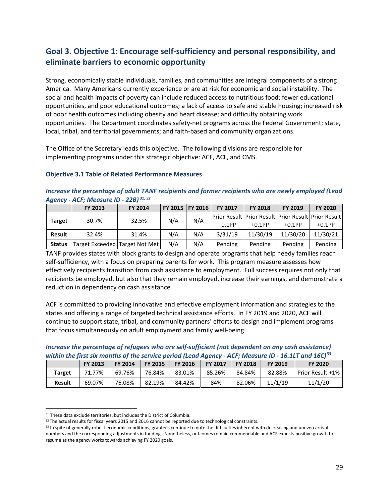# <span id="page-28-0"></span>**Goal 3. Objective 1: Encourage self-sufficiency and personal responsibility, and eliminate barriers to economic opportunity**

Strong, economically stable individuals, families, and communities are integral components of a strong America. Many Americans currently experience or are at risk for economic and social instability. The social and health impacts of poverty can include reduced access to nutritious food; fewer educational opportunities, and poor educational outcomes; a lack of access to safe and stable housing; increased risk of poor health outcomes including obesity and heart disease; and difficulty obtaining work opportunities. The Department coordinates safety-net programs across the Federal Government; state, local, tribal, and territorial governments; and faith-based and community organizations.

The Office of the Secretary leads this objective. The following divisions are responsible for implementing programs under this strategic objective: ACF, ACL, and CMS.

#### **Objective 3.1 Table of Related Performance Measures**

*Increase the percentage of adult TANF recipients and former recipients who are newly employed (Lead Agency - ACF; Measure ID - 22B) [31,](#page-28-1) [32](#page-28-2)*

|               | <b>FY 2013</b>                 | FY 2014 | FY 2015 | <b>FY 2016</b> | <b>FY 2017</b> | <b>FY 2018</b> | FY 2019   | <b>FY 2020</b>                                            |
|---------------|--------------------------------|---------|---------|----------------|----------------|----------------|-----------|-----------------------------------------------------------|
|               | 30.7%                          | 32.5%   | N/A     | N/A            |                |                |           | Prior Result   Prior Result   Prior Result   Prior Result |
| <b>Target</b> |                                |         |         |                | $+0.1$ PP      | $+0.1$ PP      | $+0.1$ PP | $+0.1$ PP                                                 |
| <b>Result</b> | 32.4%                          | 31.4%   | N/A     | N/A            | 3/31/19        | 11/30/19       | 11/30/20  | 11/30/21                                                  |
| <b>Status</b> | Target Exceeded Target Not Met |         | N/A     | N/A            | Pending        | Pending        | Pending   | Pending                                                   |

TANF provides states with block grants to design and operate programs that help needy families reach self-sufficiency, with a focus on preparing parents for work. This program measure assesses how effectively recipients transition from cash assistance to employment. Full success requires not only that recipients be employed, but also that they remain employed, increase their earnings, and demonstrate a reduction in dependency on cash assistance.

ACF is committed to providing innovative and effective employment information and strategies to the states and offering a range of targeted technical assistance efforts. In FY 2019 and 2020, ACF will continue to support state, tribal, and community partners' efforts to design and implement programs that focus simultaneously on adult employment and family well-being.

*Increase the percentage of refugees who are self-sufficient (not dependent on any cash assistance) within the first six months of the service period (Lead Agency - ACF; Measure ID - 16.1LT and 16C)[33](#page-28-3)*

|               | <b>FY 2013</b> | <b>FY 2014</b> | <b>FY 2015</b> | <b>FY 2016</b> | <b>FY 2017</b> | <b>FY 2018</b> | <b>FY 2019</b> | <b>FY 2020</b>   |
|---------------|----------------|----------------|----------------|----------------|----------------|----------------|----------------|------------------|
| <b>Target</b> | 71.77%         | 69.76%         | 76.84%         | 83.01%         | 85.26%         | 84.84%         | 82.88%         | Prior Result +1% |
| <b>Result</b> | 69.07%         | 76.08%         | 82.19%         | 84.42%         | 84%            | 82.06%         | 11/1/19        | 11/1/20          |

<span id="page-28-1"></span><sup>&</sup>lt;sup>31</sup> These data exclude territories, but includes the District of Columbia.

<span id="page-28-2"></span><sup>32</sup> The actual results for fiscal years 2015 and 2016 cannot be reported due to technological constraints.

<span id="page-28-3"></span><sup>&</sup>lt;sup>33</sup> In spite of generally robust economic conditions, grantees continue to note the difficulties inherent with decreasing and uneven arrival numbers and the corresponding adjustments in funding. Nonetheless, outcomes remain commendable and ACF expects positive growth to resume as the agency works towards achieving FY 2020 goals.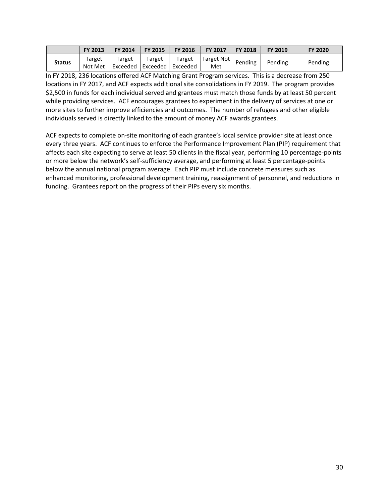|               | <b>FY 2013</b>    | FY 2014                                    | <b>FY 2015</b> | <b>FY 2016</b> | <b>FY 2017</b>    | <b>FY 2018</b> | <b>FY 2019</b> | <b>FY 2020</b> |
|---------------|-------------------|--------------------------------------------|----------------|----------------|-------------------|----------------|----------------|----------------|
| <b>Status</b> | Target<br>Not Met | Target<br>  Exceeded   Exceeded   Exceeded | Target         | Target         | Target Not<br>Met | Pending        | Pending        | Pending        |

In FY 2018, 236 locations offered ACF Matching Grant Program services. This is a decrease from 250 locations in FY 2017, and ACF expects additional site consolidations in FY 2019. The program provides \$2,500 in funds for each individual served and grantees must match those funds by at least 50 percent while providing services. ACF encourages grantees to experiment in the delivery of services at one or more sites to further improve efficiencies and outcomes. The number of refugees and other eligible individuals served is directly linked to the amount of money ACF awards grantees.

ACF expects to complete on-site monitoring of each grantee's local service provider site at least once every three years. ACF continues to enforce the Performance Improvement Plan (PIP) requirement that affects each site expecting to serve at least 50 clients in the fiscal year, performing 10 percentage-points or more below the network's self-sufficiency average, and performing at least 5 percentage-points below the annual national program average. Each PIP must include concrete measures such as enhanced monitoring, professional development training, reassignment of personnel, and reductions in funding. Grantees report on the progress of their PIPs every six months.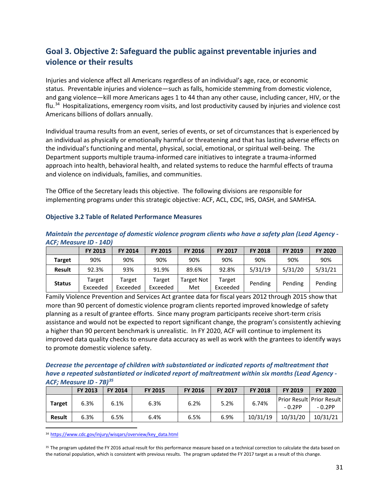# <span id="page-30-0"></span>**Goal 3. Objective 2: Safeguard the public against preventable injuries and violence or their results**

Injuries and violence affect all Americans regardless of an individual's age, race, or economic status. Preventable injuries and violence—such as falls, homicide stemming from domestic violence, and gang violence—kill more Americans ages 1 to 44 than any other cause, including cancer, HIV, or the flu.[34](#page-30-1) Hospitalizations, emergency room visits, and lost productivity caused by injuries and violence cost Americans billions of dollars annually.

Individual trauma results from an event, series of events, or set of circumstances that is experienced by an individual as physically or emotionally harmful or threatening and that has lasting adverse effects on the individual's functioning and mental, physical, social, emotional, or spiritual well-being. The Department supports multiple trauma-informed care initiatives to integrate a trauma-informed approach into health, behavioral health, and related systems to reduce the harmful effects of trauma and violence on individuals, families, and communities.

The Office of the Secretary leads this objective. The following divisions are responsible for implementing programs under this strategic objective: ACF, ACL, CDC, IHS, OASH, and SAMHSA.

#### **Objective 3.2 Table of Related Performance Measures**

| Maintain the percentage of domestic violence program clients who have a safety plan (Lead Agency - |  |
|----------------------------------------------------------------------------------------------------|--|
| ACF; Measure ID - 14D)                                                                             |  |

|               | <b>FY 2013</b>     | FY 2014            | <b>FY 2015</b>     | <b>FY 2016</b>           | <b>FY 2017</b>     | <b>FY 2018</b> | FY 2019 | <b>FY 2020</b> |
|---------------|--------------------|--------------------|--------------------|--------------------------|--------------------|----------------|---------|----------------|
| <b>Target</b> | 90%                | 90%                | 90%                | 90%                      | 90%                | 90%            | 90%     | 90%            |
| <b>Result</b> | 92.3%              | 93%                | 91.9%              | 89.6%                    | 92.8%              | 5/31/19        | 5/31/20 | 5/31/21        |
| <b>Status</b> | Target<br>Exceeded | Target<br>Exceeded | Target<br>Exceeded | <b>Target Not</b><br>Met | Target<br>Exceeded | Pending        | Pending | Pending        |

Family Violence Prevention and Services Act grantee data for fiscal years 2012 through 2015 show that more than 90 percent of domestic violence program clients reported improved knowledge of safety planning as a result of grantee efforts. Since many program participants receive short-term crisis assistance and would not be expected to report significant change, the program's consistently achieving a higher than 90 percent benchmark is unrealistic. In FY 2020, ACF will continue to implement its improved data quality checks to ensure data accuracy as well as work with the grantees to identify ways to promote domestic violence safety.

#### *Decrease the percentage of children with substantiated or indicated reports of maltreatment that have a repeated substantiated or indicated report of maltreatment within six months (Lead Agency - ACF; Measure ID - 7B)[35](#page-30-2)*

|               | FY 2013 | <b>FY 2014</b> | <b>FY 2015</b> | <b>FY 2016</b> | <b>FY 2017</b> | <b>FY 2018</b> | FY 2019   | <b>FY 2020</b>                            |
|---------------|---------|----------------|----------------|----------------|----------------|----------------|-----------|-------------------------------------------|
| <b>Target</b> | 6.3%    | 6.1%           | 6.3%           | 6.2%           | 5.2%           | 6.74%          | $-0.2$ PP | Prior Result   Prior Result  <br>$-0.2PP$ |
| <b>Result</b> | 6.3%    | 6.5%           | 6.4%           | 6.5%           | 6.9%           | 10/31/19       | 10/31/20  | 10/31/21                                  |

<span id="page-30-1"></span>34 [https://www.cdc.gov/injury/wisqars/overview/key\\_data.html](https://www.cdc.gov/injury/wisqars/overview/key_data.html)

<span id="page-30-2"></span><sup>35</sup> The program updated the FY 2016 actual result for this performance measure based on a technical correction to calculate the data based on the national population, which is consistent with previous results. The program updated the FY 2017 target as a result of this change.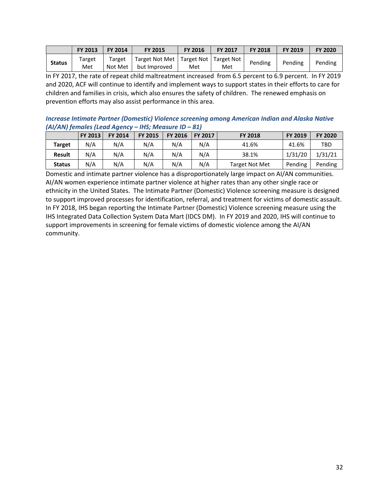|               | FY 2013       | FY 2014           | <b>FY 2015</b>                                             | <b>FY 2016</b> | <b>FY 2017</b> | <b>FY 2018</b> | <b>FY 2019</b> | <b>FY 2020</b> |
|---------------|---------------|-------------------|------------------------------------------------------------|----------------|----------------|----------------|----------------|----------------|
| <b>Status</b> | Target<br>Met | Target<br>Not Met | Target Not Met   Target Not   Target Not  <br>but Improved | Met            | Met            | Pending        | Pending        | Pending        |

In FY 2017, the rate of repeat child maltreatment increased from 6.5 percent to 6.9 percent. In FY 2019 and 2020, ACF will continue to identify and implement ways to support states in their efforts to care for children and families in crisis, which also ensures the safety of children. The renewed emphasis on prevention efforts may also assist performance in this area.

*Increase Intimate Partner (Domestic) Violence screening among American Indian and Alaska Native (AI/AN) females (Lead Agency – IHS; Measure ID – 81)*

|               | FY 2013 | <b>FY 2014</b> | FY 2015 | <b>FY 2016</b> | FY 2017 | <b>FY 2018</b>        | <b>FY 2019</b> | <b>FY 2020</b> |
|---------------|---------|----------------|---------|----------------|---------|-----------------------|----------------|----------------|
| Target        | N/A     | N/A            | N/A     | N/A            | N/A     | 41.6%                 | 41.6%          | TBD            |
| <b>Result</b> | N/A     | N/A            | N/A     | N/A            | N/A     | 38.1%                 | 1/31/20        | 1/31/21        |
| <b>Status</b> | N/A     | N/A            | N/A     | N/A            | N/A     | <b>Target Not Met</b> | Pending        | Pending        |

Domestic and intimate partner violence has a disproportionately large impact on AI/AN communities. AI/AN women experience intimate partner violence at higher rates than any other single race or ethnicity in the United States. The Intimate Partner (Domestic) Violence screening measure is designed to support improved processes for identification, referral, and treatment for victims of domestic assault. In FY 2018, IHS began reporting the Intimate Partner (Domestic) Violence screening measure using the IHS Integrated Data Collection System Data Mart (IDCS DM). In FY 2019 and 2020, IHS will continue to support improvements in screening for female victims of domestic violence among the AI/AN community.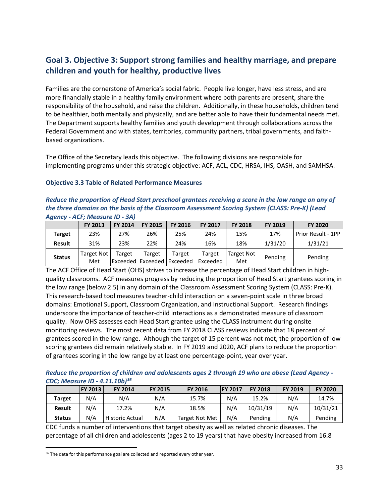### <span id="page-32-0"></span>**Goal 3. Objective 3: Support strong families and healthy marriage, and prepare children and youth for healthy, productive lives**

Families are the cornerstone of America's social fabric. People live longer, have less stress, and are more financially stable in a healthy family environment where both parents are present, share the responsibility of the household, and raise the children. Additionally, in these households, children tend to be healthier, both mentally and physically, and are better able to have their fundamental needs met. The Department supports healthy families and youth development through collaborations across the Federal Government and with states, territories, community partners, tribal governments, and faithbased organizations.

The Office of the Secretary leads this objective. The following divisions are responsible for implementing programs under this strategic objective: ACF, ACL, CDC, HRSA, IHS, OASH, and SAMHSA.

#### **Objective 3.3 Table of Related Performance Measures**

*Reduce the proportion of Head Start preschool grantees receiving a score in the low range on any of the three domains on the basis of the Classroom Assessment Scoring System (CLASS: Pre-K) (Lead Agency - ACF; Measure ID - 3A)* 

|               | <b>FY 2013</b>           | <b>FY 2014</b> | <b>FY 2015</b>               | FY 2016            | <b>FY 2017</b>     | <b>FY 2018</b>    | FY 2019 | <b>FY 2020</b>     |
|---------------|--------------------------|----------------|------------------------------|--------------------|--------------------|-------------------|---------|--------------------|
| <b>Target</b> | 23%                      | 27%            | 26%                          | 25%                | 24%                | 15%               | 17%     | Prior Result - 1PP |
| <b>Result</b> | 31%                      | 23%            | 22%                          | 24%                | 16%                | 18%               | 1/31/20 | 1/31/21            |
| <b>Status</b> | <b>Target Not</b><br>Met | Target         | Target<br> Exceeded Exceeded | Target<br>Exceeded | Target<br>Exceeded | Target Not<br>Met | Pending | Pending            |

The ACF Office of Head Start (OHS) strives to increase the percentage of Head Start children in highquality classrooms. ACF measures progress by reducing the proportion of Head Start grantees scoring in the low range (below 2.5) in any domain of the Classroom Assessment Scoring System (CLASS: Pre-K). This research-based tool measures teacher-child interaction on a seven-point scale in three broad domains: Emotional Support, Classroom Organization, and Instructional Support. Research findings underscore the importance of teacher-child interactions as a demonstrated measure of classroom quality. Now OHS assesses each Head Start grantee using the CLASS instrument during onsite monitoring reviews. The most recent data from FY 2018 CLASS reviews indicate that 18 percent of grantees scored in the low range. Although the target of 15 percent was not met, the proportion of low scoring grantees did remain relatively stable. In FY 2019 and 2020, ACF plans to reduce the proportion of grantees scoring in the low range by at least one percentage-point, year over year.

*Reduce the proportion of children and adolescents ages 2 through 19 who are obese (Lead Agency - CDC; Measure ID - 4.11.10b)[36](#page-32-1)*

|               | <b>FY 2013</b> | <b>FY 2014</b>         | <b>FY 2015</b> | <b>FY 2016</b> | <b>FY 2017</b> | <b>FY 2018</b> | <b>FY 2019</b> | <b>FY 2020</b> |
|---------------|----------------|------------------------|----------------|----------------|----------------|----------------|----------------|----------------|
| <b>Target</b> | N/A            | N/A                    | N/A            | 15.7%          | N/A            | 15.2%          | N/A            | 14.7%          |
| <b>Result</b> | N/A            | 17.2%                  | N/A            | 18.5%          | N/A            | 10/31/19       | N/A            | 10/31/21       |
| <b>Status</b> | N/A            | <b>Historic Actual</b> | N/A            | Target Not Met | N/A            | Pending        | N/A            | Pending        |

CDC funds a number of interventions that target obesity as well as related chronic diseases. The percentage of all children and adolescents (ages 2 to 19 years) that have obesity increased from 16.8

<span id="page-32-1"></span><sup>&</sup>lt;sup>36</sup> The data for this performance goal are collected and reported every other year.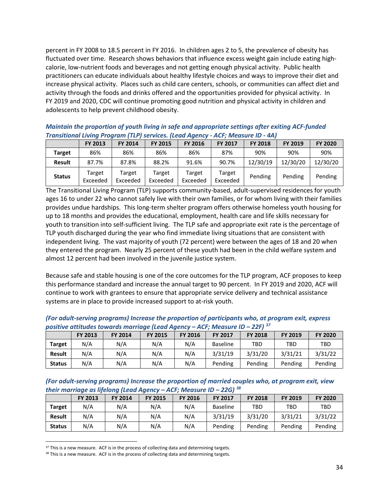percent in FY 2008 to 18.5 percent in FY 2016. In children ages 2 to 5, the prevalence of obesity has fluctuated over time. Research shows behaviors that influence excess weight gain include eating highcalorie, low-nutrient foods and beverages and not getting enough physical activity. Public health practitioners can educate individuals about healthy lifestyle choices and ways to improve their diet and increase physical activity. Places such as child care centers, schools, or communities can affect diet and activity through the foods and drinks offered and the opportunities provided for physical activity. In FY 2019 and 2020, CDC will continue promoting good nutrition and physical activity in children and adolescents to help prevent childhood obesity.

*Maintain the proportion of youth living in safe and appropriate settings after exiting ACF-funded Transitional Living Program (TLP) services. (Lead Agency - ACF; Measure ID - 4A)* 

|               | <b>FY 2013</b>     | <b>FY 2014</b>     | <b>FY 2015</b>     | <b>FY 2016</b>     | <b>FY 2017</b>     | <b>FY 2018</b> | <b>FY 2019</b> | <b>FY 2020</b> |
|---------------|--------------------|--------------------|--------------------|--------------------|--------------------|----------------|----------------|----------------|
| Target        | 86%                | 86%                | 86%                | 86%                | 87%                | 90%            | 90%            | 90%            |
| <b>Result</b> | 87.7%              | 87.8%              | 88.2%              | 91.6%              | 90.7%              | 12/30/19       | 12/30/20       | 12/30/20       |
| <b>Status</b> | Target<br>Exceeded | Target<br>Exceeded | Target<br>Exceeded | Target<br>Exceeded | Target<br>Exceeded | Pending        | Pending        | Pending        |

The Transitional Living Program (TLP) supports community-based, adult-supervised residences for youth ages 16 to under 22 who cannot safely live with their own families, or for whom living with their families provides undue hardships. This long-term shelter program offers otherwise homeless youth housing for up to 18 months and provides the educational, employment, health care and life skills necessary for youth to transition into self-sufficient living. The TLP safe and appropriate exit rate is the percentage of TLP youth discharged during the year who find immediate living situations that are consistent with independent living. The vast majority of youth (72 percent) were between the ages of 18 and 20 when they entered the program. Nearly 25 percent of these youth had been in the child welfare system and almost 12 percent had been involved in the juvenile justice system.

Because safe and stable housing is one of the core outcomes for the TLP program, ACF proposes to keep this performance standard and increase the annual target to 90 percent. In FY 2019 and 2020, ACF will continue to work with grantees to ensure that appropriate service delivery and technical assistance systems are in place to provide increased support to at-risk youth.

|               |                | positive attitudes towards marriage (Lead Agency – ACF; Measure ID – 22F) $^{57}$ |                |                |                 |                |                |                |
|---------------|----------------|-----------------------------------------------------------------------------------|----------------|----------------|-----------------|----------------|----------------|----------------|
|               | <b>FY 2013</b> | <b>FY 2014</b>                                                                    | <b>FY 2015</b> | <b>FY 2016</b> | <b>FY 2017</b>  | <b>FY 2018</b> | <b>FY 2019</b> | <b>FY 2020</b> |
| <b>Target</b> | N/A            | N/A                                                                               | N/A            | N/A            | <b>Baseline</b> | TBD            | TBD            | TBD            |
| <b>Result</b> | N/A            | N/A                                                                               | N/A            | N/A            | 3/31/19         | 3/31/20        | 3/31/21        | 3/31/22        |
| <b>Status</b> | N/A            | N/A                                                                               | N/A            | N/A            | Pending         | Pending        | Pending        | Pending        |

*(For adult-serving programs) Increase the proportion of participants who, at program exit, express positive attitudes towards marriage (Lead Agency – ACF; Measure ID – 22F) [37](#page-33-0)*

*(For adult-serving programs) Increase the proportion of married couples who, at program exit, view their marriage as lifelong (Lead Agency – ACF; Measure ID – 22G) [38](#page-33-1)*

|               | <b>FY 2013</b> | <b>FY 2014</b> | <b>FY 2015</b> | <b>FY 2016</b> | <b>FY 2017</b>  | <b>FY 2018</b> | <b>FY 2019</b> | <b>FY 2020</b> |
|---------------|----------------|----------------|----------------|----------------|-----------------|----------------|----------------|----------------|
| <b>Target</b> | N/A            | N/A            | N/A            | N/A            | <b>Baseline</b> | TBD            | TBD            | TBD            |
| <b>Result</b> | N/A            | N/A            | N/A            | N/A            | 3/31/19         | 3/31/20        | 3/31/21        | 3/31/22        |
| <b>Status</b> | N/A            | N/A            | N/A            | N/A            | Pending         | Pending        | Pending        | Pending        |

<span id="page-33-0"></span> $37$  This is a new measure. ACF is in the process of collecting data and determining targets.

<span id="page-33-1"></span><sup>38</sup> This is a new measure. ACF is in the process of collecting data and determining targets.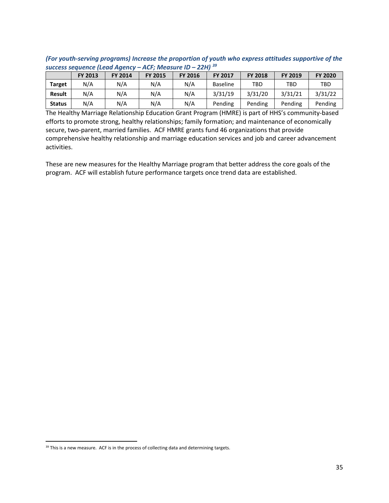|                                                                                                                                       | success sequence (Lead Agency – ACF; Measure ID – 22H) $^{39}$ |     |     |     |                 |     |     |     |  |  |
|---------------------------------------------------------------------------------------------------------------------------------------|----------------------------------------------------------------|-----|-----|-----|-----------------|-----|-----|-----|--|--|
| <b>FY 2020</b><br><b>FY 2017</b><br><b>FY 2018</b><br><b>FY 2013</b><br><b>FY 2016</b><br>FY 2019<br><b>FY 2015</b><br><b>FY 2014</b> |                                                                |     |     |     |                 |     |     |     |  |  |
| <b>Target</b>                                                                                                                         | N/A                                                            | N/A | N/A | N/A | <b>Baseline</b> | TBD | TBD | TBD |  |  |
| 3/31/20<br>3/31/19<br>3/31/22<br>3/31/21<br>N/A<br>N/A<br>N/A<br>N/A<br><b>Result</b>                                                 |                                                                |     |     |     |                 |     |     |     |  |  |

**Status** | N/A | N/A | N/A | Pending | Pending | Pending | Pending

*(For youth-serving programs) Increase the proportion of youth who express attitudes supportive of the* 

The Healthy Marriage Relationship Education Grant Program (HMRE) is part of HHS's community-based efforts to promote strong, healthy relationships; family formation; and maintenance of economically secure, two-parent, married families. ACF HMRE grants fund 46 organizations that provide comprehensive healthy relationship and marriage education services and job and career advancement activities.

These are new measures for the Healthy Marriage program that better address the core goals of the program. ACF will establish future performance targets once trend data are established.

<span id="page-34-0"></span><sup>&</sup>lt;sup>39</sup> This is a new measure. ACF is in the process of collecting data and determining targets.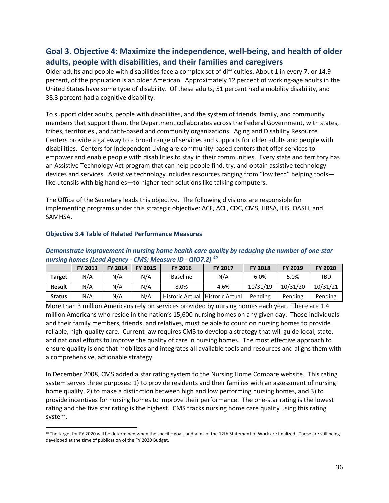### <span id="page-35-0"></span>**Goal 3. Objective 4: Maximize the independence, well-being, and health of older adults, people with disabilities, and their families and caregivers**

Older adults and people with disabilities face a complex set of difficulties. About 1 in every 7, or 14.9 percent, of the population is an older American. Approximately 12 percent of working-age adults in the United States have some type of disability. Of these adults, 51 percent had a mobility disability, and 38.3 percent had a cognitive disability.

To support older adults, people with disabilities, and the system of friends, family, and community members that support them, the Department collaborates across the Federal Government, with states, tribes, territories , and faith-based and community organizations. Aging and Disability Resource Centers provide a gateway to a broad range of services and supports for older adults and people with disabilities. Centers for Independent Living are community-based centers that offer services to empower and enable people with disabilities to stay in their communities. Every state and territory has an Assistive Technology Act program that can help people find, try, and obtain assistive technology devices and services. Assistive technology includes resources ranging from "low tech" helping tools like utensils with big handles—to higher-tech solutions like talking computers.

The Office of the Secretary leads this objective. The following divisions are responsible for implementing programs under this strategic objective: ACF, ACL, CDC, CMS, HRSA, IHS, OASH, and SAMHSA.

|               | <b>FY 2013</b> | <b>FY 2014</b> | <b>FY 2015</b> | <b>FY 2016</b>                    | <b>FY 2017</b> | <b>FY 2018</b> | <b>FY 2019</b> | <b>FY 2020</b> |
|---------------|----------------|----------------|----------------|-----------------------------------|----------------|----------------|----------------|----------------|
| <b>Target</b> | N/A            | N/A            | N/A            | <b>Baseline</b>                   | N/A            | 6.0%           | 5.0%           | <b>TBD</b>     |
| <b>Result</b> | N/A            | N/A            | N/A            | 8.0%                              | 4.6%           | 10/31/19       | 10/31/20       | 10/31/21       |
| <b>Status</b> | N/A            | N/A            | N/A            | Historic Actual   Historic Actual |                | Pending        | Pending        | Pending        |

#### **Objective 3.4 Table of Related Performance Measures**

#### *Demonstrate improvement in nursing home health care quality by reducing the number of one-star nursing homes (Lead Agency - CMS; Measure ID - QIO7.2) [40](#page-35-1)*

More than 3 million Americans rely on services provided by nursing homes each year. There are 1.4 million Americans who reside in the nation's 15,600 nursing homes on any given day. Those individuals and their family members, friends, and relatives, must be able to count on nursing homes to provide reliable, high-quality care. Current law requires CMS to develop a strategy that will guide local, state, and national efforts to improve the quality of care in nursing homes. The most effective approach to ensure quality is one that mobilizes and integrates all available tools and resources and aligns them with a comprehensive, actionable strategy.

In December 2008, CMS added a star rating system to the Nursing Home Compare website. This rating system serves three purposes: 1) to provide residents and their families with an assessment of nursing home quality, 2) to make a distinction between high and low performing nursing homes, and 3) to provide incentives for nursing homes to improve their performance. The one-star rating is the lowest rating and the five star rating is the highest. CMS tracks nursing home care quality using this rating system.

<span id="page-35-1"></span><sup>&</sup>lt;sup>40</sup> The target for FY 2020 will be determined when the specific goals and aims of the 12th Statement of Work are finalized. These are still being developed at the time of publication of the FY 2020 Budget.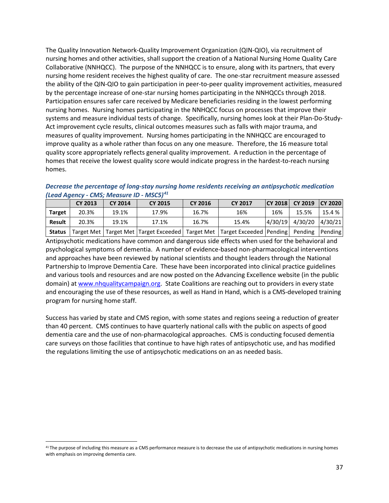The Quality Innovation Network-Quality Improvement Organization (QIN-QIO), via recruitment of nursing homes and other activities, shall support the creation of a National Nursing Home Quality Care Collaborative (NNHQCC). The purpose of the NNHQCC is to ensure, along with its partners, that every nursing home resident receives the highest quality of care. The one-star recruitment measure assessed the ability of the QIN-QIO to gain participation in peer-to-peer quality improvement activities, measured by the percentage increase of one-star nursing homes participating in the NNHQCCs through 2018. Participation ensures safer care received by Medicare beneficiaries residing in the lowest performing nursing homes. Nursing homes participating in the NNHQCC focus on processes that improve their systems and measure individual tests of change. Specifically, nursing homes look at their Plan-Do-Study-Act improvement cycle results, clinical outcomes measures such as falls with major trauma, and measures of quality improvement. Nursing homes participating in the NNHQCC are encouraged to improve quality as a whole rather than focus on any one measure. Therefore, the 16 measure total quality score appropriately reflects general quality improvement. A reduction in the percentage of homes that receive the lowest quality score would indicate progress in the hardest-to-reach nursing homes.

*Decrease the percentage of long-stay nursing home residents receiving an antipsychotic medication (Lead Agency - CMS; Measure ID - MSC5)[41](#page-36-0)*

|               | <b>CY 2013</b> | CY 2014 | <b>CY 2015</b> | CY 2016 | <b>CY 2017</b>                                                                                         |         | CY 2018 CY 2019 CY 2020 |         |
|---------------|----------------|---------|----------------|---------|--------------------------------------------------------------------------------------------------------|---------|-------------------------|---------|
| <b>Target</b> | 20.3%          | 19.1%   | 17.9%          | 16.7%   | 16%                                                                                                    | 16%     | 15.5%                   | 15.4 %  |
| Result        | 20.3%          | 19.1%   | 17.1%          | 16.7%   | 15.4%                                                                                                  | 4/30/19 | 4/30/20                 | 4/30/21 |
| <b>Status</b> |                |         |                |         | Target Met   Target Met   Target Exceeded   Target Met   Target Exceeded   Pending   Pending   Pending |         |                         |         |

Antipsychotic medications have common and dangerous side effects when used for the behavioral and psychological symptoms of dementia. A number of evidence-based non-pharmacological interventions and approaches have been reviewed by national scientists and thought leaders through the National Partnership to Improve Dementia Care. These have been incorporated into clinical practice guidelines and various tools and resources and are now posted on the Advancing Excellence website (in the public domain) at [www.nhqualitycampaign.org.](http://www.nhqualitycampaign.org/) State Coalitions are reaching out to providers in every state and encouraging the use of these resources, as well as Hand in Hand, which is a CMS-developed training program for nursing home staff.

Success has varied by state and CMS region, with some states and regions seeing a reduction of greater than 40 percent. CMS continues to have quarterly national calls with the public on aspects of good dementia care and the use of non-pharmacological approaches. CMS is conducting focused dementia care surveys on those facilities that continue to have high rates of antipsychotic use, and has modified the regulations limiting the use of antipsychotic medications on an as needed basis.

<span id="page-36-0"></span><sup>&</sup>lt;sup>41</sup> The purpose of including this measure as a CMS performance measure is to decrease the use of antipsychotic medications in nursing homes with emphasis on improving dementia care.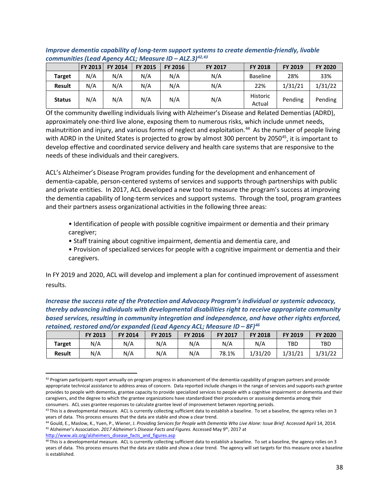|               | <b>FY 2013</b> | <b>FY 2014</b> | <b>FY 2015</b> | <b>FY 2016</b> | <b>FY 2017</b> | <b>FY 2018</b>     | FY 2019 | <b>FY 2020</b> |
|---------------|----------------|----------------|----------------|----------------|----------------|--------------------|---------|----------------|
| <b>Target</b> | N/A            | N/A            | N/A            | N/A            | N/A            | <b>Baseline</b>    | 28%     | 33%            |
| <b>Result</b> | N/A            | N/A            | N/A            | N/A            | N/A            | 22%                | 1/31/21 | 1/31/22        |
| <b>Status</b> | N/A            | N/A            | N/A            | N/A            | N/A            | Historic<br>Actual | Pending | Pending        |

#### *Improve dementia capability of long-term support systems to create dementia-friendly, livable communities (Lead Agency ACL; Measure ID – ALZ.3) [42](#page-37-0),[43](#page-37-1)*

Of the community dwelling individuals living with Alzheimer's Disease and Related Dementias (ADRD), approximately one-third live alone, exposing them to numerous risks, which include unmet needs, malnutrition and injury, and various forms of neglect and exploitation.<sup>[44](#page-37-2)</sup> As the number of people living with ADRD in the United States is projected to grow by almost 300 percent by 2050<sup>[45](#page-37-3)</sup>, it is important to develop effective and coordinated service delivery and health care systems that are responsive to the needs of these individuals and their caregivers.

ACL's Alzheimer's Disease Program provides funding for the development and enhancement of dementia-capable, person-centered systems of services and supports through partnerships with public and private entities. In 2017, ACL developed a new tool to measure the program's success at improving the dementia capability of long-term services and support systems. Through the tool, program grantees and their partners assess organizational activities in the following three areas:

- Identification of people with possible cognitive impairment or dementia and their primary caregiver;
- Staff training about cognitive impairment, dementia and dementia care, and
- Provision of specialized services for people with a cognitive impairment or dementia and their caregivers.

In FY 2019 and 2020, ACL will develop and implement a plan for continued improvement of assessment results.

*Increase the success rate of the Protection and Advocacy Program's individual or systemic advocacy, thereby advancing individuals with developmental disabilities right to receive appropriate community based services, resulting in community integration and independence, and have other rights enforced, retained, restored and/or expanded (Lead Agency ACL; Measure ID – 8F)[46](#page-37-4)*

|               | FY 2013 | FY 2014 | <b>FY 2015</b> | <b>FY 2016</b> | <b>FY 2017</b> | <b>FY 2018</b> | <b>FY 2019</b> | <b>FY 2020</b> |
|---------------|---------|---------|----------------|----------------|----------------|----------------|----------------|----------------|
| <b>Target</b> | N/A     | N/A     | N/A            | N/A            | N/A            | N/A            | TBD            | <b>TBD</b>     |
| <b>Result</b> | N/A     | N/A     | N/A            | N/A            | 78.1%          | 1/31/20        | 1/31/21        | 1/31/22        |

<span id="page-37-0"></span> $42$  Program participants report annually on program progress in advancement of the dementia-capability of program partners and provide appropriate technical assistance to address areas of concern. Data reported include changes in the range of services and supports each grantee provides to people with dementia, grantee capacity to provide specialized services to people with a cognitive impairment or dementia and their caregivers, and the degree to which the grantee organizations have standardized their procedures or assessing dementia among their

<span id="page-37-1"></span>consumers. ACL uses grantee responses to calculate grantee level of improvement between reporting periods.<br><sup>43</sup>This is a developmental measure. ACL is currently collecting sufficient data to establish a baseline. To set a years of data. This process ensures that the data are stable and show a clear trend.

<span id="page-37-3"></span><span id="page-37-2"></span><sup>44</sup> Gould, E., Maslow, K., Yuen, P., Wiener, J. *Providing Services for People with Dementia Who Live Alone: Issue Brief.* Accessed April 14, 2014*.* <sup>45</sup> Alzheimer's Association. *2017 Alzheimer's Disease Facts and Figures.* Accessed May 9th, 2017 at [http://www.alz.org/alzheimers\\_disease\\_facts\\_and\\_figures.asp](http://www.alz.org/alzheimers_disease_facts_and_figures.asp)

<span id="page-37-4"></span><sup>46</sup> This is a developmental measure. ACL is currently collecting sufficient data to establish a baseline. To set a baseline, the agency relies on 3 years of data. This process ensures that the data are stable and show a clear trend. The agency will set targets for this measure once a baseline is established.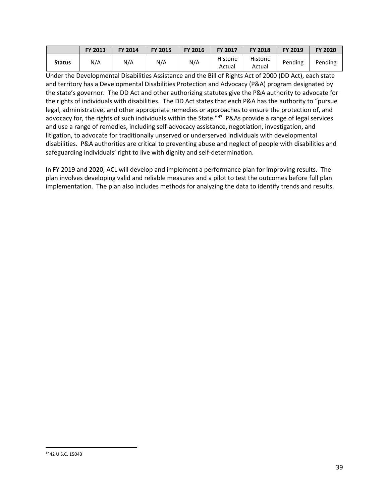|               | <b>FY 2013</b> | <b>FY 2014</b> | <b>FY 2015</b> | <b>FY 2016</b> | <b>FY 2017</b>     | <b>FY 2018</b>     | FY 2019 | <b>FY 2020</b> |
|---------------|----------------|----------------|----------------|----------------|--------------------|--------------------|---------|----------------|
| <b>Status</b> | N/A            | N/A            | N/A            | N/A            | Historic<br>Actual | Historic<br>Actual | Pending | Pending        |

Under the Developmental Disabilities Assistance and the Bill of Rights Act of 2000 (DD Act), each state and territory has a Developmental Disabilities Protection and Advocacy (P&A) program designated by the state's governor. The DD Act and other authorizing statutes give the P&A authority to advocate for the rights of individuals with disabilities. The DD Act states that each P&A has the authority to "pursue legal, administrative, and other appropriate remedies or approaches to ensure the protection of, and advocacy for, the rights of such individuals within the State."[47](#page-38-0) P&As provide a range of legal services and use a range of remedies, including self-advocacy assistance, negotiation, investigation, and litigation, to advocate for traditionally unserved or underserved individuals with developmental disabilities. P&A authorities are critical to preventing abuse and neglect of people with disabilities and safeguarding individuals' right to live with dignity and self-determination.

In FY 2019 and 2020, ACL will develop and implement a performance plan for improving results. The plan involves developing valid and reliable measures and a pilot to test the outcomes before full plan implementation. The plan also includes methods for analyzing the data to identify trends and results.

<span id="page-38-0"></span> <sup>47</sup> 42 U.S.C. 15043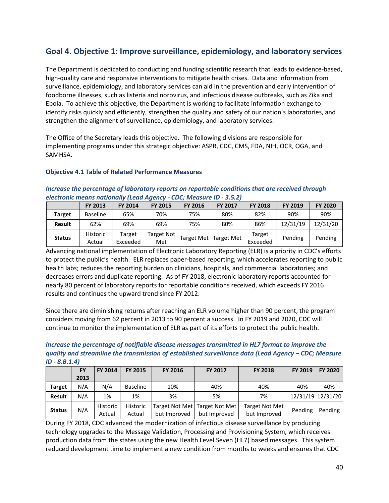### <span id="page-39-0"></span>**Goal 4. Objective 1: Improve surveillance, epidemiology, and laboratory services**

The Department is dedicated to conducting and funding scientific research that leads to evidence-based, high-quality care and responsive interventions to mitigate health crises. Data and information from surveillance, epidemiology, and laboratory services can aid in the prevention and early intervention of foodborne illnesses, such as listeria and norovirus, and infectious disease outbreaks, such as Zika and Ebola. To achieve this objective, the Department is working to facilitate information exchange to identify risks quickly and efficiently, strengthen the quality and safety of our nation's laboratories, and strengthen the alignment of surveillance, epidemiology, and laboratory services.

The Office of the Secretary leads this objective. The following divisions are responsible for implementing programs under this strategic objective: ASPR, CDC, CMS, FDA, NIH, OCR, OGA, and SAMHSA.

#### **Objective 4.1 Table of Related Performance Measures**

#### *Increase the percentage of laboratory reports on reportable conditions that are received through electronic means nationally (Lead Agency - CDC; Measure ID - 3.5.2)*

|               | <b>FY 2013</b>            | <b>FY 2014</b>     | <b>FY 2015</b>    | <b>FY 2016</b> | <b>FY 2017</b>    | <b>FY 2018</b>     | FY 2019  | <b>FY 2020</b> |
|---------------|---------------------------|--------------------|-------------------|----------------|-------------------|--------------------|----------|----------------|
| Target        | <b>Baseline</b>           | 65%                | 70%               | 75%            | 80%               | 82%                | 90%      | 90%            |
| <b>Result</b> | 62%                       | 69%                | 69%               | 75%            | 80%               | 86%                | 12/31/19 | 12/31/20       |
| <b>Status</b> | <b>Historic</b><br>Actual | Target<br>Exceeded | Target Not<br>Met | Target Met     | <b>Target Met</b> | Target<br>Exceeded | Pending  | Pending        |

Advancing national implementation of Electronic Laboratory Reporting (ELR) is a priority in CDC's efforts to protect the public's health. ELR replaces paper-based reporting, which accelerates reporting to public health labs; reduces the reporting burden on clinicians, hospitals, and commercial laboratories; and decreases errors and duplicate reporting. As of FY 2018, electronic laboratory reports accounted for nearly 80 percent of laboratory reports for reportable conditions received, which exceeds FY 2016 results and continues the upward trend since FY 2012.

Since there are diminishing returns after reaching an ELR volume higher than 90 percent, the program considers moving from 62 percent in 2013 to 90 percent a success. In FY 2019 and 2020, CDC will continue to monitor the implementation of ELR as part of its efforts to protect the public health.

*Increase the percentage of notifiable disease messages transmitted in HL7 format to improve the quality and streamline the transmission of established surveillance data (Lead Agency – CDC; Measure ID - 8.B.1.4)*

|               | <b>FY</b> | <b>FY 2014</b>            | FY 2015            | <b>FY 2016</b> | <b>FY 2017</b>                                  | <b>FY 2018</b>                        | <b>FY 2019</b>    | FY 2020 |
|---------------|-----------|---------------------------|--------------------|----------------|-------------------------------------------------|---------------------------------------|-------------------|---------|
|               | 2013      |                           |                    |                |                                                 |                                       |                   |         |
| <b>Target</b> | N/A       | N/A                       | <b>Baseline</b>    | 10%            | 40%                                             | 40%                                   | 40%               | 40%     |
| <b>Result</b> | N/A       | 1%                        | 1%                 | 3%             | 5%                                              | 7%                                    | 12/31/19 12/31/20 |         |
| <b>Status</b> | N/A       | <b>Historic</b><br>Actual | Historic<br>Actual | but Improved   | Target Not Met   Target Not Met<br>but Improved | <b>Target Not Met</b><br>but Improved | Pending           | Pending |

During FY 2018, CDC advanced the modernization of infectious disease surveillance by producing technology upgrades to the Message Validation, Processing and Provisioning System, which receives production data from the states using the new Health Level Seven (HL7) based messages. This system reduced development time to implement a new condition from months to weeks and ensures that CDC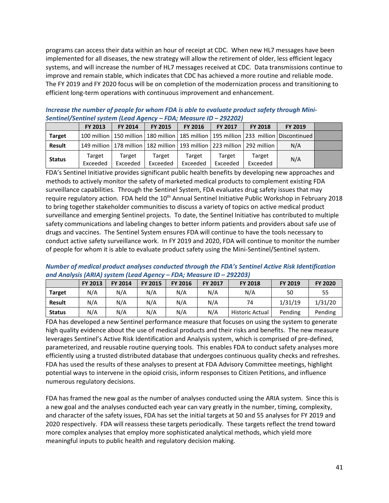programs can access their data within an hour of receipt at CDC. When new HL7 messages have been implemented for all diseases, the new strategy will allow the retirement of older, less efficient legacy systems, and will increase the number of HL7 messages received at CDC. Data transmissions continue to improve and remain stable, which indicates that CDC has achieved a more routine and reliable mode. The FY 2019 and FY 2020 focus will be on completion of the modernization process and transitioning to efficient long-term operations with continuous improvement and enhancement.

|               | <u>Jenuilley Jenuillei System (Leuu Ayency – i DA, ivieusule ID – 2J22U2)</u> |                    |                                                                         |                    |                    |                    |                                                                                                  |  |  |  |
|---------------|-------------------------------------------------------------------------------|--------------------|-------------------------------------------------------------------------|--------------------|--------------------|--------------------|--------------------------------------------------------------------------------------------------|--|--|--|
|               | <b>FY 2013</b>                                                                | FY 2014            | <b>FY 2015</b>                                                          | <b>FY 2016</b>     | FY 2017            | <b>FY 2018</b>     | FY 2019                                                                                          |  |  |  |
| <b>Target</b> |                                                                               |                    |                                                                         |                    |                    |                    | 100 million   150 million   180 million   185 million   195 million   233 million   Discontinued |  |  |  |
| <b>Result</b> |                                                                               |                    | 149 million 178 million 182 million 193 million 223 million 292 million |                    |                    |                    | N/A                                                                                              |  |  |  |
| <b>Status</b> | Target<br>Exceeded                                                            | Target<br>Exceeded | Target<br>Exceeded                                                      | Target<br>Exceeded | Target<br>Exceeded | Target<br>Exceeded | N/A                                                                                              |  |  |  |

*Increase the number of people for whom FDA is able to evaluate product safety through Mini-Sentinel/Sentinel system (Lead Agency – FDA; Measure ID – 292202)* 

FDA's Sentinel Initiative provides significant public health benefits by developing new approaches and methods to actively monitor the safety of marketed medical products to complement existing FDA surveillance capabilities. Through the Sentinel System, FDA evaluates drug safety issues that may require regulatory action. FDA held the 10<sup>th</sup> Annual Sentinel Initiative Public Workshop in February 2018 to bring together stakeholder communities to discuss a variety of topics on active medical product surveillance and emerging Sentinel projects. To date, the Sentinel Initiative has contributed to multiple safety communications and labeling changes to better inform patients and providers about safe use of drugs and vaccines. The Sentinel System ensures FDA will continue to have the tools necessary to conduct active safety surveillance work. In FY 2019 and 2020, FDA will continue to monitor the number of people for whom it is able to evaluate product safety using the Mini-Sentinel/Sentinel system.

*Number of medical product analyses conducted through the FDA's Sentinel Active Risk Identification and Analysis (ARIA) system (Lead Agency – FDA; Measure ID – 292203)* 

|               | <b>FY 2013</b> | <b>FY 2014</b> | <b>FY 2015</b> | <b>FY 2016</b> | <b>FY 2017</b> | <b>FY 2018</b>         | FY 2019 | <b>FY 2020</b> |
|---------------|----------------|----------------|----------------|----------------|----------------|------------------------|---------|----------------|
| <b>Target</b> | N/A            | N/A            | N/A            | N/A            | N/A            | N/A                    | 50      | 55             |
| <b>Result</b> | N/A            | N/A            | N/A            | N/A            | N/A            | 74                     | 1/31/19 | 1/31/20        |
| <b>Status</b> | N/A            | N/A            | N/A            | N/A            | N/A            | <b>Historic Actual</b> | Pending | Pending        |

FDA has developed a new Sentinel performance measure that focuses on using the system to generate high quality evidence about the use of medical products and their risks and benefits. The new measure leverages Sentinel's Active Risk Identification and Analysis system, which is comprised of pre-defined, parameterized, and reusable routine querying tools. This enables FDA to conduct safety analyses more efficiently using a trusted distributed database that undergoes continuous quality checks and refreshes. FDA has used the results of these analyses to present at FDA Advisory Committee meetings, highlight potential ways to intervene in the opioid crisis, inform responses to Citizen Petitions, and influence numerous regulatory decisions.

FDA has framed the new goal as the number of analyses conducted using the ARIA system. Since this is a new goal and the analyses conducted each year can vary greatly in the number, timing, complexity, and character of the safety issues, FDA has set the initial targets at 50 and 55 analyses for FY 2019 and 2020 respectively. FDA will reassess these targets periodically. These targets reflect the trend toward more complex analyses that employ more sophisticated analytical methods, which yield more meaningful inputs to public health and regulatory decision making.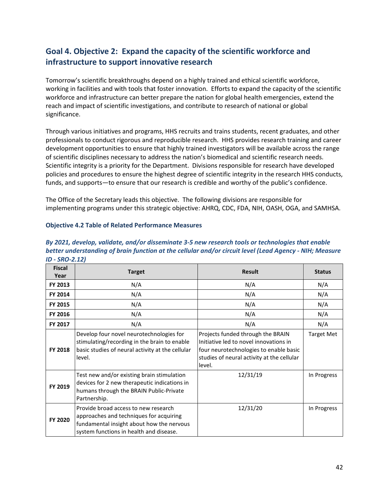# <span id="page-41-0"></span>**Goal 4. Objective 2: Expand the capacity of the scientific workforce and infrastructure to support innovative research**

Tomorrow's scientific breakthroughs depend on a highly trained and ethical scientific workforce, working in facilities and with tools that foster innovation. Efforts to expand the capacity of the scientific workforce and infrastructure can better prepare the nation for global health emergencies, extend the reach and impact of scientific investigations, and contribute to research of national or global significance.

Through various initiatives and programs, HHS recruits and trains students, recent graduates, and other professionals to conduct rigorous and reproducible research. HHS provides research training and career development opportunities to ensure that highly trained investigators will be available across the range of scientific disciplines necessary to address the nation's biomedical and scientific research needs. Scientific integrity is a priority for the Department. Divisions responsible for research have developed policies and procedures to ensure the highest degree of scientific integrity in the research HHS conducts, funds, and supports—to ensure that our research is credible and worthy of the public's confidence.

The Office of the Secretary leads this objective. The following divisions are responsible for implementing programs under this strategic objective: AHRQ, CDC, FDA, NIH, OASH, OGA, and SAMHSA.

#### **Objective 4.2 Table of Related Performance Measures**

| <b>Fiscal</b><br>Year | <b>Target</b>                                                                                                                                                           | <b>Result</b>                                                                                                                                                                 | <b>Status</b>     |
|-----------------------|-------------------------------------------------------------------------------------------------------------------------------------------------------------------------|-------------------------------------------------------------------------------------------------------------------------------------------------------------------------------|-------------------|
| FY 2013               | N/A                                                                                                                                                                     | N/A                                                                                                                                                                           | N/A               |
| FY 2014               | N/A                                                                                                                                                                     | N/A                                                                                                                                                                           | N/A               |
| FY 2015               | N/A                                                                                                                                                                     | N/A                                                                                                                                                                           | N/A               |
| FY 2016               | N/A                                                                                                                                                                     | N/A                                                                                                                                                                           | N/A               |
| FY 2017               | N/A                                                                                                                                                                     | N/A                                                                                                                                                                           | N/A               |
| FY 2018               | Develop four novel neurotechnologies for<br>stimulating/recording in the brain to enable<br>basic studies of neural activity at the cellular<br>level.                  | Projects funded through the BRAIN<br>Initiative led to novel innovations in<br>four neurotechnologies to enable basic<br>studies of neural activity at the cellular<br>level. | <b>Target Met</b> |
| FY 2019               | Test new and/or existing brain stimulation<br>devices for 2 new therapeutic indications in<br>humans through the BRAIN Public-Private<br>Partnership.                   | 12/31/19                                                                                                                                                                      | In Progress       |
| FY 2020               | Provide broad access to new research<br>approaches and techniques for acquiring<br>fundamental insight about how the nervous<br>system functions in health and disease. | 12/31/20                                                                                                                                                                      | In Progress       |

*By 2021, develop, validate, and/or disseminate 3-5 new research tools or technologies that enable better understanding of brain function at the cellular and/or circuit level (Lead Agency - NIH; Measure ID - SRO-2.12)*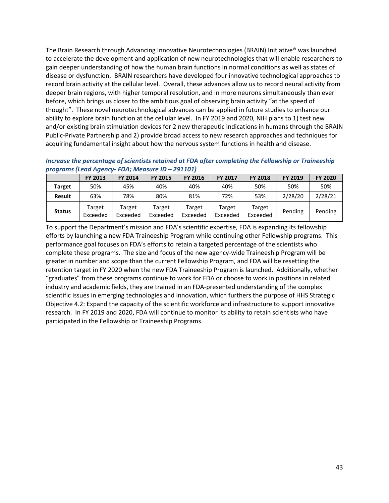The Brain Research through Advancing Innovative Neurotechnologies (BRAIN) Initiative® was launched to accelerate the development and application of new neurotechnologies that will enable researchers to gain deeper understanding of how the human brain functions in normal conditions as well as states of disease or dysfunction. BRAIN researchers have developed four innovative technological approaches to record brain activity at the cellular level. Overall, these advances allow us to record neural activity from deeper brain regions, with higher temporal resolution, and in more neurons simultaneously than ever before, which brings us closer to the ambitious goal of observing brain activity "at the speed of thought". These novel neurotechnological advances can be applied in future studies to enhance our ability to explore brain function at the cellular level. In FY 2019 and 2020, NIH plans to 1) test new and/or existing brain stimulation devices for 2 new therapeutic indications in humans through the BRAIN Public-Private Partnership and 2) provide broad access to new research approaches and techniques for acquiring fundamental insight about how the nervous system functions in health and disease.

*Increase the percentage of scientists retained at FDA after completing the Fellowship or Traineeship programs (Lead Agency- FDA; Measure ID – 291101)* 

|               | <b>FY 2013</b>     | FY 2014            | <b>FY 2015</b>     | <b>FY 2016</b>     | <b>FY 2017</b>     | <b>FY 2018</b>     | FY 2019 | <b>FY 2020</b> |
|---------------|--------------------|--------------------|--------------------|--------------------|--------------------|--------------------|---------|----------------|
| <b>Target</b> | 50%                | 45%                | 40%                | 40%                | 40%                | 50%                | 50%     | 50%            |
| <b>Result</b> | 63%                | 78%                | 80%                | 81%                | 72%                | 53%                | 2/28/20 | 2/28/21        |
| <b>Status</b> | Target<br>Exceeded | Target<br>Exceeded | Target<br>Exceeded | Target<br>Exceeded | Target<br>Exceeded | Target<br>Exceeded | Pending | Pending        |

To support the Department's mission and FDA's scientific expertise, FDA is expanding its fellowship efforts by launching a new FDA Traineeship Program while continuing other Fellowship programs. This performance goal focuses on FDA's efforts to retain a targeted percentage of the scientists who complete these programs. The size and focus of the new agency-wide Traineeship Program will be greater in number and scope than the current Fellowship Program, and FDA will be resetting the retention target in FY 2020 when the new FDA Traineeship Program is launched. Additionally, whether "graduates" from these programs continue to work for FDA or choose to work in positions in related industry and academic fields, they are trained in an FDA-presented understanding of the complex scientific issues in emerging technologies and innovation, which furthers the purpose of HHS Strategic Objective 4.2: Expand the capacity of the scientific workforce and infrastructure to support innovative research. In FY 2019 and 2020, FDA will continue to monitor its ability to retain scientists who have participated in the Fellowship or Traineeship Programs.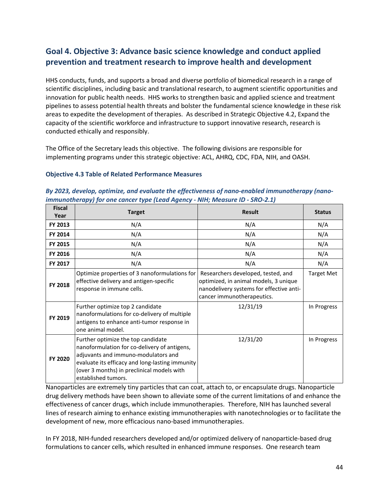# <span id="page-43-0"></span>**Goal 4. Objective 3: Advance basic science knowledge and conduct applied prevention and treatment research to improve health and development**

HHS conducts, funds, and supports a broad and diverse portfolio of biomedical research in a range of scientific disciplines, including basic and translational research, to augment scientific opportunities and innovation for public health needs. HHS works to strengthen basic and applied science and treatment pipelines to assess potential health threats and bolster the fundamental science knowledge in these risk areas to expedite the development of therapies. As described in Strategic Objective 4.2, Expand the capacity of the scientific workforce and infrastructure to support innovative research, research is conducted ethically and responsibly.

The Office of the Secretary leads this objective. The following divisions are responsible for implementing programs under this strategic objective: ACL, AHRQ, CDC, FDA, NIH, and OASH.

#### **Objective 4.3 Table of Related Performance Measures**

| By 2023, develop, optimize, and evaluate the effectiveness of nano-enabled immunotherapy (nano- |                                                                              |  |  |  |  |  |  |
|-------------------------------------------------------------------------------------------------|------------------------------------------------------------------------------|--|--|--|--|--|--|
|                                                                                                 | immunotherapy) for one cancer type (Lead Agency - NIH; Measure ID - SRO-2.1) |  |  |  |  |  |  |
|                                                                                                 |                                                                              |  |  |  |  |  |  |

| <b>Fiscal</b><br>Year | <b>Target</b>                                                                                                                                                                                                                                     | <b>Result</b>                                                                                                                                         | <b>Status</b>     |
|-----------------------|---------------------------------------------------------------------------------------------------------------------------------------------------------------------------------------------------------------------------------------------------|-------------------------------------------------------------------------------------------------------------------------------------------------------|-------------------|
| FY 2013               | N/A                                                                                                                                                                                                                                               | N/A                                                                                                                                                   | N/A               |
| FY 2014               | N/A                                                                                                                                                                                                                                               | N/A                                                                                                                                                   | N/A               |
| <b>FY 2015</b>        | N/A                                                                                                                                                                                                                                               | N/A                                                                                                                                                   | N/A               |
| <b>FY 2016</b>        | N/A                                                                                                                                                                                                                                               | N/A                                                                                                                                                   | N/A               |
| FY 2017               | N/A                                                                                                                                                                                                                                               | N/A                                                                                                                                                   | N/A               |
| FY 2018               | Optimize properties of 3 nanoformulations for<br>effective delivery and antigen-specific<br>response in immune cells.                                                                                                                             | Researchers developed, tested, and<br>optimized, in animal models, 3 unique<br>nanodelivery systems for effective anti-<br>cancer immunotherapeutics. | <b>Target Met</b> |
| FY 2019               | Further optimize top 2 candidate<br>nanoformulations for co-delivery of multiple<br>antigens to enhance anti-tumor response in<br>one animal model.                                                                                               | 12/31/19                                                                                                                                              | In Progress       |
| FY 2020               | Further optimize the top candidate<br>nanoformulation for co-delivery of antigens,<br>adjuvants and immuno-modulators and<br>evaluate its efficacy and long-lasting immunity<br>(over 3 months) in preclinical models with<br>established tumors. | 12/31/20                                                                                                                                              | In Progress       |

Nanoparticles are extremely tiny particles that can coat, attach to, or encapsulate drugs. Nanoparticle drug delivery methods have been shown to alleviate some of the current limitations of and enhance the effectiveness of cancer drugs, which include immunotherapies. Therefore, NIH has launched several lines of research aiming to enhance existing immunotherapies with nanotechnologies or to facilitate the development of new, more efficacious nano-based immunotherapies.

In FY 2018, NIH-funded researchers developed and/or optimized delivery of nanoparticle-based drug formulations to cancer cells, which resulted in enhanced immune responses. One research team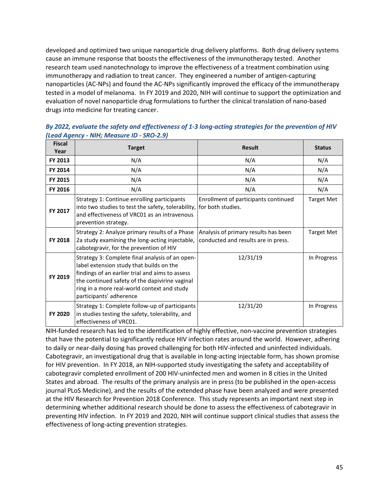developed and optimized two unique nanoparticle drug delivery platforms. Both drug delivery systems cause an immune response that boosts the effectiveness of the immunotherapy tested. Another research team used nanotechnology to improve the effectiveness of a treatment combination using immunotherapy and radiation to treat cancer. They engineered a number of antigen-capturing nanoparticles (AC-NPs) and found the AC-NPs significantly improved the efficacy of the immunotherapy tested in a model of melanoma. In FY 2019 and 2020, NIH will continue to support the optimization and evaluation of novel nanoparticle drug formulations to further the clinical translation of nano-based drugs into medicine for treating cancer.

*By 2022, evaluate the safety and effectiveness of 1-3 long-acting strategies for the prevention of HIV (Lead Agency - NIH; Measure ID - SRO-2.9)* 

| <b>Fiscal</b><br>Year | <b>Target</b>                                                                                                                                                                                                                                                              | <b>Result</b>                                                               | <b>Status</b>     |
|-----------------------|----------------------------------------------------------------------------------------------------------------------------------------------------------------------------------------------------------------------------------------------------------------------------|-----------------------------------------------------------------------------|-------------------|
| FY 2013               | N/A                                                                                                                                                                                                                                                                        | N/A                                                                         | N/A               |
| FY 2014               | N/A                                                                                                                                                                                                                                                                        | N/A                                                                         | N/A               |
| FY 2015               | N/A                                                                                                                                                                                                                                                                        | N/A                                                                         | N/A               |
| FY 2016               | N/A                                                                                                                                                                                                                                                                        | N/A                                                                         | N/A               |
| FY 2017               | Strategy 1: Continue enrolling participants<br>into two studies to test the safety, tolerability,<br>and effectiveness of VRC01 as an intravenous<br>prevention strategy.                                                                                                  | Enrollment of participants continued<br>for both studies.                   | <b>Target Met</b> |
| <b>FY 2018</b>        | Strategy 2: Analyze primary results of a Phase<br>2a study examining the long-acting injectable,<br>cabotegravir, for the prevention of HIV                                                                                                                                | Analysis of primary results has been<br>conducted and results are in press. | <b>Target Met</b> |
| FY 2019               | Strategy 3: Complete final analysis of an open-<br>label extension study that builds on the<br>findings of an earlier trial and aims to assess<br>the continued safety of the dapivirine vaginal<br>ring in a more real-world context and study<br>participants' adherence | 12/31/19                                                                    | In Progress       |
| FY 2020               | Strategy 1: Complete follow-up of participants<br>in studies testing the safety, tolerability, and<br>effectiveness of VRC01.                                                                                                                                              | 12/31/20                                                                    | In Progress       |

NIH-funded research has led to the identification of highly effective, non-vaccine prevention strategies that have the potential to significantly reduce HIV infection rates around the world. However, adhering to daily or near-daily dosing has proved challenging for both HIV-infected and uninfected individuals. Cabotegravir, an investigational drug that is available in long-acting injectable form, has shown promise for HIV prevention. In FY 2018, an NIH-supported study investigating the safety and acceptability of cabotegravir completed enrollment of 200 HIV-uninfected men and women in 8 cities in the United States and abroad. The results of the primary analysis are in press (to be published in the open-access journal PLoS Medicine), and the results of the extended phase have been analyzed and were presented at the HIV Research for Prevention 2018 Conference. This study represents an important next step in determining whether additional research should be done to assess the effectiveness of cabotegravir in preventing HIV infection. In FY 2019 and 2020, NIH will continue support clinical studies that assess the effectiveness of long-acting prevention strategies.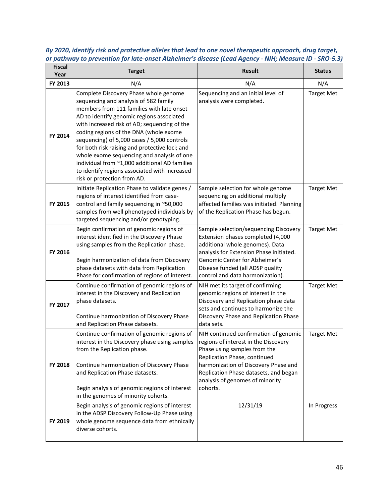| <b>Fiscal</b><br>Year | <b>Target</b>                                                                                                                                                                                                                                                                                                                                                                                                                                                                                                                                      | <b>Result</b>                                                                                                                                                                                                                                                                 | <b>Status</b>     |
|-----------------------|----------------------------------------------------------------------------------------------------------------------------------------------------------------------------------------------------------------------------------------------------------------------------------------------------------------------------------------------------------------------------------------------------------------------------------------------------------------------------------------------------------------------------------------------------|-------------------------------------------------------------------------------------------------------------------------------------------------------------------------------------------------------------------------------------------------------------------------------|-------------------|
| FY 2013               | N/A                                                                                                                                                                                                                                                                                                                                                                                                                                                                                                                                                | N/A                                                                                                                                                                                                                                                                           | N/A               |
| FY 2014               | Complete Discovery Phase whole genome<br>sequencing and analysis of 582 family<br>members from 111 families with late onset<br>AD to identify genomic regions associated<br>with increased risk of AD; sequencing of the<br>coding regions of the DNA (whole exome<br>sequencing) of 5,000 cases / 5,000 controls<br>for both risk raising and protective loci; and<br>whole exome sequencing and analysis of one<br>individual from ~1,000 additional AD families<br>to identify regions associated with increased<br>risk or protection from AD. | Sequencing and an initial level of<br>analysis were completed.                                                                                                                                                                                                                | <b>Target Met</b> |
| FY 2015               | Initiate Replication Phase to validate genes /<br>regions of interest identified from case-<br>control and family sequencing in ~50,000<br>samples from well phenotyped individuals by<br>targeted sequencing and/or genotyping.                                                                                                                                                                                                                                                                                                                   | Sample selection for whole genome<br>sequencing on additional multiply<br>affected families was initiated. Planning<br>of the Replication Phase has begun.                                                                                                                    | <b>Target Met</b> |
| FY 2016               | Begin confirmation of genomic regions of<br>interest identified in the Discovery Phase<br>using samples from the Replication phase.<br>Begin harmonization of data from Discovery<br>phase datasets with data from Replication<br>Phase for confirmation of regions of interest.                                                                                                                                                                                                                                                                   | Sample selection/sequencing Discovery<br>Extension phases completed (4,000<br>additional whole genomes). Data<br>analysis for Extension Phase initiated.<br>Genomic Center for Alzheimer's<br>Disease funded (all ADSP quality<br>control and data harmonization).            | <b>Target Met</b> |
| FY 2017               | Continue confirmation of genomic regions of<br>interest in the Discovery and Replication<br>phase datasets.<br>Continue harmonization of Discovery Phase<br>and Replication Phase datasets.                                                                                                                                                                                                                                                                                                                                                        | NIH met its target of confirming<br>genomic regions of interest in the<br>Discovery and Replication phase data<br>sets and continues to harmonize the<br>Discovery Phase and Replication Phase<br>data sets.                                                                  | <b>Target Met</b> |
| FY 2018               | Continue confirmation of genomic regions of<br>interest in the Discovery phase using samples<br>from the Replication phase.<br>Continue harmonization of Discovery Phase<br>and Replication Phase datasets.<br>Begin analysis of genomic regions of interest<br>in the genomes of minority cohorts.                                                                                                                                                                                                                                                | NIH continued confirmation of genomic<br>regions of interest in the Discovery<br>Phase using samples from the<br>Replication Phase, continued<br>harmonization of Discovery Phase and<br>Replication Phase datasets, and began<br>analysis of genomes of minority<br>cohorts. | <b>Target Met</b> |
| FY 2019               | Begin analysis of genomic regions of interest<br>in the ADSP Discovery Follow-Up Phase using<br>whole genome sequence data from ethnically<br>diverse cohorts.                                                                                                                                                                                                                                                                                                                                                                                     | 12/31/19                                                                                                                                                                                                                                                                      | In Progress       |

*By 2020, identify risk and protective alleles that lead to one novel therapeutic approach, drug target, or pathway to prevention for late-onset Alzheimer's disease (Lead Agency - NIH; Measure ID - SRO-5.3)*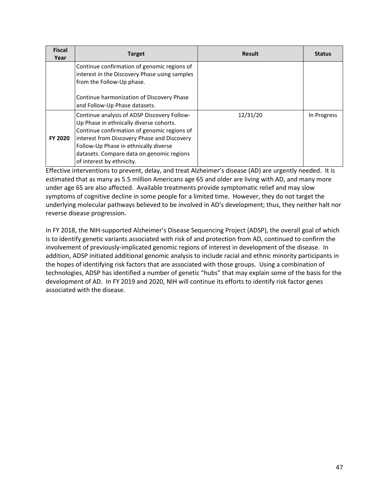| <b>Fiscal</b><br>Year | <b>Target</b>                                                                                                                                                                                                                                                                                           | <b>Result</b> | <b>Status</b> |
|-----------------------|---------------------------------------------------------------------------------------------------------------------------------------------------------------------------------------------------------------------------------------------------------------------------------------------------------|---------------|---------------|
|                       | Continue confirmation of genomic regions of<br>interest in the Discovery Phase using samples<br>from the Follow-Up phase.                                                                                                                                                                               |               |               |
|                       | Continue harmonization of Discovery Phase<br>and Follow-Up Phase datasets.                                                                                                                                                                                                                              |               |               |
| FY 2020               | Continue analysis of ADSP Discovery Follow-<br>Up Phase in ethnically diverse cohorts.<br>Continue confirmation of genomic regions of<br>interest from Discovery Phase and Discovery<br>Follow-Up Phase in ethnically diverse<br>datasets. Compare data on genomic regions<br>of interest by ethnicity. | 12/31/20      | In Progress   |

Effective interventions to prevent, delay, and treat Alzheimer's disease (AD) are urgently needed. It is estimated that as many as 5.5 million Americans age 65 and older are living with AD, and many more under age 65 are also affected. Available treatments provide symptomatic relief and may slow symptoms of cognitive decline in some people for a limited time. However, they do not target the underlying molecular pathways believed to be involved in AD's development; thus, they neither halt nor reverse disease progression.

In FY 2018, the NIH-supported Alzheimer's Disease Sequencing Project (ADSP), the overall goal of which is to identify genetic variants associated with risk of and protection from AD, continued to confirm the involvement of previously-implicated genomic regions of interest in development of the disease. In addition, ADSP initiated additional genomic analysis to include racial and ethnic minority participants in the hopes of identifying risk factors that are associated with those groups. Using a combination of technologies, ADSP has identified a number of genetic "hubs" that may explain some of the basis for the development of AD. In FY 2019 and 2020, NIH will continue its efforts to identify risk factor genes associated with the disease.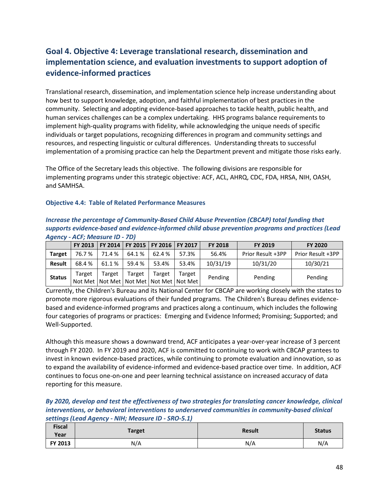# <span id="page-47-0"></span>**Goal 4. Objective 4: Leverage translational research, dissemination and implementation science, and evaluation investments to support adoption of evidence-informed practices**

Translational research, dissemination, and implementation science help increase understanding about how best to support knowledge, adoption, and faithful implementation of best practices in the community. Selecting and adopting evidence-based approaches to tackle health, public health, and human services challenges can be a complex undertaking. HHS programs balance requirements to implement high-quality programs with fidelity, while acknowledging the unique needs of specific individuals or target populations, recognizing differences in program and community settings and resources, and respecting linguistic or cultural differences. Understanding threats to successful implementation of a promising practice can help the Department prevent and mitigate those risks early.

The Office of the Secretary leads this objective. The following divisions are responsible for implementing programs under this strategic objective: ACF, ACL, AHRQ, CDC, FDA, HRSA, NIH, OASH, and SAMHSA.

#### **Objective 4.4: Table of Related Performance Measures**

| Increase the percentage of Community-Based Child Abuse Prevention (CBCAP) total funding that      |
|---------------------------------------------------------------------------------------------------|
| supports evidence-based and evidence-informed child abuse prevention programs and practices (Lead |
| <b>Agency - ACF; Measure ID - 7D)</b>                                                             |

|               |        |        |        | FY 2013   FY 2014   FY 2015   FY 2016   FY 2017 |                                                           | <b>FY 2018</b> | <b>FY 2019</b>    | <b>FY 2020</b>    |
|---------------|--------|--------|--------|-------------------------------------------------|-----------------------------------------------------------|----------------|-------------------|-------------------|
| <b>Target</b> | 76.7%  | 71.4 % | 64.1 % | 62.4 %                                          | 57.3%                                                     | 56.4%          | Prior Result +3PP | Prior Result +3PP |
| Result        | 68.4%  | 61.1%  | 59.4 % | 53.4%                                           | 53.4%                                                     | 10/31/19       | 10/31/20          | 10/30/21          |
| <b>Status</b> | Target | Target | Target | Target                                          | Target<br>Not Met   Not Met   Not Met   Not Met   Not Met | Pending        | Pending           | Pending           |

Currently, the Children's Bureau and its National Center for CBCAP are working closely with the states to promote more rigorous evaluations of their funded programs. The Children's Bureau defines evidencebased and evidence-informed programs and practices along a continuum, which includes the following four categories of programs or practices: Emerging and Evidence Informed; Promising; Supported; and Well-Supported.

Although this measure shows a downward trend, ACF anticipates a year-over-year increase of 3 percent through FY 2020. In FY 2019 and 2020, ACF is committed to continuing to work with CBCAP grantees to invest in known evidence-based practices, while continuing to promote evaluation and innovation, so as to expand the availability of evidence-informed and evidence-based practice over time. In addition, ACF continues to focus one-on-one and peer learning technical assistance on increased accuracy of data reporting for this measure.

*By 2020, develop and test the effectiveness of two strategies for translating cancer knowledge, clinical interventions, or behavioral interventions to underserved communities in community-based clinical settings (Lead Agency - NIH; Measure ID - SRO-5.1)*

| <b>Fiscal</b><br>Year | <b>Target</b> | <b>Result</b> | <b>Status</b> |
|-----------------------|---------------|---------------|---------------|
| FY 2013               | N/A           | N/A           | N/A           |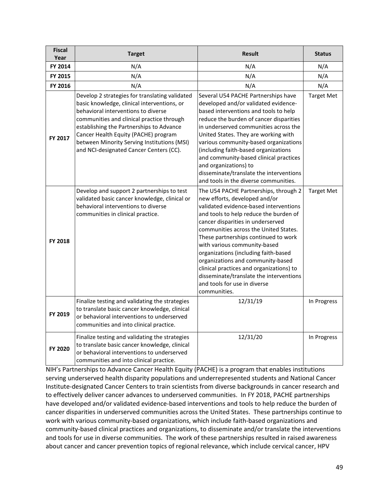| <b>Fiscal</b><br>Year | <b>Target</b>                                                                                                                                                                                                                                                                                                                                                   | <b>Result</b>                                                                                                                                                                                                                                                                                                                                                                                                                                                                                                                        | <b>Status</b>     |
|-----------------------|-----------------------------------------------------------------------------------------------------------------------------------------------------------------------------------------------------------------------------------------------------------------------------------------------------------------------------------------------------------------|--------------------------------------------------------------------------------------------------------------------------------------------------------------------------------------------------------------------------------------------------------------------------------------------------------------------------------------------------------------------------------------------------------------------------------------------------------------------------------------------------------------------------------------|-------------------|
| FY 2014               | N/A                                                                                                                                                                                                                                                                                                                                                             | N/A                                                                                                                                                                                                                                                                                                                                                                                                                                                                                                                                  | N/A               |
| FY 2015               | N/A                                                                                                                                                                                                                                                                                                                                                             | N/A                                                                                                                                                                                                                                                                                                                                                                                                                                                                                                                                  | N/A               |
| FY 2016               | N/A                                                                                                                                                                                                                                                                                                                                                             | N/A                                                                                                                                                                                                                                                                                                                                                                                                                                                                                                                                  | N/A               |
| FY 2017               | Develop 2 strategies for translating validated<br>basic knowledge, clinical interventions, or<br>behavioral interventions to diverse<br>communities and clinical practice through<br>establishing the Partnerships to Advance<br>Cancer Health Equity (PACHE) program<br>between Minority Serving Institutions (MSI)<br>and NCI-designated Cancer Centers (CC). | Several U54 PACHE Partnerships have<br>developed and/or validated evidence-<br>based interventions and tools to help<br>reduce the burden of cancer disparities<br>in underserved communities across the<br>United States. They are working with<br>various community-based organizations<br>(including faith-based organizations<br>and community-based clinical practices<br>and organizations) to<br>disseminate/translate the interventions<br>and tools in the diverse communities.                                             | <b>Target Met</b> |
| FY 2018               | Develop and support 2 partnerships to test<br>validated basic cancer knowledge, clinical or<br>behavioral interventions to diverse<br>communities in clinical practice.                                                                                                                                                                                         | The U54 PACHE Partnerships, through 2<br>new efforts, developed and/or<br>validated evidence-based interventions<br>and tools to help reduce the burden of<br>cancer disparities in underserved<br>communities across the United States.<br>These partnerships continued to work<br>with various community-based<br>organizations (including faith-based<br>organizations and community-based<br>clinical practices and organizations) to<br>disseminate/translate the interventions<br>and tools for use in diverse<br>communities. | <b>Target Met</b> |
| FY 2019               | Finalize testing and validating the strategies<br>to translate basic cancer knowledge, clinical<br>or behavioral interventions to underserved<br>communities and into clinical practice.                                                                                                                                                                        | 12/31/19                                                                                                                                                                                                                                                                                                                                                                                                                                                                                                                             | In Progress       |
| FY 2020               | Finalize testing and validating the strategies<br>to translate basic cancer knowledge, clinical<br>or behavioral interventions to underserved<br>communities and into clinical practice.                                                                                                                                                                        | 12/31/20                                                                                                                                                                                                                                                                                                                                                                                                                                                                                                                             | In Progress       |

NIH's Partnerships to Advance Cancer Health Equity (PACHE) is a program that enables institutions serving underserved health disparity populations and underrepresented students and National Cancer Institute-designated Cancer Centers to train scientists from diverse backgrounds in cancer research and to effectively deliver cancer advances to underserved communities. In FY 2018, PACHE partnerships have developed and/or validated evidence-based interventions and tools to help reduce the burden of cancer disparities in underserved communities across the United States. These partnerships continue to work with various community-based organizations, which include faith-based organizations and community-based clinical practices and organizations, to disseminate and/or translate the interventions and tools for use in diverse communities. The work of these partnerships resulted in raised awareness about cancer and cancer prevention topics of regional relevance, which include cervical cancer, HPV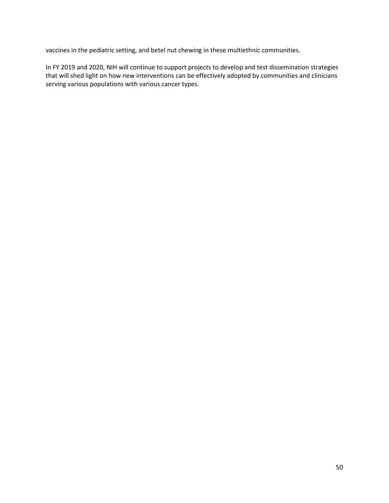vaccines in the pediatric setting, and betel nut chewing in these multiethnic communities.

In FY 2019 and 2020, NIH will continue to support projects to develop and test dissemination strategies that will shed light on how new interventions can be effectively adopted by communities and clinicians serving various populations with various cancer types.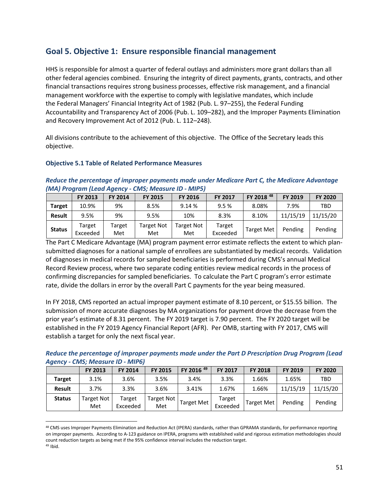### <span id="page-50-0"></span>**Goal 5. Objective 1: Ensure responsible financial management**

HHS is responsible for almost a quarter of federal outlays and administers more grant dollars than all other federal agencies combined. Ensuring the integrity of direct payments, grants, contracts, and other financial transactions requires strong business processes, effective risk management, and a financial management workforce with the expertise to comply with legislative mandates, which include the Federal Managers' Financial Integrity Act of 1982 (Pub. L. 97–255), the Federal Funding Accountability and Transparency Act of 2006 (Pub. L. 109–282), and the Improper Payments Elimination and Recovery Improvement Act of 2012 (Pub. L. 112–248).

All divisions contribute to the achievement of this objective. The Office of the Secretary leads this objective.

#### **Objective 5.1 Table of Related Performance Measures**

#### *Reduce the percentage of improper payments made under Medicare Part C, the Medicare Advantage (MA) Program (Lead Agency - CMS; Measure ID - MIP5)*

|               | <b>FY 2013</b>     | <b>FY 2014</b> | <b>FY 2015</b>           | <b>FY 2016</b>           | <b>FY 2017</b>     | FY 2018 <sup>48</sup> | FY 2019  | <b>FY 2020</b> |
|---------------|--------------------|----------------|--------------------------|--------------------------|--------------------|-----------------------|----------|----------------|
| <b>Target</b> | 10.9%              | 9%             | 8.5%                     | 9.14 %                   | 9.5%               | 8.08%                 | 7.9%     | TBD            |
| <b>Result</b> | 9.5%               | 9%             | 9.5%                     | 10%                      | 8.3%               | 8.10%                 | 11/15/19 | 11/15/20       |
| <b>Status</b> | Target<br>Exceeded | Target<br>Met  | <b>Target Not</b><br>Met | <b>Target Not</b><br>Met | Target<br>Exceeded | <b>Target Met</b>     | Pending  | Pending        |

The Part C Medicare Advantage (MA) program payment error estimate reflects the extent to which plansubmitted diagnoses for a national sample of enrollees are substantiated by medical records. Validation of diagnoses in medical records for sampled beneficiaries is performed during CMS's annual Medical Record Review process, where two separate coding entities review medical records in the process of confirming discrepancies for sampled beneficiaries. To calculate the Part C program's error estimate rate, divide the dollars in error by the overall Part C payments for the year being measured.

In FY 2018, CMS reported an actual improper payment estimate of 8.10 percent, or \$15.55 billion. The submission of more accurate diagnoses by MA organizations for payment drove the decrease from the prior year's estimate of 8.31 percent. The FY 2019 target is 7.90 percent. The FY 2020 target will be established in the FY 2019 Agency Financial Report (AFR). Per OMB, starting with FY 2017, CMS will establish a target for only the next fiscal year.

*Reduce the percentage of improper payments made under the Part D Prescription Drug Program (Lead Agency - CMS; Measure ID - MIP6)*

|               | FY 2013                  | <b>FY 2014</b>     | <b>FY 2015</b>           | FY 2016 <sup>49</sup> | <b>FY 2017</b>     | <b>FY 2018</b>    | <b>FY 2019</b> | <b>FY 2020</b> |
|---------------|--------------------------|--------------------|--------------------------|-----------------------|--------------------|-------------------|----------------|----------------|
| <b>Target</b> | 3.1%                     | 3.6%               | 3.5%                     | 3.4%                  | 3.3%               | 1.66%             | 1.65%          | TBD            |
| <b>Result</b> | 3.7%                     | 3.3%               | 3.6%                     | 3.41%                 | 1.67%              | 1.66%             | 11/15/19       | 11/15/20       |
| <b>Status</b> | <b>Target Not</b><br>Met | Target<br>Exceeded | <b>Target Not</b><br>Met | <b>Target Met</b>     | Target<br>Exceeded | <b>Target Met</b> | Pending        | Pending        |

<span id="page-50-2"></span><span id="page-50-1"></span><sup>&</sup>lt;sup>48</sup> CMS uses Improper Payments Elimination and Reduction Act (IPERA) standards, rather than GPRAMA standards, for performance reporting on improper payments. According to A-123 guidance on IPERA, programs with established valid and rigorous estimation methodologies should count reduction targets as being met if the 95% confidence interval includes the reduction target.  $49$  Ibid.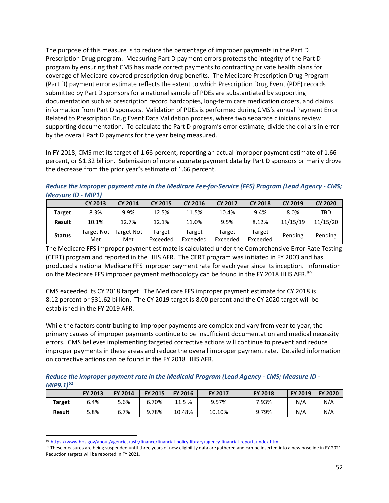The purpose of this measure is to reduce the percentage of improper payments in the Part D Prescription Drug program. Measuring Part D payment errors protects the integrity of the Part D program by ensuring that CMS has made correct payments to contracting private health plans for coverage of Medicare-covered prescription drug benefits. The Medicare Prescription Drug Program (Part D) payment error estimate reflects the extent to which Prescription Drug Event (PDE) records submitted by Part D sponsors for a national sample of PDEs are substantiated by supporting documentation such as prescription record hardcopies, long-term care medication orders, and claims information from Part D sponsors. Validation of PDEs is performed during CMS's annual Payment Error Related to Prescription Drug Event Data Validation process, where two separate clinicians review supporting documentation. To calculate the Part D program's error estimate, divide the dollars in error by the overall Part D payments for the year being measured.

In FY 2018, CMS met its target of 1.66 percent, reporting an actual improper payment estimate of 1.66 percent, or \$1.32 billion. Submission of more accurate payment data by Part D sponsors primarily drove the decrease from the prior year's estimate of 1.66 percent.

*Reduce the improper payment rate in the Medicare Fee-for-Service (FFS) Program (Lead Agency - CMS; Measure ID - MIP1)*

|               | <b>CY 2013</b>           | <b>CY 2014</b>           | <b>CY 2015</b>     | <b>CY 2016</b>     | <b>CY 2017</b>     | <b>CY 2018</b>     | <b>CY 2019</b> | <b>CY 2020</b> |
|---------------|--------------------------|--------------------------|--------------------|--------------------|--------------------|--------------------|----------------|----------------|
| <b>Target</b> | 8.3%                     | 9.9%                     | 12.5%              | 11.5%              | 10.4%              | 9.4%               | 8.0%           | TBD            |
| <b>Result</b> | 10.1%                    | 12.7%                    | 12.1%              | 11.0%              | 9.5%               | 8.12%              | 11/15/19       | 11/15/20       |
| <b>Status</b> | <b>Target Not</b><br>Met | <b>Target Not</b><br>Met | Target<br>Exceeded | Target<br>Exceeded | Target<br>Exceeded | Target<br>Exceeded | Pending        | Pending        |

The Medicare FFS improper payment estimate is calculated under the Comprehensive Error Rate Testing (CERT) program and reported in the HHS AFR. The CERT program was initiated in FY 2003 and has produced a national Medicare FFS improper payment rate for each year since its inception. Information on the Medicare FFS improper payment methodology can be found in the FY 2018 HHS AFR.<sup>50</sup>

CMS exceeded its CY 2018 target. The Medicare FFS improper payment estimate for CY 2018 is 8.12 percent or \$31.62 billion. The CY 2019 target is 8.00 percent and the CY 2020 target will be established in the FY 2019 AFR.

While the factors contributing to improper payments are complex and vary from year to year, the primary causes of improper payments continue to be insufficient documentation and medical necessity errors. CMS believes implementing targeted corrective actions will continue to prevent and reduce improper payments in these areas and reduce the overall improper payment rate. Detailed information on corrective actions can be found in the FY 2018 HHS AFR.

*Reduce the improper payment rate in the Medicaid Program (Lead Agency - CMS; Measure ID - MIP9.1)[51](#page-51-1)*

|               | <b>FY 2013</b> | <b>FY 2014</b> | <b>FY 2015</b> | <b>FY 2016</b> | <b>FY 2017</b> | <b>FY 2018</b> | <b>FY 2019</b> | <b>FY 2020</b> |
|---------------|----------------|----------------|----------------|----------------|----------------|----------------|----------------|----------------|
| <b>Target</b> | 6.4%           | 5.6%           | 6.70%          | 11.5 %         | 9.57%          | 7.93%          | N/A            | N/A            |
| <b>Result</b> | 5.8%           | 6.7%           | 9.78%          | 10.48%         | 10.10%         | 9.79%          | N/A            | N/A            |

 <sup>50</sup> <https://www.hhs.gov/about/agencies/asfr/finance/financial-policy-library/agency-financial-reports/index.html>

<span id="page-51-1"></span><span id="page-51-0"></span><sup>&</sup>lt;sup>51</sup> These measures are being suspended until three years of new eligibility data are gathered and can be inserted into a new baseline in FY 2021. Reduction targets will be reported in FY 2021.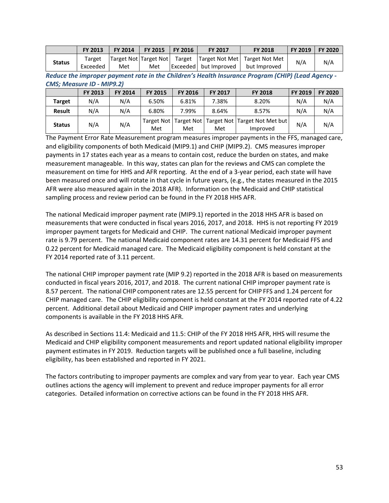|               | <b>FY 2013</b>     | <b>FY 2014</b>               | <b>FY 2015</b> | <b>FY 2016</b>     | <b>FY 2017</b>        | <b>FY 2018</b>                                  | <b>FY 2019</b> | <b>FY 2020</b> |
|---------------|--------------------|------------------------------|----------------|--------------------|-----------------------|-------------------------------------------------|----------------|----------------|
| <b>Status</b> | Target<br>Exceeded | Target Not Target Not<br>Met | Met            | Target $\parallel$ | Exceeded but Improved | Target Not Met   Target Not Met<br>but Improved | N/A            | N/A            |

*Reduce the improper payment rate in the Children's Health Insurance Program (CHIP) (Lead Agency - CMS; Measure ID - MIP9.2)* 

|               | FY 2013 | <b>FY 2014</b> | <b>FY 2015</b> | <b>FY 2016</b>                   | <b>FY 2017</b> | <b>FY 2018</b>                            | FY 2019 | <b>FY 2020</b> |
|---------------|---------|----------------|----------------|----------------------------------|----------------|-------------------------------------------|---------|----------------|
| <b>Target</b> | N/A     | N/A            | 6.50%          | 6.81%                            | 7.38%          | 8.20%                                     | N/A     | N/A            |
| <b>Result</b> | N/A     | N/A            | 6.80%          | 7.99%                            | 8.64%          | 8.57%                                     | N/A     | N/A            |
| <b>Status</b> | N/A     | N/A            | Met            | Target Not   Target Not  <br>Met | Met            | Target Not Target Not Met but<br>Improved | N/A     | N/A            |

The Payment Error Rate Measurement program measures improper payments in the FFS, managed care, and eligibility components of both Medicaid (MIP9.1) and CHIP (MIP9.2). CMS measures improper payments in 17 states each year as a means to contain cost, reduce the burden on states, and make measurement manageable. In this way, states can plan for the reviews and CMS can complete the measurement on time for HHS and AFR reporting. At the end of a 3-year period, each state will have been measured once and will rotate in that cycle in future years, (e.g., the states measured in the 2015 AFR were also measured again in the 2018 AFR). Information on the Medicaid and CHIP statistical sampling process and review period can be found in the FY 2018 HHS AFR.

The national Medicaid improper payment rate (MIP9.1) reported in the 2018 HHS AFR is based on measurements that were conducted in fiscal years 2016, 2017, and 2018. HHS is not reporting FY 2019 improper payment targets for Medicaid and CHIP. The current national Medicaid improper payment rate is 9.79 percent. The national Medicaid component rates are 14.31 percent for Medicaid FFS and 0.22 percent for Medicaid managed care. The Medicaid eligibility component is held constant at the FY 2014 reported rate of 3.11 percent.

The national CHIP improper payment rate (MIP 9.2) reported in the 2018 AFR is based on measurements conducted in fiscal years 2016, 2017, and 2018. The current national CHIP improper payment rate is 8.57 percent. The national CHIP component rates are 12.55 percent for CHIP FFS and 1.24 percent for CHIP managed care. The CHIP eligibility component is held constant at the FY 2014 reported rate of 4.22 percent. Additional detail about Medicaid and CHIP improper payment rates and underlying components is available in the FY 2018 HHS AFR.

As described in Sections 11.4: Medicaid and 11.5: CHIP of the FY 2018 HHS AFR, HHS will resume the Medicaid and CHIP eligibility component measurements and report updated national eligibility improper payment estimates in FY 2019. Reduction targets will be published once a full baseline, including eligibility, has been established and reported in FY 2021.

The factors contributing to improper payments are complex and vary from year to year. Each year CMS outlines actions the agency will implement to prevent and reduce improper payments for all error categories. Detailed information on corrective actions can be found in the FY 2018 HHS AFR.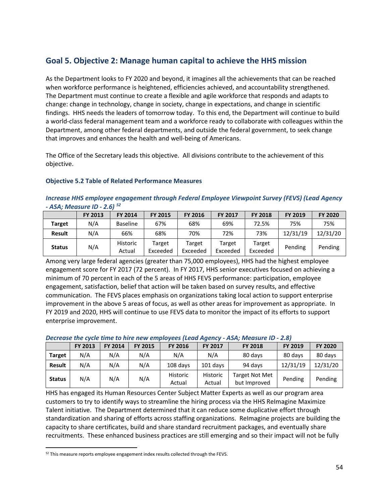# <span id="page-53-0"></span>**Goal 5. Objective 2: Manage human capital to achieve the HHS mission**

As the Department looks to FY 2020 and beyond, it imagines all the achievements that can be reached when workforce performance is heightened, efficiencies achieved, and accountability strengthened. The Department must continue to create a flexible and agile workforce that responds and adapts to change: change in technology, change in society, change in expectations, and change in scientific findings. HHS needs the leaders of tomorrow today. To this end, the Department will continue to build a world-class federal management team and a workforce ready to collaborate with colleagues within the Department, among other federal departments, and outside the federal government, to seek change that improves and enhances the health and well-being of Americans.

The Office of the Secretary leads this objective. All divisions contribute to the achievement of this objective.

#### **Objective 5.2 Table of Related Performance Measures**

#### *Increase HHS employee engagement through Federal Employee Viewpoint Survey (FEVS) (Lead Agency - ASA; Measure ID - 2.6) [52](#page-53-1)*

|               | <b>FY 2013</b> | <b>FY 2014</b>            | <b>FY 2015</b>     | <b>FY 2016</b>     | <b>FY 2017</b>     | <b>FY 2018</b>     | <b>FY 2019</b> | <b>FY 2020</b> |
|---------------|----------------|---------------------------|--------------------|--------------------|--------------------|--------------------|----------------|----------------|
| <b>Target</b> | N/A            | <b>Baseline</b>           | 67%                | 68%                | 69%                | 72.5%              | 75%            | 75%            |
| <b>Result</b> | N/A            | 66%                       | 68%                | 70%                | 72%                | 73%                | 12/31/19       | 12/31/20       |
| <b>Status</b> | N/A            | <b>Historic</b><br>Actual | Target<br>Exceeded | Target<br>Exceeded | Target<br>Exceeded | Target<br>Exceeded | Pending        | Pending        |

Among very large federal agencies (greater than 75,000 employees), HHS had the highest employee engagement score for FY 2017 (72 percent). In FY 2017, HHS senior executives focused on achieving a minimum of 70 percent in each of the 5 areas of HHS FEVS performance: participation, employee engagement, satisfaction, belief that action will be taken based on survey results, and effective communication. The FEVS places emphasis on organizations taking local action to support enterprise improvement in the above 5 areas of focus, as well as other areas for improvement as appropriate. In FY 2019 and 2020, HHS will continue to use FEVS data to monitor the impact of its efforts to support enterprise improvement.

#### *Decrease the cycle time to hire new employees (Lead Agency - ASA; Measure ID - 2.8)*

|               | FY 2013 | <b>FY 2014</b> | <b>FY 2015</b> | <b>FY 2016</b>            | <b>FY 2017</b>     | <b>FY 2018</b>                        | <b>FY 2019</b> | <b>FY 2020</b> |
|---------------|---------|----------------|----------------|---------------------------|--------------------|---------------------------------------|----------------|----------------|
| <b>Target</b> | N/A     | N/A            | N/A            | N/A                       | N/A                | 80 days                               | 80 days        | 80 days        |
| Result        | N/A     | N/A            | N/A            | 108 days                  | 101 davs           | 94 days                               | 12/31/19       | 12/31/20       |
| <b>Status</b> | N/A     | N/A            | N/A            | <b>Historic</b><br>Actual | Historic<br>Actual | <b>Target Not Met</b><br>but Improved | Pending        | Pending        |

HHS has engaged its Human Resources Center Subject Matter Experts as well as our program area customers to try to identify ways to streamline the hiring process via the HHS ReImagine Maximize Talent initiative. The Department determined that it can reduce some duplicative effort through standardization and sharing of efforts across staffing organizations. ReImagine projects are building the capacity to share certificates, build and share standard recruitment packages, and eventually share recruitments. These enhanced business practices are still emerging and so their impact will not be fully

<span id="page-53-1"></span> <sup>52</sup> This measure reports employee engagement index results collected through the FEVS.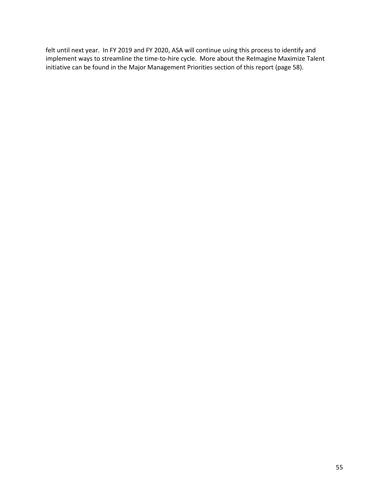felt until next year. In FY 2019 and FY 2020, ASA will continue using this process to identify and implement ways to streamline the time-to-hire cycle. More about the ReImagine Maximize Talent initiative can be found in the Major Management Priorities section of this report (page 58).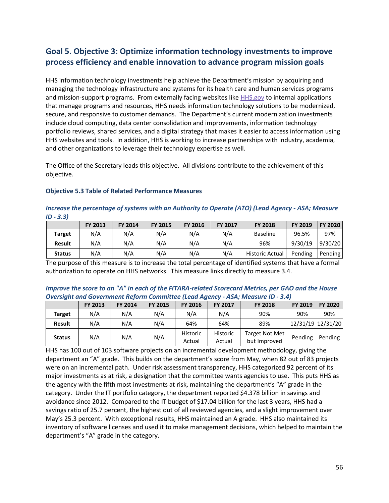# <span id="page-55-0"></span>**Goal 5. Objective 3: Optimize information technology investments to improve process efficiency and enable innovation to advance program mission goals**

HHS information technology investments help achieve the Department's mission by acquiring and managing the technology infrastructure and systems for its health care and human services programs and mission-support programs. From externally facing websites like **[HHS.gov](http://www.hhs.gov/)** to internal applications that manage programs and resources, HHS needs information technology solutions to be modernized, secure, and responsive to customer demands. The Department's current modernization investments include cloud computing, data center consolidation and improvements, information technology portfolio reviews, shared services, and a digital strategy that makes it easier to access information using HHS websites and tools. In addition, HHS is working to increase partnerships with industry, academia, and other organizations to leverage their technology expertise as well.

The Office of the Secretary leads this objective. All divisions contribute to the achievement of this objective.

| $ID - 3.31$   |         |                |                |                |                |                        |                |                |  |  |  |  |
|---------------|---------|----------------|----------------|----------------|----------------|------------------------|----------------|----------------|--|--|--|--|
|               | FY 2013 | <b>FY 2014</b> | <b>FY 2015</b> | <b>FY 2016</b> | <b>FY 2017</b> | <b>FY 2018</b>         | <b>FY 2019</b> | <b>FY 2020</b> |  |  |  |  |
| <b>Target</b> | N/A     | N/A            | N/A            | N/A            | N/A            | Baseline               | 96.5%          | 97%            |  |  |  |  |
| <b>Result</b> | N/A     | N/A            | N/A            | N/A            | N/A            | 96%                    | 9/30/19        | 9/30/20        |  |  |  |  |
| <b>Status</b> | N/A     | N/A            | N/A            | N/A            | N/A            | <b>Historic Actual</b> | Pending        | Pending        |  |  |  |  |

#### **Objective 5.3 Table of Related Performance Measures**

#### *Increase the percentage of systems with an [Authority to Operate](https://www.fedramp.gov/resources/faqs/what-is-an-authority-to-operate-ato/) (ATO) (Lead Agency - ASA; Measure ID - 3.3)*

The purpose of this measure is to increase the total percentage of identified systems that have a formal authorization to operate on HHS networks. This measure links directly to measure 3.4.

#### *Improve the score to an "A" in each of the FITARA-related Scorecard Metrics, per GAO and the House Oversight and Government Reform Committee (Lead Agency - ASA; Measure ID - 3.4)*

| _             |                |                |                |                    |                    |                                |                   |                |
|---------------|----------------|----------------|----------------|--------------------|--------------------|--------------------------------|-------------------|----------------|
|               | <b>FY 2013</b> | <b>FY 2014</b> | <b>FY 2015</b> | <b>FY 2016</b>     | <b>FY 2017</b>     | <b>FY 2018</b>                 | <b>FY 2019</b>    | <b>FY 2020</b> |
| <b>Target</b> | N/A            | N/A            | N/A            | N/A                | N/A                | 90%                            | 90%               | 90%            |
| <b>Result</b> | N/A            | N/A            | N/A            | 64%                | 64%                | 89%                            | 12/31/19 12/31/20 |                |
| <b>Status</b> | N/A            | N/A            | N/A            | Historic<br>Actual | Historic<br>Actual | Target Not Met<br>but Improved | Pending           | Pending        |

HHS has 100 out of 103 software projects on an incremental development methodology, giving the department an "A" grade. This builds on the department's score from May, when 82 out of 83 projects were on an incremental path. Under risk assessment transparency, HHS categorized 92 percent of its major investments as at risk, a designation that the committee wants agencies to use. This puts HHS as the agency with the fifth most investments at risk, maintaining the department's "A" grade in the category. Under the IT portfolio category, the department reported \$4.378 billion in savings and avoidance since 2012. Compared to the IT budget of \$17.04 billion for the last 3 years, HHS had a savings ratio of 25.7 percent, the highest out of all reviewed agencies, and a slight improvement over May's 25.3 percent. With exceptional results, HHS maintained an A grade. HHS also maintained its inventory of software licenses and used it to make management decisions, which helped to maintain the department's "A" grade in the category.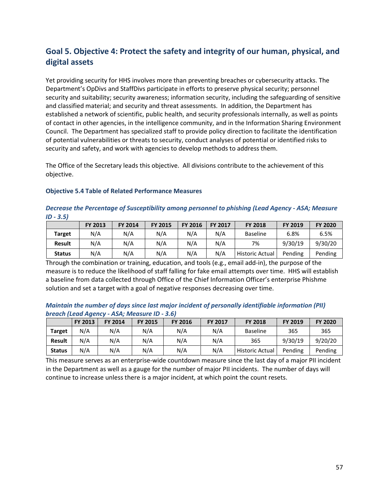# <span id="page-56-0"></span>**Goal 5. Objective 4: Protect the safety and integrity of our human, physical, and digital assets**

Yet providing security for HHS involves more than preventing breaches or cybersecurity attacks. The Department's OpDivs and StaffDivs participate in efforts to preserve physical security; personnel security and suitability; security awareness; information security, including the safeguarding of sensitive and classified material; and security and threat assessments. In addition, the Department has established a network of scientific, public health, and security professionals internally, as well as points of contact in other agencies, in the intelligence community, and in the Information Sharing Environment Council. The Department has specialized staff to provide policy direction to facilitate the identification of potential vulnerabilities or threats to security, conduct analyses of potential or identified risks to security and safety, and work with agencies to develop methods to address them.

The Office of the Secretary leads this objective. All divisions contribute to the achievement of this objective.

#### **Objective 5.4 Table of Related Performance Measures**

*Decrease the Percentage of Susceptibility among personnel to phishing (Lead Agency - ASA; Measure ID - 3.5)*

|               | <b>FY 2013</b> | <b>FY 2014</b> | <b>FY 2015</b> | <b>FY 2016</b> | <b>FY 2017</b> | <b>FY 2018</b>         | <b>FY 2019</b> | <b>FY 2020</b> |
|---------------|----------------|----------------|----------------|----------------|----------------|------------------------|----------------|----------------|
| <b>Target</b> | N/A            | N/A            | N/A            | N/A            | N/A            | <b>Baseline</b>        | 6.8%           | 6.5%           |
| <b>Result</b> | N/A            | N/A            | N/A            | N/A            | N/A            | 7%                     | 9/30/19        | 9/30/20        |
| <b>Status</b> | N/A            | N/A            | N/A            | N/A            | N/A            | <b>Historic Actual</b> | Pending        | Pending        |

Through the combination or training, education, and tools (e.g., email add-in), the purpose of the measure is to reduce the likelihood of staff falling for fake email attempts over time. HHS will establish a baseline from data collected through Office of the Chief Information Officer's enterprise Phishme solution and set a target with a goal of negative responses decreasing over time.

*Maintain the number of days since last major incident of personally identifiable information (PII) breach (Lead Agency - ASA; Measure ID - 3.6)*

|               | FY 2013 | <b>FY 2014</b> | <b>FY 2015</b> | <b>FY 2016</b> | <b>FY 2017</b> | <b>FY 2018</b>  | FY 2019 | <b>FY 2020</b> |
|---------------|---------|----------------|----------------|----------------|----------------|-----------------|---------|----------------|
| <b>Target</b> | N/A     | N/A            | N/A            | N/A            | N/A            | <b>Baseline</b> | 365     | 365            |
| <b>Result</b> | N/A     | N/A            | N/A            | N/A            | N/A            | 365             | 9/30/19 | 9/20/20        |
| <b>Status</b> | N/A     | N/A            | N/A            | N/A            | N/A            | Historic Actual | Pending | Pending        |

This measure serves as an enterprise-wide countdown measure since the last day of a major PII incident in the Department as well as a gauge for the number of major PII incidents. The number of days will continue to increase unless there is a major incident, at which point the count resets.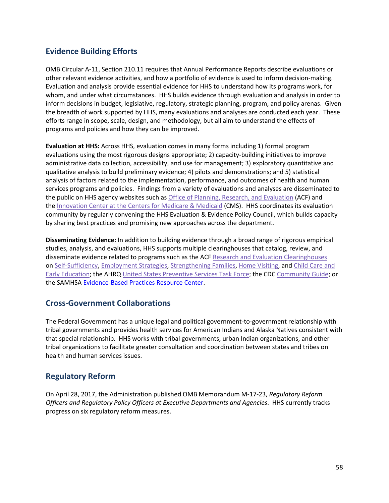### <span id="page-57-0"></span>**Evidence Building Efforts**

OMB Circular A-11, Section 210.11 requires that Annual Performance Reports describe evaluations or other relevant evidence activities, and how a portfolio of evidence is used to inform decision-making. Evaluation and analysis provide essential evidence for HHS to understand how its programs work, for whom, and under what circumstances. HHS builds evidence through evaluation and analysis in order to inform decisions in budget, legislative, regulatory, strategic planning, program, and policy arenas. Given the breadth of work supported by HHS, many evaluations and analyses are conducted each year. These efforts range in scope, scale, design, and methodology, but all aim to understand the effects of programs and policies and how they can be improved.

**Evaluation at HHS:** Across HHS, evaluation comes in many forms including 1) formal program evaluations using the most rigorous designs appropriate; 2) capacity-building initiatives to improve administrative data collection, accessibility, and use for management; 3) exploratory quantitative and qualitative analysis to build preliminary evidence; 4) pilots and demonstrations; and 5) statistical analysis of factors related to the implementation, performance, and outcomes of health and human services programs and policies. Findings from a variety of evaluations and analyses are disseminated to the public on HHS agency websites such as [Office of Planning, Research, and Evaluation](https://www.acf.hhs.gov/opre) (ACF) and the [Innovation Center at the Centers for Medicare & Medicaid](https://innovation.cms.gov/Data-and-Reports/index.html) (CMS). HHS coordinates its evaluation community by regularly convening the HHS Evaluation & Evidence Policy Council, which builds capacity by sharing best practices and promising new approaches across the department.

**Disseminating Evidence:** In addition to building evidence through a broad range of rigorous empirical studies, analysis, and evaluations, HHS supports multiple clearinghouses that catalog, review, and disseminate evidence related to programs such as the ACF [Research and Evaluation Clearinghouses](https://www.acf.hhs.gov/opre/research-and-evaluation-clearinghouses) on [Self-Sufficiency,](https://www.opressrc.org/) [Employment Strategies,](http://employmentstrategies.acf.hhs.gov/) [Strengthening Families,](http://familyreview.acf.hhs.gov/Default.aspx) [Home Visiting,](http://homvee.acf.hhs.gov/) and [Child Care and](http://www.researchconnections.org/childcare/welcome)  [Early Education;](http://www.researchconnections.org/childcare/welcome) the AHRQ [United States Preventive Services Task Force;](https://www.ahrq.gov/professionals/clinicians-providers/guidelines-recommendations/uspstf/index.html) the CDC [Community Guide;](https://www.cdc.gov/epo/communityguide.htm) or the SAMHSA [Evidence-Based Practices Resource Center.](https://www.samhsa.gov/ebp-resource-center)

### <span id="page-57-1"></span>**Cross-Government Collaborations**

The Federal Government has a unique legal and political government-to-government relationship with tribal governments and provides health services for American Indians and Alaska Natives consistent with that special relationship. HHS works with tribal governments, urban Indian organizations, and other tribal organizations to facilitate greater consultation and coordination between states and tribes on health and human services issues.

### <span id="page-57-2"></span>**Regulatory Reform**

On April 28, 2017, the Administration published OMB Memorandum M-17-23, *Regulatory Reform Officers and Regulatory Policy Officers at Executive Departments and Agencies*. HHS currently tracks progress on six regulatory reform measures.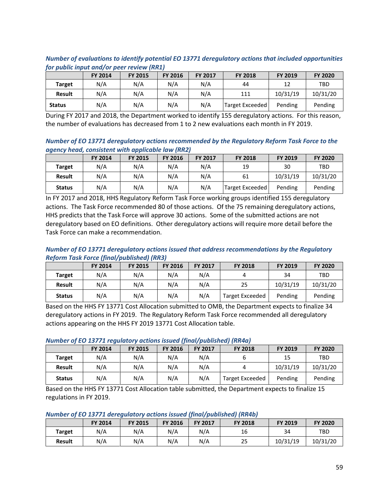|               | for public input and/or peer review (RR1) |                |                |                |                 |          |                |  |  |  |  |
|---------------|-------------------------------------------|----------------|----------------|----------------|-----------------|----------|----------------|--|--|--|--|
|               | <b>FY 2014</b>                            | <b>FY 2015</b> | <b>FY 2016</b> | <b>FY 2017</b> | <b>FY 2018</b>  | FY 2019  | <b>FY 2020</b> |  |  |  |  |
| <b>Target</b> | N/A                                       | N/A            | N/A            | N/A            | 44              | 12       | <b>TBD</b>     |  |  |  |  |
| <b>Result</b> | N/A                                       | N/A            | N/A            | N/A            | 111             | 10/31/19 | 10/31/20       |  |  |  |  |
| <b>Status</b> | N/A                                       | N/A            | N/A            | N/A            | Target Exceeded | Pending  | Pending        |  |  |  |  |

#### *Number of evaluations to identify potential EO 13771 deregulatory actions that included opportunities for public input and/or peer review (RR1)*

During FY 2017 and 2018, the Department worked to identify 155 deregulatory actions. For this reason, the number of evaluations has decreased from 1 to 2 new evaluations each month in FY 2019.

#### *Number of EO 13771 deregulatory actions recommended by the Regulatory Reform Task Force to the agency head, consistent with applicable law (RR2)*

|               | FY 2014 | <b>FY 2015</b> | <b>FY 2016</b> | <b>FY 2017</b> | <b>FY 2018</b>  | <b>FY 2019</b> | <b>FY 2020</b> |
|---------------|---------|----------------|----------------|----------------|-----------------|----------------|----------------|
| <b>Target</b> | N/A     | N/A            | N/A            | N/A            | 19              | 30             | TBD            |
| <b>Result</b> | N/A     | N/A            | N/A            | N/A            | 61              | 10/31/19       | 10/31/20       |
| <b>Status</b> | N/A     | N/A            | N/A            | N/A            | Target Exceeded | Pending        | Pending        |

In FY 2017 and 2018, HHS Regulatory Reform Task Force working groups identified 155 deregulatory actions. The Task Force recommended 80 of those actions. Of the 75 remaining deregulatory actions, HHS predicts that the Task Force will approve 30 actions. Some of the submitted actions are not deregulatory based on EO definitions. Other deregulatory actions will require more detail before the Task Force can make a recommendation.

#### *Number of EO 13771 deregulatory actions issued that address recommendations by the Regulatory Reform Task Force (final/published) (RR3)*

|               | <b>FY 2014</b> | <b>FY 2015</b> | <b>FY 2016</b> | <b>FY 2017</b> | <b>FY 2018</b>  | FY 2019  | <b>FY 2020</b> |
|---------------|----------------|----------------|----------------|----------------|-----------------|----------|----------------|
| Target        | N/A            | N/A            | N/A            | N/A            | 4               | 34       | TBD            |
| <b>Result</b> | N/A            | N/A            | N/A            | N/A            | 25              | 10/31/19 | 10/31/20       |
| <b>Status</b> | N/A            | N/A            | N/A            | N/A            | Target Exceeded | Pending  | Pending        |

Based on the HHS FY 13771 Cost Allocation submitted to OMB, the Department expects to finalize 34 deregulatory actions in FY 2019. The Regulatory Reform Task Force recommended all deregulatory actions appearing on the HHS FY 2019 13771 Cost Allocation table.

#### *Number of EO 13771 regulatory actions issued (final/published) (RR4a)*

|               | <b>FY 2014</b> | <b>FY 2015</b> | <b>FY 2016</b> | <b>FY 2017</b> | <b>FY 2018</b>  | <b>FY 2019</b> | <b>FY 2020</b> |
|---------------|----------------|----------------|----------------|----------------|-----------------|----------------|----------------|
| <b>Target</b> | N/A            | N/A            | N/A            | N/A            |                 | 15             | <b>TBD</b>     |
| <b>Result</b> | N/A            | N/A            | N/A            | N/A            | 4               | 10/31/19       | 10/31/20       |
| <b>Status</b> | N/A            | N/A            | N/A            | N/A            | Target Exceeded | Pending        | Pending        |

Based on the HHS FY 13771 Cost Allocation table submitted, the Department expects to finalize 15 regulations in FY 2019.

#### *Number of EO 13771 deregulatory actions issued (final/published) (RR4b)*

|               | <b>FY 2014</b> | <b>FY 2015</b> | <b>FY 2016</b> | <b>FY 2017</b> | <b>FY 2018</b> | <b>FY 2019</b> | <b>FY 2020</b> |
|---------------|----------------|----------------|----------------|----------------|----------------|----------------|----------------|
| Target        | N/A            | N/A            | N/A            | N/A            | 16             | 34             | TBD            |
| <b>Result</b> | N/A            | N/A            | N/A            | N/A            | 25             | 10/31/19       | 10/31/20       |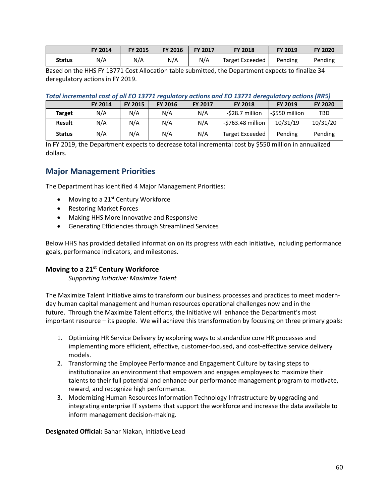|        | <b>FY 2014</b> | <b>FY 2015</b> | <b>FY 2016</b> | <b>FY 2017</b> | <b>FY 2018</b>  | <b>FY 2019</b> | <b>FY 2020</b> |
|--------|----------------|----------------|----------------|----------------|-----------------|----------------|----------------|
| Status | N/A            | N/A            | N/A            | N/A            | Target Exceeded | Pending        | Pending        |

Based on the HHS FY 13771 Cost Allocation table submitted, the Department expects to finalize 34 deregulatory actions in FY 2019.

#### *Total incremental cost of all EO 13771 regulatory actions and EO 13771 deregulatory actions (RR5)*

|               | <b>FY 2014</b> | <b>FY 2015</b> | <b>FY 2016</b> | <b>FY 2017</b> | <b>FY 2018</b>    | <b>FY 2019</b> | <b>FY 2020</b> |
|---------------|----------------|----------------|----------------|----------------|-------------------|----------------|----------------|
| Target        | N/A            | N/A            | N/A            | N/A            | -\$28.7 million   | -\$550 million | <b>TBD</b>     |
| <b>Result</b> | N/A            | N/A            | N/A            | N/A            | -\$763.48 million | 10/31/19       | 10/31/20       |
| <b>Status</b> | N/A            | N/A            | N/A            | N/A            | Target Exceeded   | Pending        | Pending        |

In FY 2019, the Department expects to decrease total incremental cost by \$550 million in annualized dollars.

### <span id="page-59-0"></span>**Major Management Priorities**

The Department has identified 4 Major Management Priorities:

- Moving to a 21<sup>st</sup> Century Workforce
- Restoring Market Forces
- Making HHS More Innovative and Responsive
- Generating Efficiencies through Streamlined Services

Below HHS has provided detailed information on its progress with each initiative, including performance goals, performance indicators, and milestones.

#### **Moving to a 21st Century Workforce**

*Supporting Initiative: Maximize Talent* 

The Maximize Talent Initiative aims to transform our business processes and practices to meet modernday human capital management and human resources operational challenges now and in the future. Through the Maximize Talent efforts, the Initiative will enhance the Department's most important resource – its people. We will achieve this transformation by focusing on three primary goals:

- 1. Optimizing HR Service Delivery by exploring ways to standardize core HR processes and implementing more efficient, effective, customer-focused, and cost-effective service delivery models.
- 2. Transforming the Employee Performance and Engagement Culture by taking steps to institutionalize an environment that empowers and engages employees to maximize their talents to their full potential and enhance our performance management program to motivate, reward, and recognize high performance.
- 3. Modernizing Human Resources Information Technology Infrastructure by upgrading and integrating enterprise IT systems that support the workforce and increase the data available to inform management decision-making.

**Designated Official:** Bahar Niakan, Initiative Lead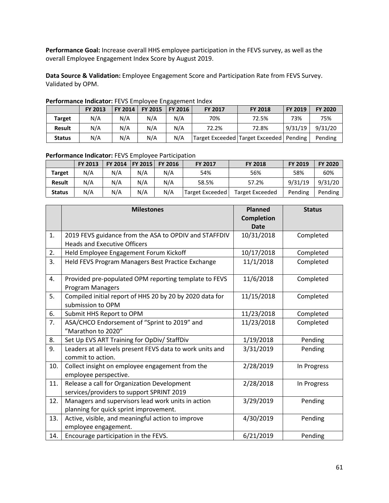**Performance Goal:** Increase overall HHS employee participation in the FEVS survey, as well as the overall Employee Engagement Index Score by August 2019.

**Data Source & Validation:** Employee Engagement Score and Participation Rate from FEVS Survey. Validated by OPM.

|               | FY 2013 | <b>FY 2014</b> | <b>FY 2015</b> | <b>FY 2016</b> | <b>FY 2017</b> | <b>FY 2018</b>                              | <b>FY 2019</b> | <b>FY 2020</b> |
|---------------|---------|----------------|----------------|----------------|----------------|---------------------------------------------|----------------|----------------|
| <b>Target</b> | N/A     | N/A            | N/A            | N/A            | 70%            | 72.5%                                       | 73%            | 75%            |
| <b>Result</b> | N/A     | N/A            | N/A            | N/A            | 72.2%          | 72.8%                                       | 9/31/19        | 9/31/20        |
| <b>Status</b> | N/A     | N/A            | N/A            | N/A            |                | Target Exceeded   Target Exceeded   Pending |                | Pending        |

#### **Performance Indicator:** FEVS Employee Engagement Index

#### **Performance Indicator:** FEVS Employee Participation

|               | <b>FY 2013</b> | FY 2014 FY 2015 |     | <b>FY 2016</b> | <b>FY 2017</b>  | <b>FY 2018</b>  | <b>FY 2019</b> | <b>FY 2020</b> |
|---------------|----------------|-----------------|-----|----------------|-----------------|-----------------|----------------|----------------|
| <b>Target</b> | N/A            | N/A             | N/A | N/A            | 54%             | 56%             | 58%            | 60%            |
| <b>Result</b> | N/A            | N/A             | N/A | N/A            | 58.5%           | 57.2%           | 9/31/19        | 9/31/20        |
| <b>Status</b> | N/A            | N/A             | N/A | N/A            | Target Exceeded | Target Exceeded | Pending        | Pending        |

|     | <b>Milestones</b>                                                                            | <b>Planned</b><br><b>Completion</b><br><b>Date</b> | <b>Status</b> |
|-----|----------------------------------------------------------------------------------------------|----------------------------------------------------|---------------|
| 1.  | 2019 FEVS guidance from the ASA to OPDIV and STAFFDIV<br><b>Heads and Executive Officers</b> | 10/31/2018                                         | Completed     |
| 2.  | Held Employee Engagement Forum Kickoff                                                       | 10/17/2018                                         | Completed     |
| 3.  | Held FEVS Program Managers Best Practice Exchange                                            | 11/1/2018                                          | Completed     |
| 4.  | Provided pre-populated OPM reporting template to FEVS<br>Program Managers                    | 11/6/2018                                          | Completed     |
| 5.  | Compiled initial report of HHS 20 by 20 by 2020 data for<br>submission to OPM                | 11/15/2018                                         | Completed     |
| 6.  | Submit HHS Report to OPM                                                                     | 11/23/2018                                         | Completed     |
| 7.  | ASA/CHCO Endorsement of "Sprint to 2019" and<br>"Marathon to 2020"                           | 11/23/2018                                         | Completed     |
| 8.  | Set Up EVS ART Training for OpDiv/ StaffDiv                                                  | 1/19/2018                                          | Pending       |
| 9.  | Leaders at all levels present FEVS data to work units and<br>commit to action.               | 3/31/2019                                          | Pending       |
| 10. | Collect insight on employee engagement from the<br>employee perspective.                     | 2/28/2019                                          | In Progress   |
| 11. | Release a call for Organization Development<br>services/providers to support SPRINT 2019     | 2/28/2018                                          | In Progress   |
| 12. | Managers and supervisors lead work units in action<br>planning for quick sprint improvement. | 3/29/2019                                          | Pending       |
| 13. | Active, visible, and meaningful action to improve<br>employee engagement.                    | 4/30/2019                                          | Pending       |
| 14. | Encourage participation in the FEVS.                                                         | 6/21/2019                                          | Pending       |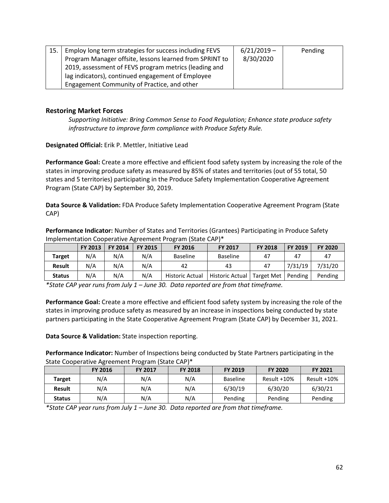| 15. | Employ long term strategies for success including FEVS  | $6/21/2019 -$ | Pending |
|-----|---------------------------------------------------------|---------------|---------|
|     | Program Manager offsite, lessons learned from SPRINT to | 8/30/2020     |         |
|     | 2019, assessment of FEVS program metrics (leading and   |               |         |
|     | lag indicators), continued engagement of Employee       |               |         |
|     | Engagement Community of Practice, and other             |               |         |

#### **Restoring Market Forces**

*Supporting Initiative: Bring Common Sense to Food Regulation; Enhance state produce safety infrastructure to improve farm compliance with Produce Safety Rule.*

**Designated Official:** Erik P. Mettler, Initiative Lead

**Performance Goal:** Create a more effective and efficient food safety system by increasing the role of the states in improving produce safety as measured by 85% of states and territories (out of 55 total, 50 states and 5 territories) participating in the Produce Safety Implementation Cooperative Agreement Program (State CAP) by September 30, 2019.

**Data Source & Validation:** FDA Produce Safety Implementation Cooperative Agreement Program (State CAP)

**Performance Indicator:** Number of States and Territories (Grantees) Participating in Produce Safety Implementation Cooperative Agreement Program (State CAP)\*

|               | <b>FY 2013</b> | <b>FY 2014</b> | FY 2015 | <b>FY 2016</b>         | <b>FY 2017</b>  | <b>FY 2018</b> | <b>FY 2019</b> | <b>FY 2020</b> |
|---------------|----------------|----------------|---------|------------------------|-----------------|----------------|----------------|----------------|
| <b>Target</b> | N/A            | N/A            | N/A     | <b>Baseline</b>        | Baseline        | 47             |                | 47             |
| <b>Result</b> | N/A            | N/A            | N/A     | 42                     | 43              | 47             | 7/31/19        | 7/31/20        |
| <b>Status</b> | N/A            | N/A            | N/A     | <b>Historic Actual</b> | Historic Actual | Target Met     | Pending        | Pending        |

*\*State CAP year runs from July 1 – June 30. Data reported are from that timeframe.*

**Performance Goal:** Create a more effective and efficient food safety system by increasing the role of the states in improving produce safety as measured by an increase in inspections being conducted by state partners participating in the State Cooperative Agreement Program (State CAP) by December 31, 2021.

**Data Source & Validation:** State inspection reporting.

**Performance Indicator:** Number of Inspections being conducted by State Partners participating in the State Cooperative Agreement Program (State CAP)\*

|               | FY 2016 | <b>FY 2017</b> | <b>FY 2018</b> | FY 2019         | <b>FY 2020</b> | <b>FY 2021</b> |
|---------------|---------|----------------|----------------|-----------------|----------------|----------------|
| <b>Target</b> | N/A     | N/A            | N/A            | <b>Baseline</b> | Result +10%    | Result +10%    |
| <b>Result</b> | N/A     | N/A            | N/A            | 6/30/19         | 6/30/20        | 6/30/21        |
| <b>Status</b> | N/A     | N/A            | N/A            | Pending         | Pending        | Pending        |

*\*State CAP year runs from July 1 – June 30. Data reported are from that timeframe.*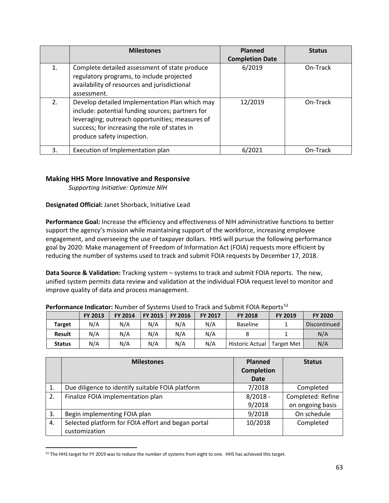|    | <b>Milestones</b>                                                                                                                                                                                                                    | <b>Planned</b><br><b>Completion Date</b> | <b>Status</b> |
|----|--------------------------------------------------------------------------------------------------------------------------------------------------------------------------------------------------------------------------------------|------------------------------------------|---------------|
| 1. | Complete detailed assessment of state produce<br>regulatory programs, to include projected<br>availability of resources and jurisdictional<br>assessment.                                                                            | 6/2019                                   | On-Track      |
| 2. | Develop detailed Implementation Plan which may<br>include: potential funding sources; partners for<br>leveraging; outreach opportunities; measures of<br>success; for increasing the role of states in<br>produce safety inspection. | 12/2019                                  | On-Track      |
| 3. | Execution of Implementation plan                                                                                                                                                                                                     | 6/2021                                   | On-Track      |

#### **Making HHS More Innovative and Responsive**

*Supporting Initiative: Optimize NIH*

#### **Designated Official:** Janet Shorback, Initiative Lead

**Performance Goal:** Increase the efficiency and effectiveness of NIH administrative functions to better support the agency's mission while maintaining support of the workforce, increasing employee engagement, and overseeing the use of taxpayer dollars. HHS will pursue the following performance goal by 2020: Make management of Freedom of Information Act (FOIA) requests more efficient by reducing the number of systems used to track and submit FOIA requests by December 17, 2018.

**Data Source & Validation:** Tracking system – systems to track and submit FOIA reports. The new, unified system permits data review and validation at the individual FOIA request level to monitor and improve quality of data and process management.

| <b>I CHOMMANC MUCULO . MUMBER OF SYSTEMS OSCU TO HUCK UND SUDMITTE FOR INCROITS</b> |                |                |         |                |                |                              |         |              |
|-------------------------------------------------------------------------------------|----------------|----------------|---------|----------------|----------------|------------------------------|---------|--------------|
|                                                                                     | <b>FY 2013</b> | <b>FY 2014</b> | FY 2015 | <b>FY 2016</b> | <b>FY 2017</b> | <b>FY 2018</b>               | FY 2019 | FY 2020      |
| <b>Target</b>                                                                       | N/A            | N/A            | N/A     | N/A            | N/A            | <b>Baseline</b>              |         | Discontinued |
| <b>Result</b>                                                                       | N/A            | N/A            | N/A     | N/A            | N/A            |                              |         | N/A          |
| <b>Status</b>                                                                       | N/A            | N/A            | N/A     | N/A            | N/A            | Historic Actual   Target Met |         | N/A          |

#### **Performance Indicator:** Number of Systems Used to Track and Submit FOIA Reports<sup>[53](#page-62-0)</sup>

|    | <b>Milestones</b>                                  | Planned<br>Completion<br>Date | <b>Status</b>     |
|----|----------------------------------------------------|-------------------------------|-------------------|
| 1. | Due diligence to identify suitable FOIA platform   | 7/2018                        | Completed         |
| 2. | Finalize FOIA implementation plan                  | $8/2018 -$                    | Completed: Refine |
|    |                                                    | 9/2018                        | on ongoing basis  |
| 3. | Begin implementing FOIA plan                       | 9/2018                        | On schedule       |
| 4. | Selected platform for FOIA effort and began portal | 10/2018                       | Completed         |
|    | customization                                      |                               |                   |

<span id="page-62-0"></span><sup>53</sup> The HHS target for FY 2019 was to reduce the number of systems from eight to one. HHS has achieved this target.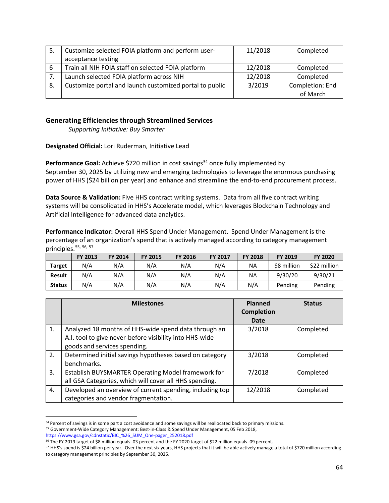| 5. | Customize selected FOIA platform and perform user-      | 11/2018 | Completed       |
|----|---------------------------------------------------------|---------|-----------------|
|    | acceptance testing                                      |         |                 |
| 6  | Train all NIH FOIA staff on selected FOIA platform      | 12/2018 | Completed       |
|    | Launch selected FOIA platform across NIH                | 12/2018 | Completed       |
| 8. | Customize portal and launch customized portal to public | 3/2019  | Completion: End |
|    |                                                         |         | of March        |

#### **Generating Efficiencies through Streamlined Services**

*Supporting Initiative: Buy Smarter*

**Designated Official:** Lori Ruderman, Initiative Lead

Performance Goal: Achieve \$720 million in cost savings<sup>[54](#page-63-0)</sup> once fully implemented by September 30, 2025 by utilizing new and emerging technologies to leverage the enormous purchasing power of HHS (\$24 billion per year) and enhance and streamline the end-to-end procurement process.

**Data Source & Validation:** Five HHS contract writing systems. Data from all five contract writing systems will be consolidated in HHS's Accelerate model, which leverages Blockchain Technology and Artificial Intelligence for advanced data analytics.

**Performance Indicator:** Overall HHS Spend Under Management. Spend Under Management is the percentage of an organization's spend that is actively managed according to category management principles.[55](#page-63-1), [56](#page-63-2), [57](#page-63-3)

|               | FY 2013 | <b>FY 2014</b> | <b>FY 2015</b> | <b>FY 2016</b> | <b>FY 2017</b> | <b>FY 2018</b> | FY 2019     | <b>FY 2020</b> |
|---------------|---------|----------------|----------------|----------------|----------------|----------------|-------------|----------------|
| <b>Target</b> | N/A     | N/A            | N/A            | N/A            | N/A            | NA             | \$8 million | \$22 million   |
| <b>Result</b> | N/A     | N/A            | N/A            | N/A            | N/A            | ΝA             | 9/30/20     | 9/30/21        |
| <b>Status</b> | N/A     | N/A            | N/A            | N/A            | N/A            | N/A            | Pending     | Pending        |

|    | <b>Milestones</b>                                        | Planned           | <b>Status</b> |
|----|----------------------------------------------------------|-------------------|---------------|
|    |                                                          | <b>Completion</b> |               |
|    |                                                          | <b>Date</b>       |               |
| 1. | Analyzed 18 months of HHS-wide spend data through an     | 3/2018            | Completed     |
|    | A.I. tool to give never-before visibility into HHS-wide  |                   |               |
|    | goods and services spending.                             |                   |               |
| 2. | Determined initial savings hypotheses based on category  | 3/2018            | Completed     |
|    | benchmarks.                                              |                   |               |
| 3. | Establish BUYSMARTER Operating Model framework for       | 7/2018            | Completed     |
|    | all GSA Categories, which will cover all HHS spending.   |                   |               |
| 4. | Developed an overview of current spending, including top | 12/2018           | Completed     |
|    | categories and vendor fragmentation.                     |                   |               |

<span id="page-63-0"></span>54 Percent of savings is in some part a cost avoidance and some savings will be reallocated back to primary missions. <sup>55</sup> Government-Wide Category Management: Best-in-Class & Spend Under Management, 05 Feb 2018,

<span id="page-63-1"></span>[https://www.gsa.gov/cdnstatic/BIC\\_%26\\_SUM\\_One-pager\\_252018.pdf](https://www.gsa.gov/cdnstatic/BIC_%26_SUM_One-pager_252018.pdf)

<span id="page-63-2"></span><sup>56</sup> The FY 2019 target of \$8 million equals .03 percent and the FY 2020 target of \$22 million equals .09 percent.

<span id="page-63-3"></span><sup>&</sup>lt;sup>57</sup> HHS's spend is \$24 billion per year. Over the next six years, HHS projects that it will be able actively manage a total of \$720 million according to category management principles by September 30, 2025.